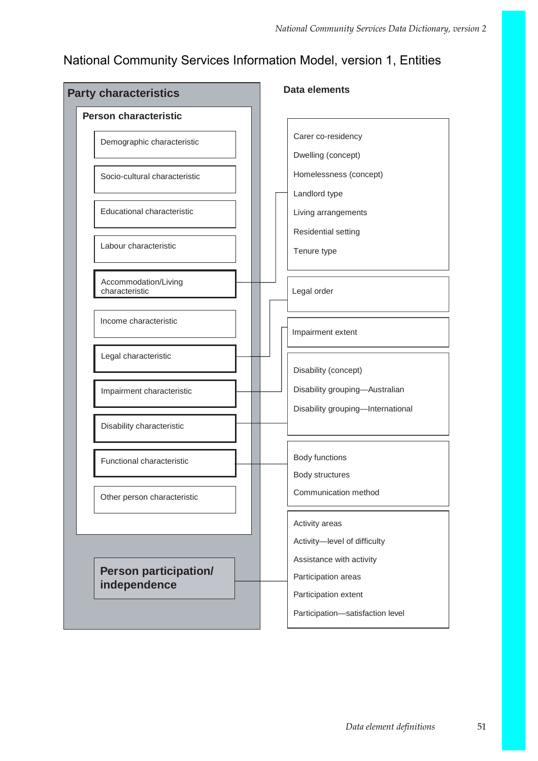### National Community Services Information Model, version 1, Entities

| <b>Party characteristics</b>  | <b>Data elements</b>                                   |  |  |
|-------------------------------|--------------------------------------------------------|--|--|
| <b>Person characteristic</b>  |                                                        |  |  |
| Demographic characteristic    | Carer co-residency                                     |  |  |
|                               | Dwelling (concept)                                     |  |  |
| Socio-cultural characteristic | Homelessness (concept)                                 |  |  |
|                               | Landlord type                                          |  |  |
| Educational characteristic    | Living arrangements                                    |  |  |
|                               | Residential setting                                    |  |  |
| Labour characteristic         | Tenure type                                            |  |  |
| Accommodation/Living          |                                                        |  |  |
| characteristic                | Legal order                                            |  |  |
| Income characteristic         |                                                        |  |  |
|                               | Impairment extent                                      |  |  |
| Legal characteristic          |                                                        |  |  |
|                               | Disability (concept)<br>Disability grouping-Australian |  |  |
| Impairment characteristic     | Disability grouping-International                      |  |  |
| Disability characteristic     |                                                        |  |  |
|                               |                                                        |  |  |
| Functional characteristic     | Body functions                                         |  |  |
|                               | Body structures                                        |  |  |
| Other person characteristic   | Communication method                                   |  |  |
|                               | Activity areas                                         |  |  |
|                               | Activity-level of difficulty                           |  |  |
| <b>Person participation/</b>  | Assistance with activity                               |  |  |
| independence                  | Participation areas                                    |  |  |
|                               | Participation extent                                   |  |  |
|                               | Participation-satisfaction level                       |  |  |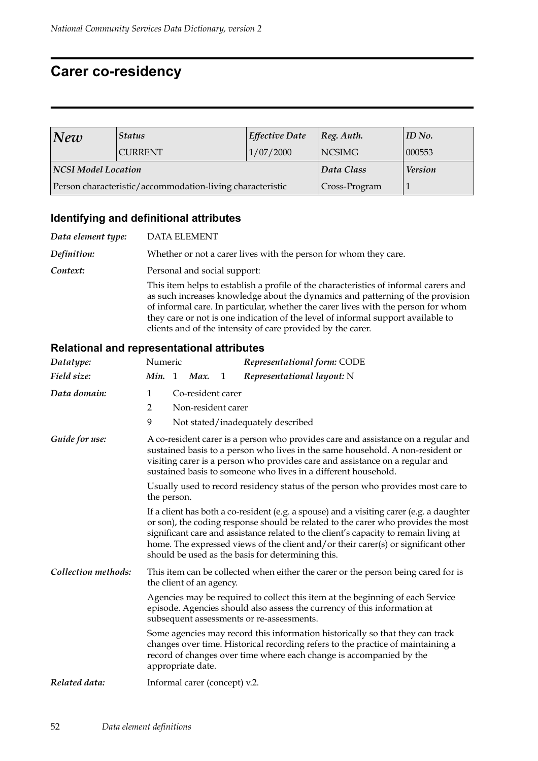### **Carer co-residency**

| New                                                       | <b>Status</b>  | <b>Effective Date</b> | $ Reg.$ Auth.  | ID No. |
|-----------------------------------------------------------|----------------|-----------------------|----------------|--------|
|                                                           | <b>CURRENT</b> | 1/07/2000             | <b>NCSIMG</b>  | 000553 |
| <b>NCSI Model Location</b>                                |                | Data Class            | <b>Version</b> |        |
| Person characteristic/accommodation-living characteristic |                |                       | Cross-Program  |        |

#### **Identifying and definitional attributes**

*Data element type:* DATA ELEMENT *Definition:* Whether or not a carer lives with the person for whom they care. **Context:** Personal and social support: This item helps to establish a profile of the characteristics of informal carers and as such increases knowledge about the dynamics and patterning of the provision of informal care. In particular, whether the carer lives with the person for whom they care or not is one indication of the level of informal support available to clients and of the intensity of care provided by the carer.

| Datatype:           | Numeric                                                                                                                                                                                                                                                                                                                                                                                                          |                    |                               |   | Representational form: CODE                                                                                                                                                                                                             |  |  |
|---------------------|------------------------------------------------------------------------------------------------------------------------------------------------------------------------------------------------------------------------------------------------------------------------------------------------------------------------------------------------------------------------------------------------------------------|--------------------|-------------------------------|---|-----------------------------------------------------------------------------------------------------------------------------------------------------------------------------------------------------------------------------------------|--|--|
| Field size:         | Min. 1                                                                                                                                                                                                                                                                                                                                                                                                           |                    | Max.                          | 1 | Representational layout: N                                                                                                                                                                                                              |  |  |
| Data domain:        | Co-resident carer<br>1                                                                                                                                                                                                                                                                                                                                                                                           |                    |                               |   |                                                                                                                                                                                                                                         |  |  |
|                     | 2                                                                                                                                                                                                                                                                                                                                                                                                                | Non-resident carer |                               |   |                                                                                                                                                                                                                                         |  |  |
|                     | 9                                                                                                                                                                                                                                                                                                                                                                                                                |                    |                               |   | Not stated/inadequately described                                                                                                                                                                                                       |  |  |
| Guide for use:      | A co-resident carer is a person who provides care and assistance on a regular and<br>sustained basis to a person who lives in the same household. A non-resident or<br>visiting carer is a person who provides care and assistance on a regular and<br>sustained basis to someone who lives in a different household.                                                                                            |                    |                               |   |                                                                                                                                                                                                                                         |  |  |
|                     | the person.                                                                                                                                                                                                                                                                                                                                                                                                      |                    |                               |   | Usually used to record residency status of the person who provides most care to                                                                                                                                                         |  |  |
|                     | If a client has both a co-resident (e.g. a spouse) and a visiting carer (e.g. a daughter<br>or son), the coding response should be related to the carer who provides the most<br>significant care and assistance related to the client's capacity to remain living at<br>home. The expressed views of the client and/or their carer(s) or significant other<br>should be used as the basis for determining this. |                    |                               |   |                                                                                                                                                                                                                                         |  |  |
| Collection methods: | This item can be collected when either the carer or the person being cared for is<br>the client of an agency.                                                                                                                                                                                                                                                                                                    |                    |                               |   |                                                                                                                                                                                                                                         |  |  |
|                     |                                                                                                                                                                                                                                                                                                                                                                                                                  |                    |                               |   | Agencies may be required to collect this item at the beginning of each Service<br>episode. Agencies should also assess the currency of this information at<br>subsequent assessments or re-assessments.                                 |  |  |
|                     |                                                                                                                                                                                                                                                                                                                                                                                                                  |                    | appropriate date.             |   | Some agencies may record this information historically so that they can track<br>changes over time. Historical recording refers to the practice of maintaining a<br>record of changes over time where each change is accompanied by the |  |  |
| Related data:       |                                                                                                                                                                                                                                                                                                                                                                                                                  |                    | Informal carer (concept) v.2. |   |                                                                                                                                                                                                                                         |  |  |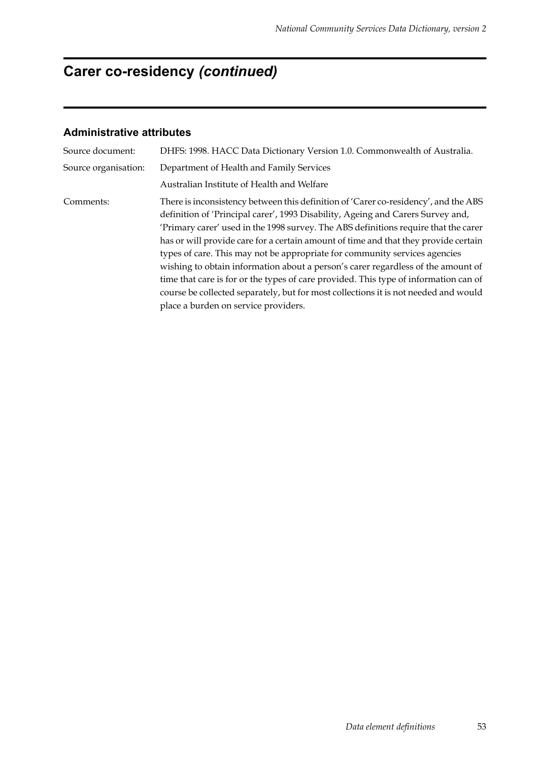# **Carer co-residency** *(continued)*

| Source document:     | DHFS: 1998. HACC Data Dictionary Version 1.0. Commonwealth of Australia.                                                                                                                                                                                                                                                                                                                                                                                                                                                                                                                                                                                                                                                                      |  |  |  |
|----------------------|-----------------------------------------------------------------------------------------------------------------------------------------------------------------------------------------------------------------------------------------------------------------------------------------------------------------------------------------------------------------------------------------------------------------------------------------------------------------------------------------------------------------------------------------------------------------------------------------------------------------------------------------------------------------------------------------------------------------------------------------------|--|--|--|
| Source organisation: | Department of Health and Family Services                                                                                                                                                                                                                                                                                                                                                                                                                                                                                                                                                                                                                                                                                                      |  |  |  |
|                      | Australian Institute of Health and Welfare                                                                                                                                                                                                                                                                                                                                                                                                                                                                                                                                                                                                                                                                                                    |  |  |  |
| Comments:            | There is inconsistency between this definition of 'Carer co-residency', and the ABS<br>definition of 'Principal carer', 1993 Disability, Ageing and Carers Survey and,<br>'Primary carer' used in the 1998 survey. The ABS definitions require that the carer<br>has or will provide care for a certain amount of time and that they provide certain<br>types of care. This may not be appropriate for community services agencies<br>wishing to obtain information about a person's carer regardless of the amount of<br>time that care is for or the types of care provided. This type of information can of<br>course be collected separately, but for most collections it is not needed and would<br>place a burden on service providers. |  |  |  |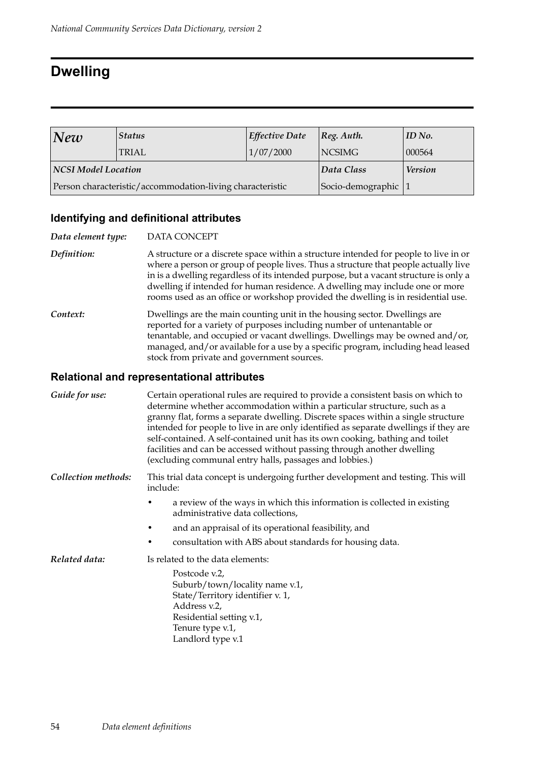### **Dwelling**

| New                 | <b>Status</b>                                             | <b>Effective Date</b> | $ Reg.$ Auth.  | ID No. |
|---------------------|-----------------------------------------------------------|-----------------------|----------------|--------|
|                     | <b>TRIAL</b>                                              | 1/07/2000             | <b>NCSIMG</b>  | 000564 |
| NCSI Model Location |                                                           | Data Class            | <b>Version</b> |        |
|                     | Person characteristic/accommodation-living characteristic | Socio-demographic 1   |                |        |

### **Identifying and definitional attributes**

| Data element type: | DATA CONCEPT                                                                                                                                                                                                                                                                                                                                                                                                                             |
|--------------------|------------------------------------------------------------------------------------------------------------------------------------------------------------------------------------------------------------------------------------------------------------------------------------------------------------------------------------------------------------------------------------------------------------------------------------------|
| Definition:        | A structure or a discrete space within a structure intended for people to live in or<br>where a person or group of people lives. Thus a structure that people actually live<br>in is a dwelling regardless of its intended purpose, but a vacant structure is only a<br>dwelling if intended for human residence. A dwelling may include one or more<br>rooms used as an office or workshop provided the dwelling is in residential use. |
| Context:           | Dwellings are the main counting unit in the housing sector. Dwellings are<br>reported for a variety of purposes including number of untenantable or<br>tenantable, and occupied or vacant dwellings. Dwellings may be owned and/or,<br>managed, and/or available for a use by a specific program, including head leased<br>stock from private and government sources.                                                                    |

| Guide for use:      | Certain operational rules are required to provide a consistent basis on which to<br>determine whether accommodation within a particular structure, such as a<br>granny flat, forms a separate dwelling. Discrete spaces within a single structure<br>intended for people to live in are only identified as separate dwellings if they are<br>self-contained. A self-contained unit has its own cooking, bathing and toilet<br>facilities and can be accessed without passing through another dwelling<br>(excluding communal entry halls, passages and lobbies.) |
|---------------------|------------------------------------------------------------------------------------------------------------------------------------------------------------------------------------------------------------------------------------------------------------------------------------------------------------------------------------------------------------------------------------------------------------------------------------------------------------------------------------------------------------------------------------------------------------------|
| Collection methods: | This trial data concept is undergoing further development and testing. This will<br>include:                                                                                                                                                                                                                                                                                                                                                                                                                                                                     |
|                     | a review of the ways in which this information is collected in existing<br>administrative data collections,                                                                                                                                                                                                                                                                                                                                                                                                                                                      |
|                     | and an appraisal of its operational feasibility, and                                                                                                                                                                                                                                                                                                                                                                                                                                                                                                             |
|                     | consultation with ABS about standards for housing data.                                                                                                                                                                                                                                                                                                                                                                                                                                                                                                          |
| Related data:       | Is related to the data elements:                                                                                                                                                                                                                                                                                                                                                                                                                                                                                                                                 |
|                     | Postcode v.2,<br>Suburb/town/locality name v.1,<br>State/Territory identifier v. 1,<br>Address v.2,<br>Residential setting v.1,<br>Tenure type v.1,<br>Landlord type v.1                                                                                                                                                                                                                                                                                                                                                                                         |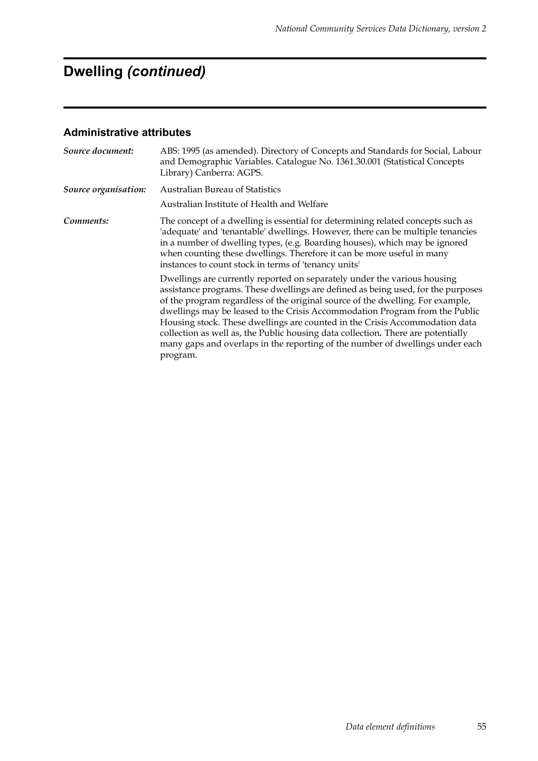# **Dwelling** *(continued)*

| Source document:     | ABS: 1995 (as amended). Directory of Concepts and Standards for Social, Labour<br>and Demographic Variables. Catalogue No. 1361.30.001 (Statistical Concepts<br>Library) Canberra: AGPS.                                                                                                                                                                                                                                                                                                                                                                                                      |
|----------------------|-----------------------------------------------------------------------------------------------------------------------------------------------------------------------------------------------------------------------------------------------------------------------------------------------------------------------------------------------------------------------------------------------------------------------------------------------------------------------------------------------------------------------------------------------------------------------------------------------|
| Source organisation: | <b>Australian Bureau of Statistics</b><br>Australian Institute of Health and Welfare                                                                                                                                                                                                                                                                                                                                                                                                                                                                                                          |
| Comments:            | The concept of a dwelling is essential for determining related concepts such as<br>'adequate' and 'tenantable' dwellings. However, there can be multiple tenancies<br>in a number of dwelling types, (e.g. Boarding houses), which may be ignored<br>when counting these dwellings. Therefore it can be more useful in many<br>instances to count stock in terms of 'tenancy units'                                                                                                                                                                                                           |
|                      | Dwellings are currently reported on separately under the various housing<br>assistance programs. These dwellings are defined as being used, for the purposes<br>of the program regardless of the original source of the dwelling. For example,<br>dwellings may be leased to the Crisis Accommodation Program from the Public<br>Housing stock. These dwellings are counted in the Crisis Accommodation data<br>collection as well as, the Public housing data collection. There are potentially<br>many gaps and overlaps in the reporting of the number of dwellings under each<br>program. |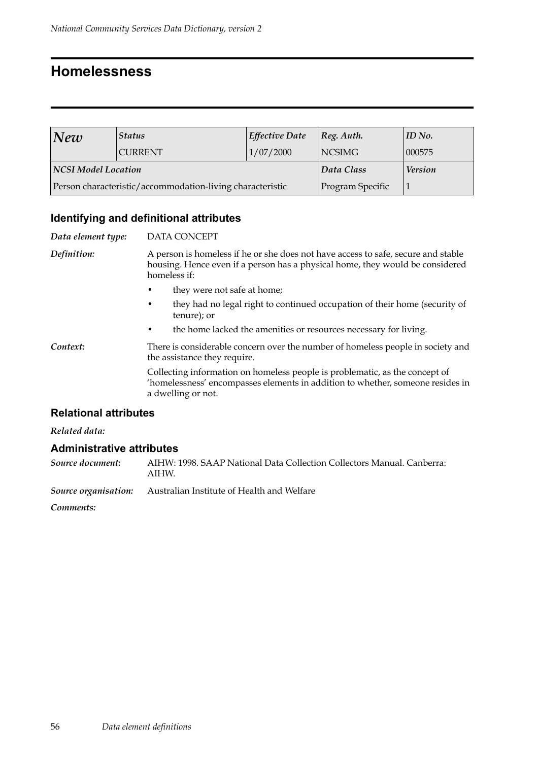### **Homelessness**

| $\vert\textit{New}\vert$                                  | <b>Status</b>  | Effective Date | $ Reg.$ Auth.    | ID No. |
|-----------------------------------------------------------|----------------|----------------|------------------|--------|
|                                                           | <b>CURRENT</b> | 1/07/2000      | <b>NCSIMG</b>    | 000575 |
| NCSI Model Location                                       |                | Data Class     | <b>Version</b>   |        |
| Person characteristic/accommodation-living characteristic |                |                | Program Specific |        |

### **Identifying and definitional attributes**

| Data element type: | <b>DATA CONCEPT</b>                                                                                                                                                                 |  |  |
|--------------------|-------------------------------------------------------------------------------------------------------------------------------------------------------------------------------------|--|--|
| Definition:        | A person is homeless if he or she does not have access to safe, secure and stable<br>housing. Hence even if a person has a physical home, they would be considered<br>homeless if:  |  |  |
|                    | they were not safe at home;                                                                                                                                                         |  |  |
|                    | they had no legal right to continued occupation of their home (security of<br>٠<br>tenure); or                                                                                      |  |  |
|                    | the home lacked the amenities or resources necessary for living.<br>٠                                                                                                               |  |  |
| Context:           | There is considerable concern over the number of homeless people in society and<br>the assistance they require.                                                                     |  |  |
|                    | Collecting information on homeless people is problematic, as the concept of<br>'homelessness' encompasses elements in addition to whether, someone resides in<br>a dwelling or not. |  |  |
|                    |                                                                                                                                                                                     |  |  |

#### **Relational attributes**

#### *Related data:*

#### **Administrative attributes**

| Source document: | AIHW: 1998. SAAP National Data Collection Collectors Manual. Canberra:<br>AIHW. |
|------------------|---------------------------------------------------------------------------------|
|                  | Source organisation: Australian Institute of Health and Welfare                 |

*Comments:*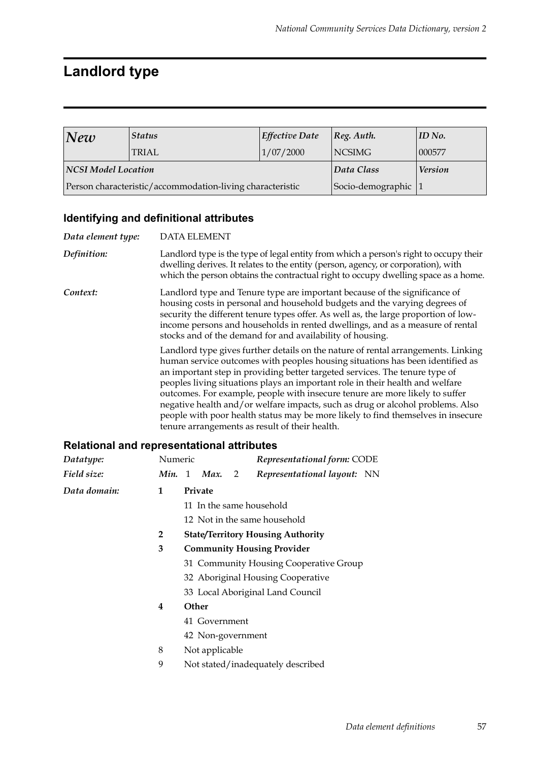# **Landlord type**

| New                        | <b>Status</b>                                             | <b>Effective Date</b> | Reg. Author.   | ID No. |
|----------------------------|-----------------------------------------------------------|-----------------------|----------------|--------|
|                            | <b>TRIAL</b>                                              | 1/07/2000             | NCSIMG         | 000577 |
| <b>NCSI Model Location</b> |                                                           | Data Class            | <b>Version</b> |        |
|                            | Person characteristic/accommodation-living characteristic | Socio-demographic     |                |        |

### **Identifying and definitional attributes**

| Data element type: | <b>DATA ELEMENT</b>                                                                                                                                                                                                                                                                                                                                                                                                                                                                                                                                                                                                                        |
|--------------------|--------------------------------------------------------------------------------------------------------------------------------------------------------------------------------------------------------------------------------------------------------------------------------------------------------------------------------------------------------------------------------------------------------------------------------------------------------------------------------------------------------------------------------------------------------------------------------------------------------------------------------------------|
| Definition:        | Landlord type is the type of legal entity from which a person's right to occupy their<br>dwelling derives. It relates to the entity (person, agency, or corporation), with<br>which the person obtains the contractual right to occupy dwelling space as a home.                                                                                                                                                                                                                                                                                                                                                                           |
| Context:           | Landlord type and Tenure type are important because of the significance of<br>housing costs in personal and household budgets and the varying degrees of<br>security the different tenure types offer. As well as, the large proportion of low-<br>income persons and households in rented dwellings, and as a measure of rental<br>stocks and of the demand for and availability of housing.                                                                                                                                                                                                                                              |
|                    | Landlord type gives further details on the nature of rental arrangements. Linking<br>human service outcomes with peoples housing situations has been identified as<br>an important step in providing better targeted services. The tenure type of<br>peoples living situations plays an important role in their health and welfare<br>outcomes. For example, people with insecure tenure are more likely to suffer<br>negative health and/or welfare impacts, such as drug or alcohol problems. Also<br>people with poor health status may be more likely to find themselves in insecure<br>tenure arrangements as result of their health. |

| Datatype:    | Numeric                                |                                          |                              |                                   | Representational form: CODE       |  |  |  |  |
|--------------|----------------------------------------|------------------------------------------|------------------------------|-----------------------------------|-----------------------------------|--|--|--|--|
| Field size:  |                                        |                                          | $Min. 1$ Max.                | $\overline{2}$                    | Representational layout: NN       |  |  |  |  |
| Data domain: | 1                                      |                                          | Private                      |                                   |                                   |  |  |  |  |
|              |                                        |                                          |                              |                                   | 11 In the same household          |  |  |  |  |
|              |                                        |                                          | 12 Not in the same household |                                   |                                   |  |  |  |  |
|              | $\overline{2}$                         | <b>State/Territory Housing Authority</b> |                              |                                   |                                   |  |  |  |  |
|              | 3                                      |                                          |                              |                                   | <b>Community Housing Provider</b> |  |  |  |  |
|              |                                        | 31 Community Housing Cooperative Group   |                              |                                   |                                   |  |  |  |  |
|              |                                        |                                          |                              | 32 Aboriginal Housing Cooperative |                                   |  |  |  |  |
|              |                                        | 33 Local Aboriginal Land Council         |                              |                                   |                                   |  |  |  |  |
|              | 4                                      | Other                                    |                              |                                   |                                   |  |  |  |  |
|              |                                        |                                          | 41 Government                |                                   |                                   |  |  |  |  |
|              |                                        |                                          | 42 Non-government            |                                   |                                   |  |  |  |  |
|              | 8                                      | Not applicable                           |                              |                                   |                                   |  |  |  |  |
|              | 9<br>Not stated/inadequately described |                                          |                              |                                   |                                   |  |  |  |  |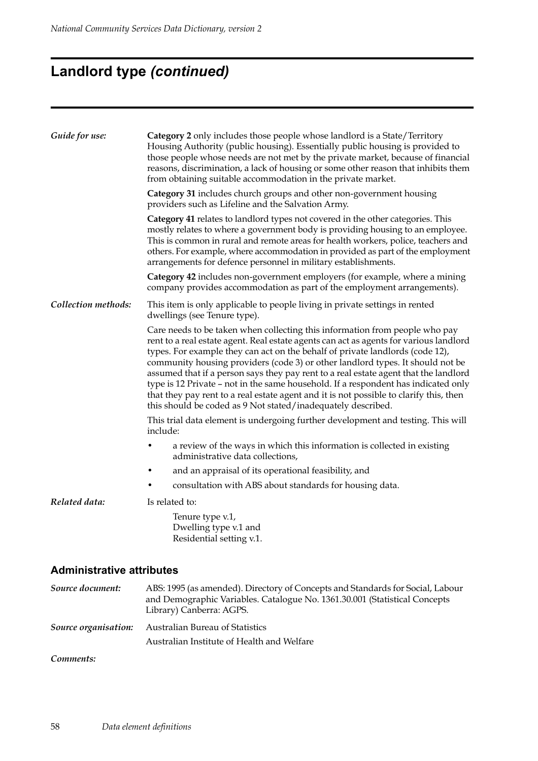# **Landlord type** *(continued)*

| Guide for use:                   | <b>Category 2</b> only includes those people whose landlord is a State/Territory<br>Housing Authority (public housing). Essentially public housing is provided to<br>those people whose needs are not met by the private market, because of financial<br>reasons, discrimination, a lack of housing or some other reason that inhibits them<br>from obtaining suitable accommodation in the private market.                                                                                                                                                                                                                                                                      |  |  |  |  |  |  |
|----------------------------------|----------------------------------------------------------------------------------------------------------------------------------------------------------------------------------------------------------------------------------------------------------------------------------------------------------------------------------------------------------------------------------------------------------------------------------------------------------------------------------------------------------------------------------------------------------------------------------------------------------------------------------------------------------------------------------|--|--|--|--|--|--|
|                                  | Category 31 includes church groups and other non-government housing<br>providers such as Lifeline and the Salvation Army.                                                                                                                                                                                                                                                                                                                                                                                                                                                                                                                                                        |  |  |  |  |  |  |
|                                  | Category 41 relates to landlord types not covered in the other categories. This<br>mostly relates to where a government body is providing housing to an employee.<br>This is common in rural and remote areas for health workers, police, teachers and<br>others. For example, where accommodation in provided as part of the employment<br>arrangements for defence personnel in military establishments.                                                                                                                                                                                                                                                                       |  |  |  |  |  |  |
|                                  | Category 42 includes non-government employers (for example, where a mining<br>company provides accommodation as part of the employment arrangements).                                                                                                                                                                                                                                                                                                                                                                                                                                                                                                                            |  |  |  |  |  |  |
| Collection methods:              | This item is only applicable to people living in private settings in rented<br>dwellings (see Tenure type).                                                                                                                                                                                                                                                                                                                                                                                                                                                                                                                                                                      |  |  |  |  |  |  |
|                                  | Care needs to be taken when collecting this information from people who pay<br>rent to a real estate agent. Real estate agents can act as agents for various landlord<br>types. For example they can act on the behalf of private landlords (code 12),<br>community housing providers (code 3) or other landlord types. It should not be<br>assumed that if a person says they pay rent to a real estate agent that the landlord<br>type is 12 Private - not in the same household. If a respondent has indicated only<br>that they pay rent to a real estate agent and it is not possible to clarify this, then<br>this should be coded as 9 Not stated/inadequately described. |  |  |  |  |  |  |
|                                  | This trial data element is undergoing further development and testing. This will<br>include:                                                                                                                                                                                                                                                                                                                                                                                                                                                                                                                                                                                     |  |  |  |  |  |  |
|                                  | a review of the ways in which this information is collected in existing<br>administrative data collections,                                                                                                                                                                                                                                                                                                                                                                                                                                                                                                                                                                      |  |  |  |  |  |  |
|                                  | and an appraisal of its operational feasibility, and                                                                                                                                                                                                                                                                                                                                                                                                                                                                                                                                                                                                                             |  |  |  |  |  |  |
|                                  | consultation with ABS about standards for housing data.                                                                                                                                                                                                                                                                                                                                                                                                                                                                                                                                                                                                                          |  |  |  |  |  |  |
| Related data:                    | Is related to:                                                                                                                                                                                                                                                                                                                                                                                                                                                                                                                                                                                                                                                                   |  |  |  |  |  |  |
|                                  | Tenure type v.1,<br>Dwelling type v.1 and<br>Residential setting v.1.                                                                                                                                                                                                                                                                                                                                                                                                                                                                                                                                                                                                            |  |  |  |  |  |  |
| <b>Administrative attributes</b> |                                                                                                                                                                                                                                                                                                                                                                                                                                                                                                                                                                                                                                                                                  |  |  |  |  |  |  |
| Source document:                 | ABS: 1995 (as amended). Directory of Concepts and Standards for Social, Labour<br>and Demographic Variables. Catalogue No. 1361.30.001 (Statistical Concepts<br>Library) Canberra: AGPS.                                                                                                                                                                                                                                                                                                                                                                                                                                                                                         |  |  |  |  |  |  |

*Source organisation:* Australian Bureau of Statistics Australian Institute of Health and Welfare

#### *Comments:*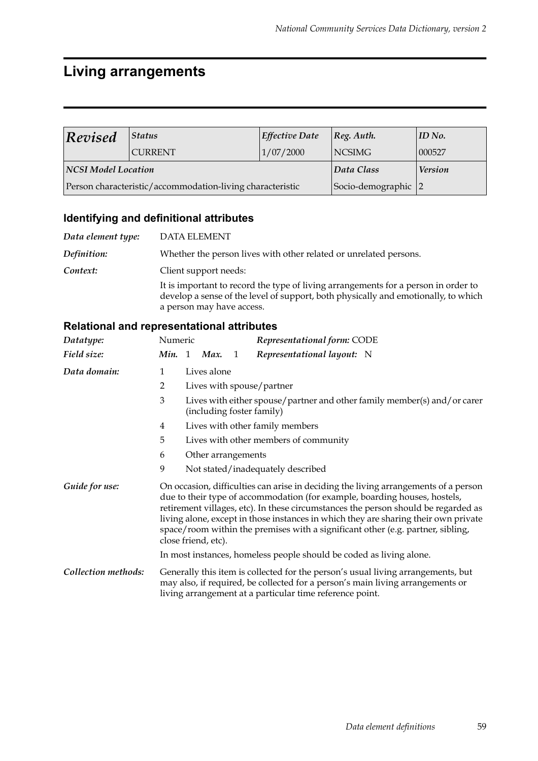### **Living arrangements**

| Revised             | <b>Status</b>                                             | Effective Date      | Reg. Author.   | $\parallel$ ID No. |
|---------------------|-----------------------------------------------------------|---------------------|----------------|--------------------|
|                     | <b>CURRENT</b>                                            | 1/07/2000           | NCSIMG         | 000527             |
| NCSI Model Location |                                                           | Data Class          | <b>Version</b> |                    |
|                     | Person characteristic/accommodation-living characteristic | Socio-demographic 2 |                |                    |

### **Identifying and definitional attributes**

| Data element type: | <b>DATA ELEMENT</b>                                                                                                                                                                                   |
|--------------------|-------------------------------------------------------------------------------------------------------------------------------------------------------------------------------------------------------|
| Definition:        | Whether the person lives with other related or unrelated persons.                                                                                                                                     |
| Context:           | Client support needs:                                                                                                                                                                                 |
|                    | It is important to record the type of living arrangements for a person in order to<br>develop a sense of the level of support, both physically and emotionally, to which<br>a person may have access. |

| Datatype:           | Numeric      |                                                                                                                                                                                                                                                                                                                                                                                                                                                          |                | Representational form: CODE                                                                                                                                                                                                    |  |  |
|---------------------|--------------|----------------------------------------------------------------------------------------------------------------------------------------------------------------------------------------------------------------------------------------------------------------------------------------------------------------------------------------------------------------------------------------------------------------------------------------------------------|----------------|--------------------------------------------------------------------------------------------------------------------------------------------------------------------------------------------------------------------------------|--|--|
| Field size:         | Min. 1 Max.  |                                                                                                                                                                                                                                                                                                                                                                                                                                                          | $\overline{1}$ | Representational layout: N                                                                                                                                                                                                     |  |  |
| Data domain:        | $\mathbf{1}$ | Lives alone                                                                                                                                                                                                                                                                                                                                                                                                                                              |                |                                                                                                                                                                                                                                |  |  |
|                     | 2            |                                                                                                                                                                                                                                                                                                                                                                                                                                                          |                | Lives with spouse/partner                                                                                                                                                                                                      |  |  |
|                     | 3            |                                                                                                                                                                                                                                                                                                                                                                                                                                                          |                | Lives with either spouse/partner and other family member(s) and/or carer<br>(including foster family)                                                                                                                          |  |  |
|                     | 4            |                                                                                                                                                                                                                                                                                                                                                                                                                                                          |                | Lives with other family members                                                                                                                                                                                                |  |  |
|                     | 5            |                                                                                                                                                                                                                                                                                                                                                                                                                                                          |                | Lives with other members of community                                                                                                                                                                                          |  |  |
|                     | 6            | Other arrangements                                                                                                                                                                                                                                                                                                                                                                                                                                       |                |                                                                                                                                                                                                                                |  |  |
|                     | 9            |                                                                                                                                                                                                                                                                                                                                                                                                                                                          |                | Not stated/inadequately described                                                                                                                                                                                              |  |  |
| Guide for use:      |              | On occasion, difficulties can arise in deciding the living arrangements of a person<br>due to their type of accommodation (for example, boarding houses, hostels,<br>retirement villages, etc). In these circumstances the person should be regarded as<br>living alone, except in those instances in which they are sharing their own private<br>space/room within the premises with a significant other (e.g. partner, sibling,<br>close friend, etc). |                |                                                                                                                                                                                                                                |  |  |
|                     |              |                                                                                                                                                                                                                                                                                                                                                                                                                                                          |                | In most instances, homeless people should be coded as living alone.                                                                                                                                                            |  |  |
| Collection methods: |              |                                                                                                                                                                                                                                                                                                                                                                                                                                                          |                | Generally this item is collected for the person's usual living arrangements, but<br>may also, if required, be collected for a person's main living arrangements or<br>living arrangement at a particular time reference point. |  |  |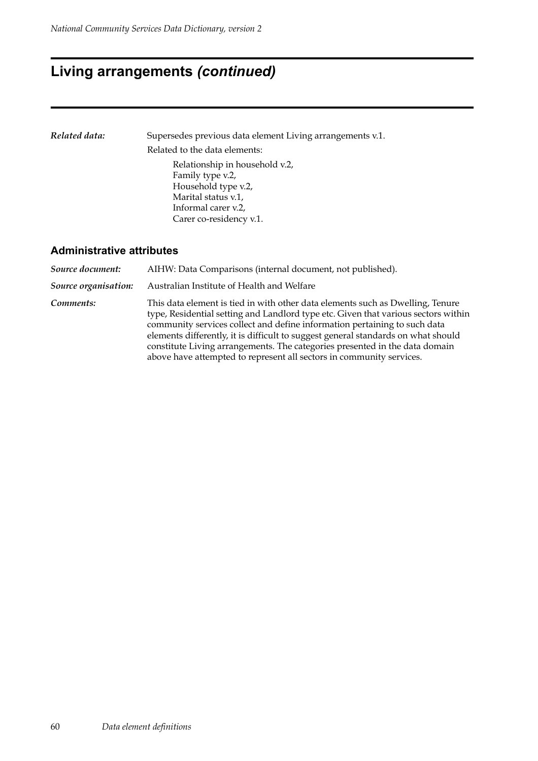### **Living arrangements** *(continued)*

*Related data:* Supersedes previous data element Living arrangements v.1. Related to the data elements: Relationship in household v.2, Family type v.2, Household type v.2, Marital status v.1, Informal carer v.2, Carer co-residency v.1.

#### **Administrative attributes**

*Source document:* AIHW: Data Comparisons (internal document, not published). *Source organisation:* Australian Institute of Health and Welfare *Comments:* This data element is tied in with other data elements such as Dwelling, Tenure type, Residential setting and Landlord type etc. Given that various sectors within community services collect and define information pertaining to such data elements differently, it is difficult to suggest general standards on what should constitute Living arrangements. The categories presented in the data domain above have attempted to represent all sectors in community services.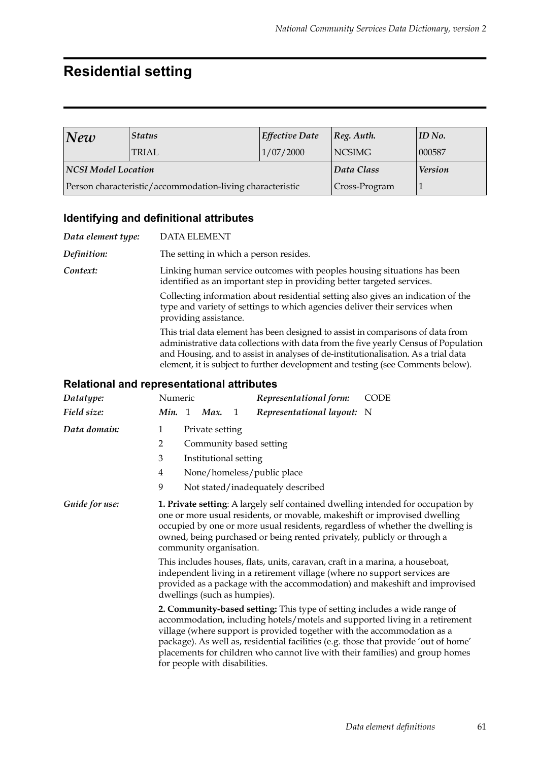### **Residential setting**

| New                 | <b>Status</b>                                             | <b>Effective Date</b> | $ Reg.$ Auth.  | $\parallel$ ID No. |
|---------------------|-----------------------------------------------------------|-----------------------|----------------|--------------------|
|                     | <b>TRIAL</b>                                              | 1/07/2000             | NCSIMG         | 000587             |
| NCSI Model Location |                                                           | Data Class            | <b>Version</b> |                    |
|                     | Person characteristic/accommodation-living characteristic | Cross-Program         |                |                    |

#### **Identifying and definitional attributes**

*Data element type:* DATA ELEMENT *Definition:* The setting in which a person resides. *Context:* Linking human service outcomes with peoples housing situations has been identified as an important step in providing better targeted services. Collecting information about residential setting also gives an indication of the type and variety of settings to which agencies deliver their services when providing assistance. This trial data element has been designed to assist in comparisons of data from administrative data collections with data from the five yearly Census of Population and Housing, and to assist in analyses of de-institutionalisation. As a trial data element, it is subject to further development and testing (see Comments below).

| Datatype:      | Numeric<br>Representational form:<br><b>CODE</b>                                                                                                                                                                                                                                                                                                                                                                                            |  |  |  |  |  |  |
|----------------|---------------------------------------------------------------------------------------------------------------------------------------------------------------------------------------------------------------------------------------------------------------------------------------------------------------------------------------------------------------------------------------------------------------------------------------------|--|--|--|--|--|--|
| Field size:    | Min. 1 Max.<br>Representational layout:<br>1<br>- N                                                                                                                                                                                                                                                                                                                                                                                         |  |  |  |  |  |  |
| Data domain:   | $\mathbf{1}$<br>Private setting                                                                                                                                                                                                                                                                                                                                                                                                             |  |  |  |  |  |  |
|                | $\overline{2}$<br>Community based setting                                                                                                                                                                                                                                                                                                                                                                                                   |  |  |  |  |  |  |
|                | 3<br>Institutional setting                                                                                                                                                                                                                                                                                                                                                                                                                  |  |  |  |  |  |  |
|                | None/homeless/public place<br>4                                                                                                                                                                                                                                                                                                                                                                                                             |  |  |  |  |  |  |
|                | 9<br>Not stated/inadequately described                                                                                                                                                                                                                                                                                                                                                                                                      |  |  |  |  |  |  |
| Guide for use: | 1. Private setting: A largely self contained dwelling intended for occupation by<br>one or more usual residents, or movable, makeshift or improvised dwelling<br>occupied by one or more usual residents, regardless of whether the dwelling is<br>owned, being purchased or being rented privately, publicly or through a<br>community organisation.                                                                                       |  |  |  |  |  |  |
|                | This includes houses, flats, units, caravan, craft in a marina, a houseboat,<br>independent living in a retirement village (where no support services are<br>provided as a package with the accommodation) and makeshift and improvised<br>dwellings (such as humpies).                                                                                                                                                                     |  |  |  |  |  |  |
|                | 2. Community-based setting: This type of setting includes a wide range of<br>accommodation, including hotels/motels and supported living in a retirement<br>village (where support is provided together with the accommodation as a<br>package). As well as, residential facilities (e.g. those that provide 'out of home'<br>placements for children who cannot live with their families) and group homes<br>for people with disabilities. |  |  |  |  |  |  |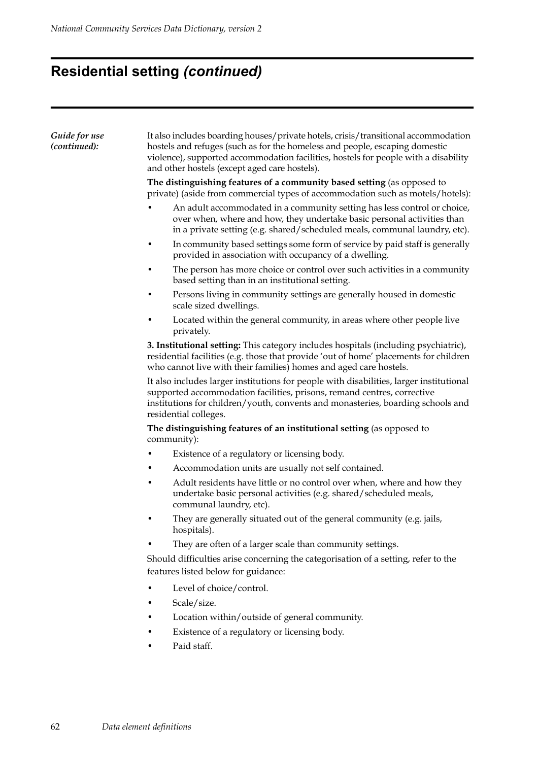# **Residential setting** *(continued)*

| Guide for use<br>(continued): | It also includes boarding houses/private hotels, crisis/transitional accommodation<br>hostels and refuges (such as for the homeless and people, escaping domestic<br>violence), supported accommodation facilities, hostels for people with a disability<br>and other hostels (except aged care hostels). |  |  |  |  |  |  |
|-------------------------------|-----------------------------------------------------------------------------------------------------------------------------------------------------------------------------------------------------------------------------------------------------------------------------------------------------------|--|--|--|--|--|--|
|                               | The distinguishing features of a community based setting (as opposed to<br>private) (aside from commercial types of accommodation such as motels/hotels):                                                                                                                                                 |  |  |  |  |  |  |
|                               | An adult accommodated in a community setting has less control or choice,<br>over when, where and how, they undertake basic personal activities than<br>in a private setting (e.g. shared/scheduled meals, communal laundry, etc).                                                                         |  |  |  |  |  |  |
|                               | In community based settings some form of service by paid staff is generally<br>provided in association with occupancy of a dwelling.                                                                                                                                                                      |  |  |  |  |  |  |
|                               | The person has more choice or control over such activities in a community<br>based setting than in an institutional setting.                                                                                                                                                                              |  |  |  |  |  |  |
|                               | Persons living in community settings are generally housed in domestic<br>scale sized dwellings.                                                                                                                                                                                                           |  |  |  |  |  |  |
|                               | Located within the general community, in areas where other people live<br>privately.                                                                                                                                                                                                                      |  |  |  |  |  |  |
|                               | 3. Institutional setting: This category includes hospitals (including psychiatric),<br>residential facilities (e.g. those that provide 'out of home' placements for children<br>who cannot live with their families) homes and aged care hostels.                                                         |  |  |  |  |  |  |
|                               | It also includes larger institutions for people with disabilities, larger institutional<br>supported accommodation facilities, prisons, remand centres, corrective<br>institutions for children/youth, convents and monasteries, boarding schools and<br>residential colleges.                            |  |  |  |  |  |  |
|                               | The distinguishing features of an institutional setting (as opposed to<br>community):                                                                                                                                                                                                                     |  |  |  |  |  |  |
|                               | Existence of a regulatory or licensing body.<br>٠                                                                                                                                                                                                                                                         |  |  |  |  |  |  |
|                               | Accommodation units are usually not self contained.                                                                                                                                                                                                                                                       |  |  |  |  |  |  |
|                               | Adult residents have little or no control over when, where and how they<br>undertake basic personal activities (e.g. shared/scheduled meals,<br>communal laundry, etc).                                                                                                                                   |  |  |  |  |  |  |
|                               | They are generally situated out of the general community (e.g. jails,<br>hospitals).                                                                                                                                                                                                                      |  |  |  |  |  |  |
|                               | They are often of a larger scale than community settings.                                                                                                                                                                                                                                                 |  |  |  |  |  |  |
|                               | Should difficulties arise concerning the categorisation of a setting, refer to the<br>features listed below for guidance:                                                                                                                                                                                 |  |  |  |  |  |  |
|                               | Level of choice/control.                                                                                                                                                                                                                                                                                  |  |  |  |  |  |  |
|                               | Scale/size.                                                                                                                                                                                                                                                                                               |  |  |  |  |  |  |
|                               | Location within/outside of general community.                                                                                                                                                                                                                                                             |  |  |  |  |  |  |
|                               | Existence of a regulatory or licensing body.                                                                                                                                                                                                                                                              |  |  |  |  |  |  |
|                               | Paid staff.                                                                                                                                                                                                                                                                                               |  |  |  |  |  |  |
|                               |                                                                                                                                                                                                                                                                                                           |  |  |  |  |  |  |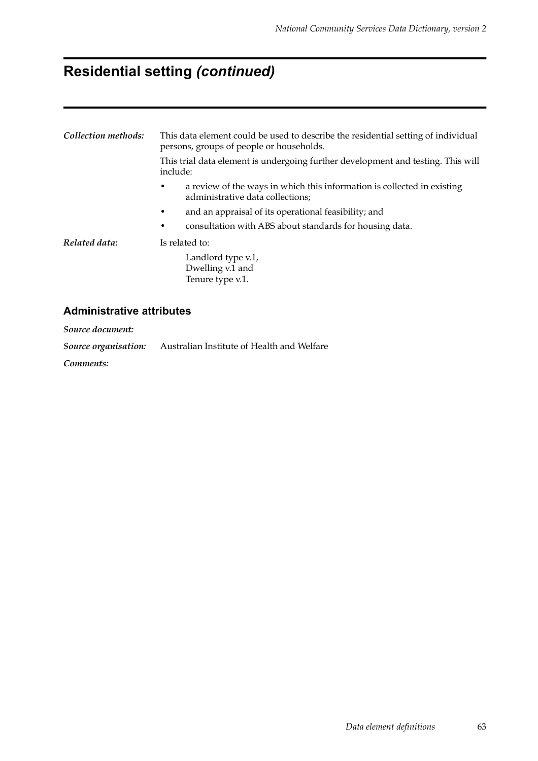# **Residential setting** *(continued)*

| Collection methods: | This data element could be used to describe the residential setting of individual<br>persons, groups of people or households.<br>This trial data element is undergoing further development and testing. This will<br>include:            |  |  |  |  |
|---------------------|------------------------------------------------------------------------------------------------------------------------------------------------------------------------------------------------------------------------------------------|--|--|--|--|
|                     | a review of the ways in which this information is collected in existing<br>٠<br>administrative data collections;<br>and an appraisal of its operational feasibility; and<br>٠<br>consultation with ABS about standards for housing data. |  |  |  |  |
| Related data:       | Is related to:<br>Landlord type v.1,<br>Dwelling v.1 and<br>Tenure type v.1.                                                                                                                                                             |  |  |  |  |

#### **Administrative attributes**

*Source document:*

*Source organisation:* Australian Institute of Health and Welfare

*Comments:*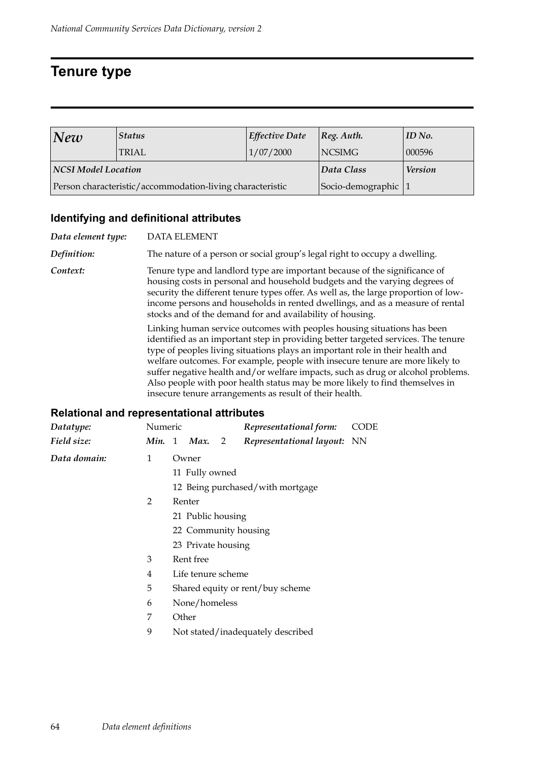### **Tenure type**

| New                 | <b>Status</b>                                             | <b>Effective Date</b> | $ Reg.$ Auth.  | ID No. |
|---------------------|-----------------------------------------------------------|-----------------------|----------------|--------|
|                     | <b>TRIAL</b>                                              | 1/07/2000             | <b>NCSIMG</b>  | 000596 |
| NCSI Model Location |                                                           | Data Class            | <b>Version</b> |        |
|                     | Person characteristic/accommodation-living characteristic | Socio-demographic 1   |                |        |

#### **Identifying and definitional attributes**

*Data element type:* DATA ELEMENT *Definition:* The nature of a person or social group's legal right to occupy a dwelling. **Context:** Tenure type and landlord type are important because of the significance of housing costs in personal and household budgets and the varying degrees of security the different tenure types offer. As well as, the large proportion of lowincome persons and households in rented dwellings, and as a measure of rental stocks and of the demand for and availability of housing. Linking human service outcomes with peoples housing situations has been identified as an important step in providing better targeted services. The tenure type of peoples living situations plays an important role in their health and welfare outcomes. For example, people with insecure tenure are more likely to suffer negative health and/or welfare impacts, such as drug or alcohol problems. Also people with poor health status may be more likely to find themselves in insecure tenure arrangements as result of their health.

| Datatype:    | Numeric           |                                  |                    |                | Representational form:             | CODE |  |  |  |
|--------------|-------------------|----------------------------------|--------------------|----------------|------------------------------------|------|--|--|--|
| Field size:  | Min. 1            |                                  | Max.               | $\overline{2}$ | <i>Representational layout:</i> NN |      |  |  |  |
| Data domain: | 1                 | Owner                            |                    |                |                                    |      |  |  |  |
|              |                   |                                  | 11 Fully owned     |                |                                    |      |  |  |  |
|              |                   |                                  |                    |                | 12 Being purchased/with mortgage   |      |  |  |  |
|              | $\overline{2}$    |                                  | Renter             |                |                                    |      |  |  |  |
|              | 21 Public housing |                                  |                    |                |                                    |      |  |  |  |
|              |                   | 22 Community housing             |                    |                |                                    |      |  |  |  |
|              |                   | 23 Private housing               |                    |                |                                    |      |  |  |  |
|              | 3                 | Rent free                        |                    |                |                                    |      |  |  |  |
|              | 4                 |                                  | Life tenure scheme |                |                                    |      |  |  |  |
|              | 5                 | Shared equity or rent/buy scheme |                    |                |                                    |      |  |  |  |
|              | 6                 |                                  | None/homeless      |                |                                    |      |  |  |  |
|              | 7                 | Other                            |                    |                |                                    |      |  |  |  |
|              | 9                 |                                  |                    |                | Not stated/inadequately described  |      |  |  |  |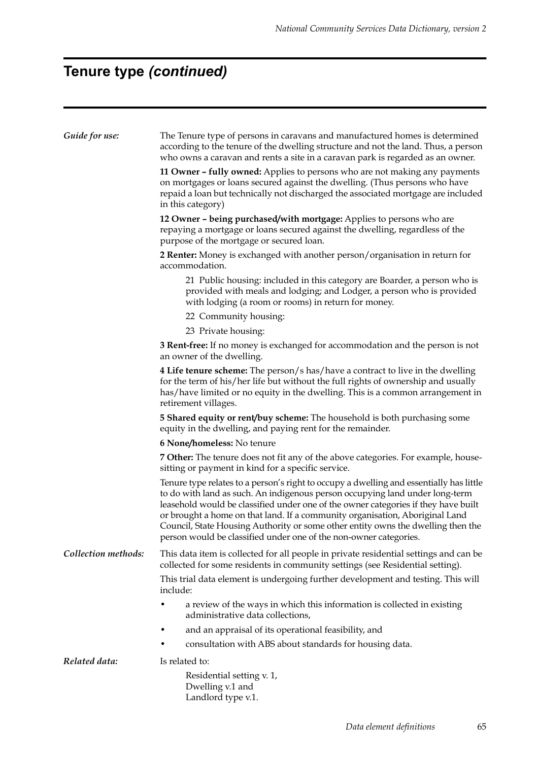# **Tenure type** *(continued)*

| Guide for use:      | The Tenure type of persons in caravans and manufactured homes is determined<br>according to the tenure of the dwelling structure and not the land. Thus, a person<br>who owns a caravan and rents a site in a caravan park is regarded as an owner.                                                                                                                                                                                                                                                    |  |  |  |
|---------------------|--------------------------------------------------------------------------------------------------------------------------------------------------------------------------------------------------------------------------------------------------------------------------------------------------------------------------------------------------------------------------------------------------------------------------------------------------------------------------------------------------------|--|--|--|
|                     | 11 Owner - fully owned: Applies to persons who are not making any payments<br>on mortgages or loans secured against the dwelling. (Thus persons who have<br>repaid a loan but technically not discharged the associated mortgage are included<br>in this category)                                                                                                                                                                                                                                     |  |  |  |
|                     | 12 Owner - being purchased/with mortgage: Applies to persons who are<br>repaying a mortgage or loans secured against the dwelling, regardless of the<br>purpose of the mortgage or secured loan.                                                                                                                                                                                                                                                                                                       |  |  |  |
|                     | 2 Renter: Money is exchanged with another person/organisation in return for<br>accommodation.                                                                                                                                                                                                                                                                                                                                                                                                          |  |  |  |
|                     | 21 Public housing: included in this category are Boarder, a person who is<br>provided with meals and lodging; and Lodger, a person who is provided<br>with lodging (a room or rooms) in return for money.                                                                                                                                                                                                                                                                                              |  |  |  |
|                     | 22 Community housing:                                                                                                                                                                                                                                                                                                                                                                                                                                                                                  |  |  |  |
|                     | 23 Private housing:                                                                                                                                                                                                                                                                                                                                                                                                                                                                                    |  |  |  |
|                     | 3 Rent-free: If no money is exchanged for accommodation and the person is not<br>an owner of the dwelling.                                                                                                                                                                                                                                                                                                                                                                                             |  |  |  |
|                     | 4 Life tenure scheme: The person/s has/have a contract to live in the dwelling<br>for the term of his/her life but without the full rights of ownership and usually<br>has/have limited or no equity in the dwelling. This is a common arrangement in<br>retirement villages.                                                                                                                                                                                                                          |  |  |  |
|                     | <b>5 Shared equity or rent/buy scheme:</b> The household is both purchasing some<br>equity in the dwelling, and paying rent for the remainder.                                                                                                                                                                                                                                                                                                                                                         |  |  |  |
|                     | 6 None/homeless: No tenure                                                                                                                                                                                                                                                                                                                                                                                                                                                                             |  |  |  |
|                     | 7 Other: The tenure does not fit any of the above categories. For example, house-<br>sitting or payment in kind for a specific service.                                                                                                                                                                                                                                                                                                                                                                |  |  |  |
|                     | Tenure type relates to a person's right to occupy a dwelling and essentially has little<br>to do with land as such. An indigenous person occupying land under long-term<br>leasehold would be classified under one of the owner categories if they have built<br>or brought a home on that land. If a community organisation, Aboriginal Land<br>Council, State Housing Authority or some other entity owns the dwelling then the<br>person would be classified under one of the non-owner categories. |  |  |  |
| Collection methods: | This data item is collected for all people in private residential settings and can be<br>collected for some residents in community settings (see Residential setting).                                                                                                                                                                                                                                                                                                                                 |  |  |  |
|                     | This trial data element is undergoing further development and testing. This will<br>include:                                                                                                                                                                                                                                                                                                                                                                                                           |  |  |  |
|                     | a review of the ways in which this information is collected in existing<br>administrative data collections,                                                                                                                                                                                                                                                                                                                                                                                            |  |  |  |
|                     | and an appraisal of its operational feasibility, and                                                                                                                                                                                                                                                                                                                                                                                                                                                   |  |  |  |
|                     | consultation with ABS about standards for housing data.                                                                                                                                                                                                                                                                                                                                                                                                                                                |  |  |  |
| Related data:       | Is related to:                                                                                                                                                                                                                                                                                                                                                                                                                                                                                         |  |  |  |
|                     | Residential setting v. 1,<br>Dwelling v.1 and<br>Landlord type v.1.                                                                                                                                                                                                                                                                                                                                                                                                                                    |  |  |  |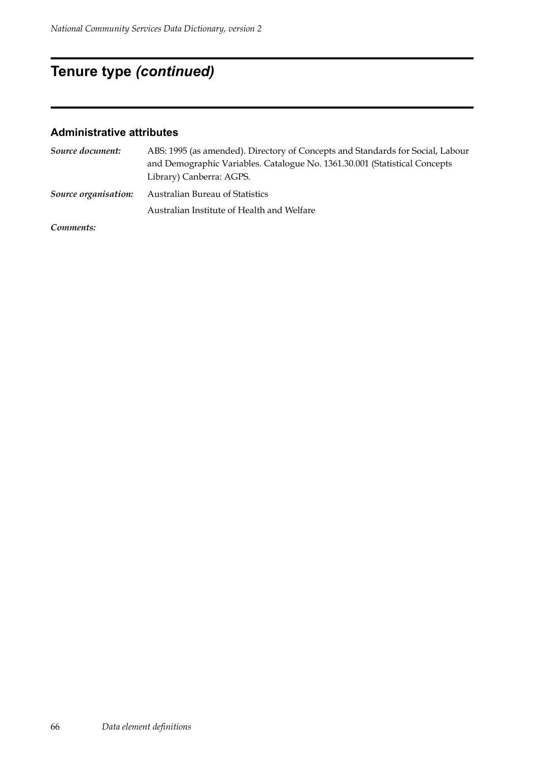# **Tenure type** *(continued)*

#### **Administrative attributes**

| Source document:     | ABS: 1995 (as amended). Directory of Concepts and Standards for Social, Labour |
|----------------------|--------------------------------------------------------------------------------|
|                      | and Demographic Variables. Catalogue No. 1361.30.001 (Statistical Concepts     |
|                      | Library) Canberra: AGPS.                                                       |
| Source organisation: | Australian Bureau of Statistics                                                |
|                      | Australian Institute of Health and Welfare                                     |
| $\sim$ $\sim$ $\sim$ |                                                                                |

*Comments:*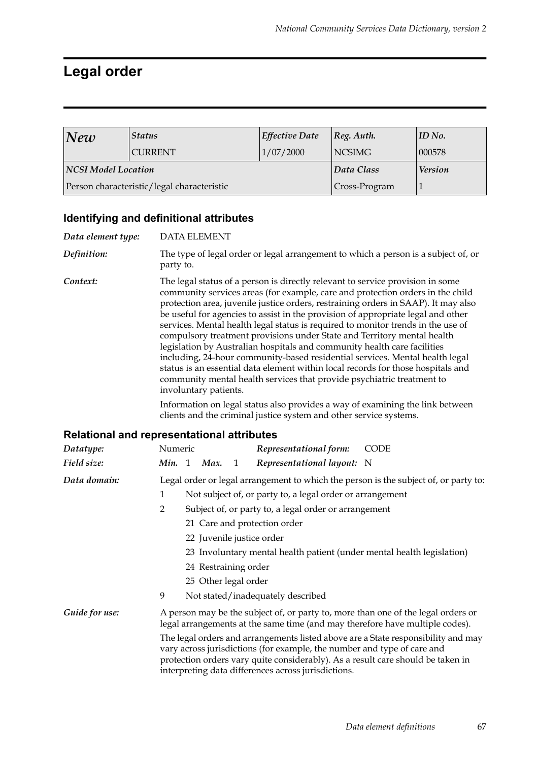# **Legal order**

| New                                        | <b>Status</b>  | Effective Date | $ Reg.$ Auth. | $ID$ No.       |
|--------------------------------------------|----------------|----------------|---------------|----------------|
|                                            | <b>CURRENT</b> | 1/07/2000      | NCSIMG        | 000578         |
| NCSI Model Location                        |                |                | Data Class    | <b>Version</b> |
| Person characteristic/legal characteristic |                |                | Cross-Program |                |

### **Identifying and definitional attributes**

| Data element type: | <b>DATA ELEMENT</b>                                                                                                                                                                                                                                                                                                                                                                                                                                                                                                                                                                                                                                                                                                                                                                                                                                          |  |  |  |
|--------------------|--------------------------------------------------------------------------------------------------------------------------------------------------------------------------------------------------------------------------------------------------------------------------------------------------------------------------------------------------------------------------------------------------------------------------------------------------------------------------------------------------------------------------------------------------------------------------------------------------------------------------------------------------------------------------------------------------------------------------------------------------------------------------------------------------------------------------------------------------------------|--|--|--|
| Definition:        | The type of legal order or legal arrangement to which a person is a subject of, or<br>party to.                                                                                                                                                                                                                                                                                                                                                                                                                                                                                                                                                                                                                                                                                                                                                              |  |  |  |
| Context:           | The legal status of a person is directly relevant to service provision in some<br>community services areas (for example, care and protection orders in the child<br>protection area, juvenile justice orders, restraining orders in SAAP). It may also<br>be useful for agencies to assist in the provision of appropriate legal and other<br>services. Mental health legal status is required to monitor trends in the use of<br>compulsory treatment provisions under State and Territory mental health<br>legislation by Australian hospitals and community health care facilities<br>including, 24-hour community-based residential services. Mental health legal<br>status is an essential data element within local records for those hospitals and<br>community mental health services that provide psychiatric treatment to<br>involuntary patients. |  |  |  |
|                    | Information on legal status also provides a way of examining the link between<br>clients and the criminal justice system and other service systems.                                                                                                                                                                                                                                                                                                                                                                                                                                                                                                                                                                                                                                                                                                          |  |  |  |
|                    | <b>Relational and representational attributes</b>                                                                                                                                                                                                                                                                                                                                                                                                                                                                                                                                                                                                                                                                                                                                                                                                            |  |  |  |
| Datatype:          | Numeric<br><b>CODE</b><br>Representational form:                                                                                                                                                                                                                                                                                                                                                                                                                                                                                                                                                                                                                                                                                                                                                                                                             |  |  |  |
| Field size:        | Min. 1<br>Max.<br>Representational layout: N<br>$\mathbf{1}$                                                                                                                                                                                                                                                                                                                                                                                                                                                                                                                                                                                                                                                                                                                                                                                                 |  |  |  |
| Data domain:       | Legal order or legal arrangement to which the person is the subject of, or party to:                                                                                                                                                                                                                                                                                                                                                                                                                                                                                                                                                                                                                                                                                                                                                                         |  |  |  |
|                    | $\mathbf{1}$<br>Not subject of, or party to, a legal order or arrangement                                                                                                                                                                                                                                                                                                                                                                                                                                                                                                                                                                                                                                                                                                                                                                                    |  |  |  |
|                    | $\overline{2}$<br>Subject of, or party to, a legal order or arrangement                                                                                                                                                                                                                                                                                                                                                                                                                                                                                                                                                                                                                                                                                                                                                                                      |  |  |  |
|                    | 21 Care and protection order                                                                                                                                                                                                                                                                                                                                                                                                                                                                                                                                                                                                                                                                                                                                                                                                                                 |  |  |  |
|                    | 22 Juvenile justice order                                                                                                                                                                                                                                                                                                                                                                                                                                                                                                                                                                                                                                                                                                                                                                                                                                    |  |  |  |
|                    | 23 Involuntary mental health patient (under mental health legislation)                                                                                                                                                                                                                                                                                                                                                                                                                                                                                                                                                                                                                                                                                                                                                                                       |  |  |  |
|                    | 24 Restraining order                                                                                                                                                                                                                                                                                                                                                                                                                                                                                                                                                                                                                                                                                                                                                                                                                                         |  |  |  |
|                    | 25 Other legal order                                                                                                                                                                                                                                                                                                                                                                                                                                                                                                                                                                                                                                                                                                                                                                                                                                         |  |  |  |
|                    | 9<br>Not stated/inadequately described                                                                                                                                                                                                                                                                                                                                                                                                                                                                                                                                                                                                                                                                                                                                                                                                                       |  |  |  |
| Guide for use:     | A person may be the subject of, or party to, more than one of the legal orders or<br>legal arrangements at the same time (and may therefore have multiple codes).                                                                                                                                                                                                                                                                                                                                                                                                                                                                                                                                                                                                                                                                                            |  |  |  |
|                    | The legal orders and arrangements listed above are a State responsibility and may<br>vary across jurisdictions (for example, the number and type of care and<br>protection orders vary quite considerably). As a result care should be taken in<br>interpreting data differences across jurisdictions.                                                                                                                                                                                                                                                                                                                                                                                                                                                                                                                                                       |  |  |  |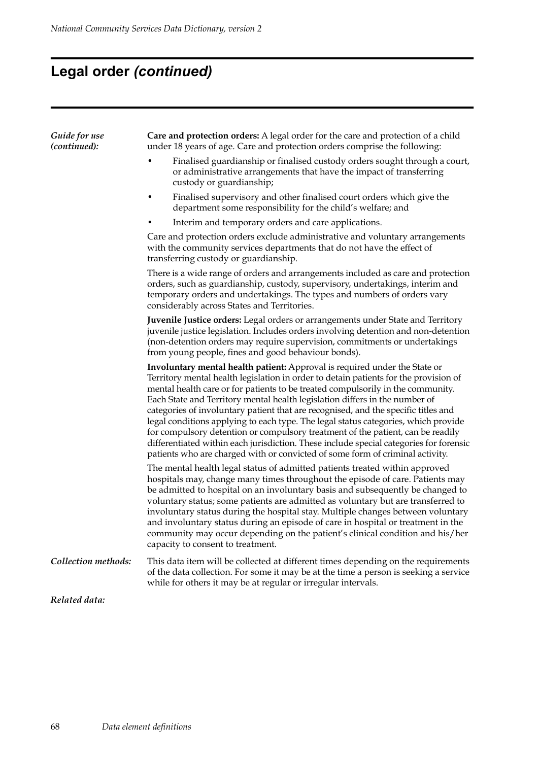# **Legal order** *(continued)*

| Guide for use<br>(continued): | Care and protection orders: A legal order for the care and protection of a child<br>under 18 years of age. Care and protection orders comprise the following:                                                                                                                                                                                                                                                                                                                                                                                                                                                                                                                                                                                                                         |  |  |
|-------------------------------|---------------------------------------------------------------------------------------------------------------------------------------------------------------------------------------------------------------------------------------------------------------------------------------------------------------------------------------------------------------------------------------------------------------------------------------------------------------------------------------------------------------------------------------------------------------------------------------------------------------------------------------------------------------------------------------------------------------------------------------------------------------------------------------|--|--|
|                               | Finalised guardianship or finalised custody orders sought through a court,<br>or administrative arrangements that have the impact of transferring<br>custody or guardianship;                                                                                                                                                                                                                                                                                                                                                                                                                                                                                                                                                                                                         |  |  |
|                               | Finalised supervisory and other finalised court orders which give the<br>department some responsibility for the child's welfare; and                                                                                                                                                                                                                                                                                                                                                                                                                                                                                                                                                                                                                                                  |  |  |
|                               | Interim and temporary orders and care applications.                                                                                                                                                                                                                                                                                                                                                                                                                                                                                                                                                                                                                                                                                                                                   |  |  |
|                               | Care and protection orders exclude administrative and voluntary arrangements<br>with the community services departments that do not have the effect of<br>transferring custody or guardianship.                                                                                                                                                                                                                                                                                                                                                                                                                                                                                                                                                                                       |  |  |
|                               | There is a wide range of orders and arrangements included as care and protection<br>orders, such as guardianship, custody, supervisory, undertakings, interim and<br>temporary orders and undertakings. The types and numbers of orders vary<br>considerably across States and Territories.                                                                                                                                                                                                                                                                                                                                                                                                                                                                                           |  |  |
|                               | Juvenile Justice orders: Legal orders or arrangements under State and Territory<br>juvenile justice legislation. Includes orders involving detention and non-detention<br>(non-detention orders may require supervision, commitments or undertakings<br>from young people, fines and good behaviour bonds).                                                                                                                                                                                                                                                                                                                                                                                                                                                                           |  |  |
|                               | <b>Involuntary mental health patient:</b> Approval is required under the State or<br>Territory mental health legislation in order to detain patients for the provision of<br>mental health care or for patients to be treated compulsorily in the community.<br>Each State and Territory mental health legislation differs in the number of<br>categories of involuntary patient that are recognised, and the specific titles and<br>legal conditions applying to each type. The legal status categories, which provide<br>for compulsory detention or compulsory treatment of the patient, can be readily<br>differentiated within each jurisdiction. These include special categories for forensic<br>patients who are charged with or convicted of some form of criminal activity. |  |  |
|                               | The mental health legal status of admitted patients treated within approved<br>hospitals may, change many times throughout the episode of care. Patients may<br>be admitted to hospital on an involuntary basis and subsequently be changed to<br>voluntary status; some patients are admitted as voluntary but are transferred to<br>involuntary status during the hospital stay. Multiple changes between voluntary<br>and involuntary status during an episode of care in hospital or treatment in the<br>community may occur depending on the patient's clinical condition and his/her<br>capacity to consent to treatment.                                                                                                                                                       |  |  |
| Collection methods:           | This data item will be collected at different times depending on the requirements<br>of the data collection. For some it may be at the time a person is seeking a service<br>while for others it may be at regular or irregular intervals.                                                                                                                                                                                                                                                                                                                                                                                                                                                                                                                                            |  |  |
| Related data:                 |                                                                                                                                                                                                                                                                                                                                                                                                                                                                                                                                                                                                                                                                                                                                                                                       |  |  |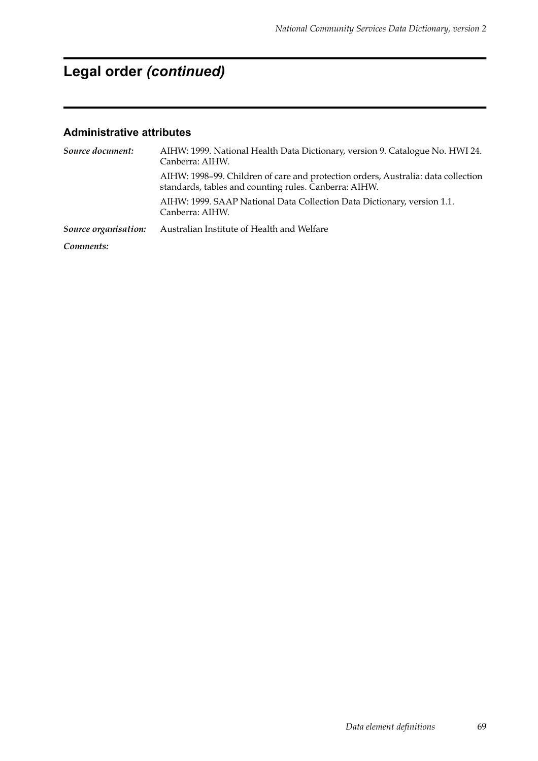# **Legal order** *(continued)*

| Source document:     | AIHW: 1999. National Health Data Dictionary, version 9. Catalogue No. HWI 24.<br>Canberra: AIHW.                                           |  |  |
|----------------------|--------------------------------------------------------------------------------------------------------------------------------------------|--|--|
|                      | AIHW: 1998-99. Children of care and protection orders, Australia: data collection<br>standards, tables and counting rules. Canberra: AIHW. |  |  |
|                      | AIHW: 1999. SAAP National Data Collection Data Dictionary, version 1.1.<br>Canberra: AIHW.                                                 |  |  |
| Source organisation: | Australian Institute of Health and Welfare                                                                                                 |  |  |
| Comments:            |                                                                                                                                            |  |  |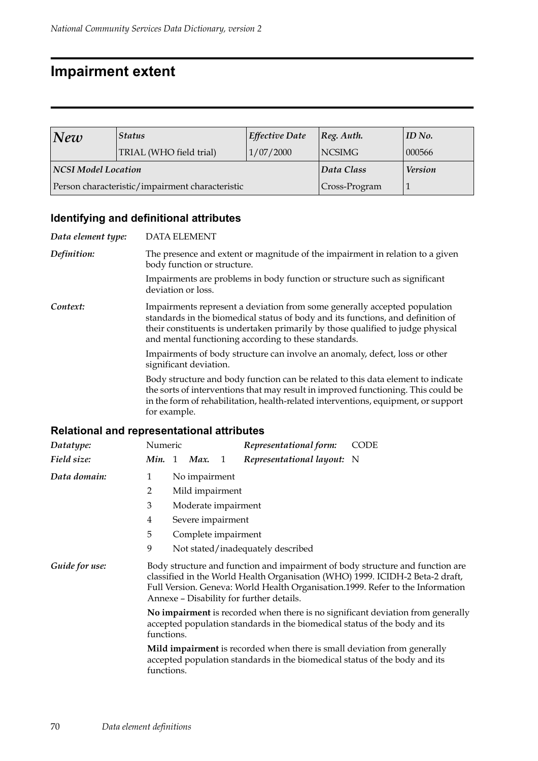### **Impairment extent**

| New                                             | <b>Status</b>           | <b>Effective Date</b> | $ Reg.$ Auth. | ID No.         |
|-------------------------------------------------|-------------------------|-----------------------|---------------|----------------|
|                                                 | TRIAL (WHO field trial) | 1/07/2000             | <b>NCSIMG</b> | 000566         |
| <b>NCSI Model Location</b>                      |                         |                       | Data Class    | <b>Version</b> |
| Person characteristic/impairment characteristic |                         |                       | Cross-Program |                |

### **Identifying and definitional attributes**

| Data element type: | <b>DATA ELEMENT</b>                                                                                                                                                                                                                                                                                     |
|--------------------|---------------------------------------------------------------------------------------------------------------------------------------------------------------------------------------------------------------------------------------------------------------------------------------------------------|
| Definition:        | The presence and extent or magnitude of the impairment in relation to a given<br>body function or structure.                                                                                                                                                                                            |
|                    | Impairments are problems in body function or structure such as significant<br>deviation or loss.                                                                                                                                                                                                        |
| Context:           | Impairments represent a deviation from some generally accepted population<br>standards in the biomedical status of body and its functions, and definition of<br>their constituents is undertaken primarily by those qualified to judge physical<br>and mental functioning according to these standards. |
|                    | Impairments of body structure can involve an anomaly, defect, loss or other<br>significant deviation.                                                                                                                                                                                                   |
|                    | Body structure and body function can be related to this data element to indicate<br>the sorts of interventions that may result in improved functioning. This could be<br>in the form of rehabilitation, health-related interventions, equipment, or support<br>for example.                             |

| Datatype:      | Numeric<br><b>CODE</b><br>Representational form:                                                                                                                                                                                                                                             |  |  |  |
|----------------|----------------------------------------------------------------------------------------------------------------------------------------------------------------------------------------------------------------------------------------------------------------------------------------------|--|--|--|
| Field size:    | <b>Min.</b> 1<br>Representational layout: N<br>Max.<br>$\mathbf{1}$                                                                                                                                                                                                                          |  |  |  |
| Data domain:   | No impairment<br>1                                                                                                                                                                                                                                                                           |  |  |  |
|                | 2<br>Mild impairment                                                                                                                                                                                                                                                                         |  |  |  |
|                | 3<br>Moderate impairment                                                                                                                                                                                                                                                                     |  |  |  |
|                | Severe impairment<br>4                                                                                                                                                                                                                                                                       |  |  |  |
|                | 5<br>Complete impairment                                                                                                                                                                                                                                                                     |  |  |  |
|                | 9<br>Not stated/inadequately described                                                                                                                                                                                                                                                       |  |  |  |
| Guide for use: | Body structure and function and impairment of body structure and function are<br>classified in the World Health Organisation (WHO) 1999. ICIDH-2 Beta-2 draft,<br>Full Version. Geneva: World Health Organisation.1999. Refer to the Information<br>Annexe - Disability for further details. |  |  |  |
|                | No impairment is recorded when there is no significant deviation from generally<br>accepted population standards in the biomedical status of the body and its<br>functions.                                                                                                                  |  |  |  |
|                | Mild impairment is recorded when there is small deviation from generally<br>accepted population standards in the biomedical status of the body and its<br>functions.                                                                                                                         |  |  |  |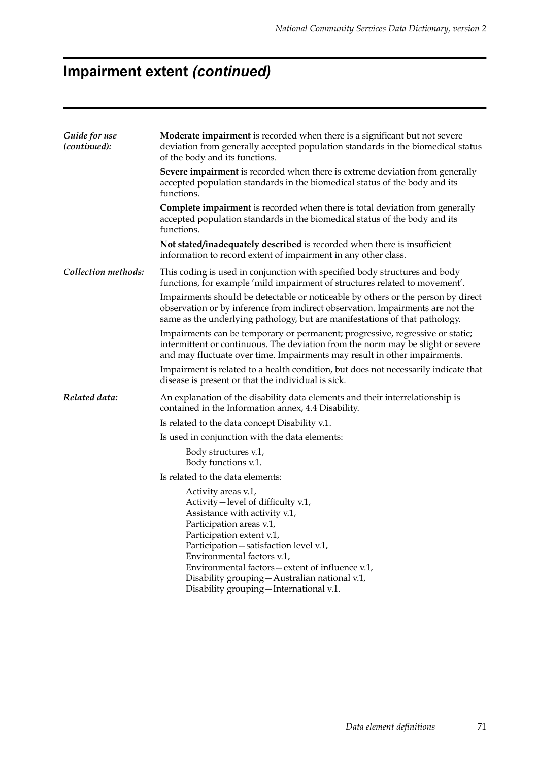# **Impairment extent** *(continued)*

| Guide for use<br>(continued): | Moderate impairment is recorded when there is a significant but not severe<br>deviation from generally accepted population standards in the biomedical status<br>of the body and its functions.                                                                                                                                                                                 |  |  |
|-------------------------------|---------------------------------------------------------------------------------------------------------------------------------------------------------------------------------------------------------------------------------------------------------------------------------------------------------------------------------------------------------------------------------|--|--|
|                               | <b>Severe impairment</b> is recorded when there is extreme deviation from generally<br>accepted population standards in the biomedical status of the body and its<br>functions.                                                                                                                                                                                                 |  |  |
|                               | <b>Complete impairment</b> is recorded when there is total deviation from generally<br>accepted population standards in the biomedical status of the body and its<br>functions.                                                                                                                                                                                                 |  |  |
|                               | Not stated/inadequately described is recorded when there is insufficient<br>information to record extent of impairment in any other class.                                                                                                                                                                                                                                      |  |  |
| Collection methods:           | This coding is used in conjunction with specified body structures and body<br>functions, for example 'mild impairment of structures related to movement'.                                                                                                                                                                                                                       |  |  |
|                               | Impairments should be detectable or noticeable by others or the person by direct<br>observation or by inference from indirect observation. Impairments are not the<br>same as the underlying pathology, but are manifestations of that pathology.                                                                                                                               |  |  |
|                               | Impairments can be temporary or permanent; progressive, regressive or static;<br>intermittent or continuous. The deviation from the norm may be slight or severe<br>and may fluctuate over time. Impairments may result in other impairments.                                                                                                                                   |  |  |
|                               | Impairment is related to a health condition, but does not necessarily indicate that<br>disease is present or that the individual is sick.                                                                                                                                                                                                                                       |  |  |
| Related data:                 | An explanation of the disability data elements and their interrelationship is<br>contained in the Information annex, 4.4 Disability.                                                                                                                                                                                                                                            |  |  |
|                               | Is related to the data concept Disability v.1.                                                                                                                                                                                                                                                                                                                                  |  |  |
|                               | Is used in conjunction with the data elements:                                                                                                                                                                                                                                                                                                                                  |  |  |
|                               | Body structures v.1,<br>Body functions v.1.                                                                                                                                                                                                                                                                                                                                     |  |  |
|                               | Is related to the data elements:                                                                                                                                                                                                                                                                                                                                                |  |  |
|                               | Activity areas v.1,<br>Activity - level of difficulty v.1,<br>Assistance with activity v.1,<br>Participation areas v.1,<br>Participation extent v.1,<br>Participation - satisfaction level v.1,<br>Environmental factors v.1,<br>Environmental factors – extent of influence v.1,<br>Disability grouping - Australian national v.1,<br>Disability grouping - International v.1. |  |  |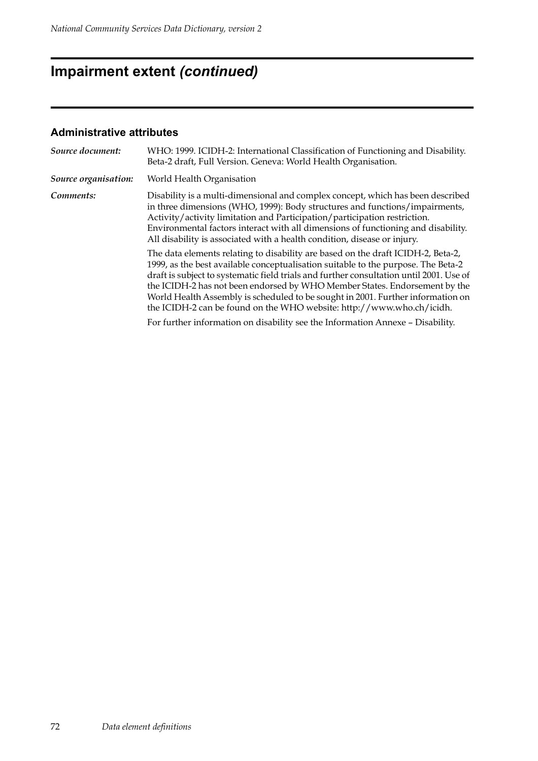# **Impairment extent** *(continued)*

| Source document:     | WHO: 1999. ICIDH-2: International Classification of Functioning and Disability.<br>Beta-2 draft, Full Version. Geneva: World Health Organisation.                                                                                                                                                                                                                                                                                                                                                          |  |  |  |
|----------------------|------------------------------------------------------------------------------------------------------------------------------------------------------------------------------------------------------------------------------------------------------------------------------------------------------------------------------------------------------------------------------------------------------------------------------------------------------------------------------------------------------------|--|--|--|
| Source organisation: | World Health Organisation                                                                                                                                                                                                                                                                                                                                                                                                                                                                                  |  |  |  |
| Comments:            | Disability is a multi-dimensional and complex concept, which has been described<br>in three dimensions (WHO, 1999): Body structures and functions/impairments,<br>Activity/activity limitation and Participation/participation restriction.<br>Environmental factors interact with all dimensions of functioning and disability.<br>All disability is associated with a health condition, disease or injury.                                                                                               |  |  |  |
|                      | The data elements relating to disability are based on the draft ICIDH-2, Beta-2,<br>1999, as the best available conceptualisation suitable to the purpose. The Beta-2<br>draft is subject to systematic field trials and further consultation until 2001. Use of<br>the ICIDH-2 has not been endorsed by WHO Member States. Endorsement by the<br>World Health Assembly is scheduled to be sought in 2001. Further information on<br>the ICIDH-2 can be found on the WHO website: http://www.who.ch/icidh. |  |  |  |
|                      | For further information on disability see the Information Annexe - Disability.                                                                                                                                                                                                                                                                                                                                                                                                                             |  |  |  |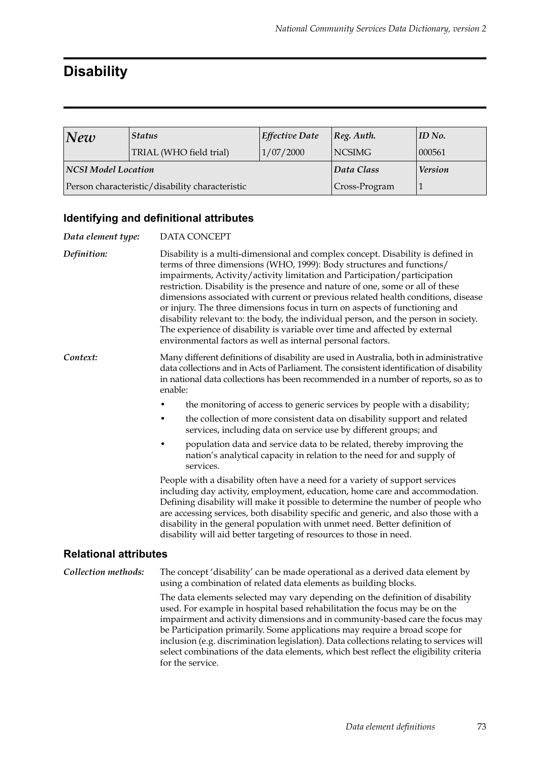# **Disability**

| New                                             | <b>Status</b>           | <b>Effective Date</b> | $\log$ . Auth. | ID No.         |
|-------------------------------------------------|-------------------------|-----------------------|----------------|----------------|
|                                                 | TRIAL (WHO field trial) | 1/07/2000             | <b>NCSIMG</b>  | 000561         |
| <b>NCSI Model Location</b>                      |                         |                       | Data Class     | <b>Version</b> |
| Person characteristic/disability characteristic |                         |                       | Cross-Program  |                |

#### **Identifying and definitional attributes**

for the service.

| Data element type:           | DATA CONCEPT                                                                                                                                                                                                                                                                                                                                                                                                                                                                                                                                                                                                                                                                                                                      |  |  |  |  |
|------------------------------|-----------------------------------------------------------------------------------------------------------------------------------------------------------------------------------------------------------------------------------------------------------------------------------------------------------------------------------------------------------------------------------------------------------------------------------------------------------------------------------------------------------------------------------------------------------------------------------------------------------------------------------------------------------------------------------------------------------------------------------|--|--|--|--|
| Definition:                  | Disability is a multi-dimensional and complex concept. Disability is defined in<br>terms of three dimensions (WHO, 1999): Body structures and functions/<br>impairments, Activity/activity limitation and Participation/participation<br>restriction. Disability is the presence and nature of one, some or all of these<br>dimensions associated with current or previous related health conditions, disease<br>or injury. The three dimensions focus in turn on aspects of functioning and<br>disability relevant to: the body, the individual person, and the person in society.<br>The experience of disability is variable over time and affected by external<br>environmental factors as well as internal personal factors. |  |  |  |  |
| Context:                     | Many different definitions of disability are used in Australia, both in administrative<br>data collections and in Acts of Parliament. The consistent identification of disability<br>in national data collections has been recommended in a number of reports, so as to<br>enable:                                                                                                                                                                                                                                                                                                                                                                                                                                                |  |  |  |  |
|                              | the monitoring of access to generic services by people with a disability;                                                                                                                                                                                                                                                                                                                                                                                                                                                                                                                                                                                                                                                         |  |  |  |  |
|                              | the collection of more consistent data on disability support and related<br>services, including data on service use by different groups; and                                                                                                                                                                                                                                                                                                                                                                                                                                                                                                                                                                                      |  |  |  |  |
|                              | population data and service data to be related, thereby improving the<br>nation's analytical capacity in relation to the need for and supply of<br>services.                                                                                                                                                                                                                                                                                                                                                                                                                                                                                                                                                                      |  |  |  |  |
|                              | People with a disability often have a need for a variety of support services<br>including day activity, employment, education, home care and accommodation.<br>Defining disability will make it possible to determine the number of people who<br>are accessing services, both disability specific and generic, and also those with a<br>disability in the general population with unmet need. Better definition of<br>disability will aid better targeting of resources to those in need.                                                                                                                                                                                                                                        |  |  |  |  |
| <b>Relational attributes</b> |                                                                                                                                                                                                                                                                                                                                                                                                                                                                                                                                                                                                                                                                                                                                   |  |  |  |  |
| Collection methods:          | The concept 'disability' can be made operational as a derived data element by<br>using a combination of related data elements as building blocks.                                                                                                                                                                                                                                                                                                                                                                                                                                                                                                                                                                                 |  |  |  |  |
|                              | The data elements selected may vary depending on the definition of disability<br>used. For example in hospital based rehabilitation the focus may be on the<br>impairment and activity dimensions and in community-based care the focus may<br>be Participation primarily. Some applications may require a broad scope for<br>inclusion (e.g. discrimination legislation). Data collections relating to services will                                                                                                                                                                                                                                                                                                             |  |  |  |  |

select combinations of the data elements, which best reflect the eligibility criteria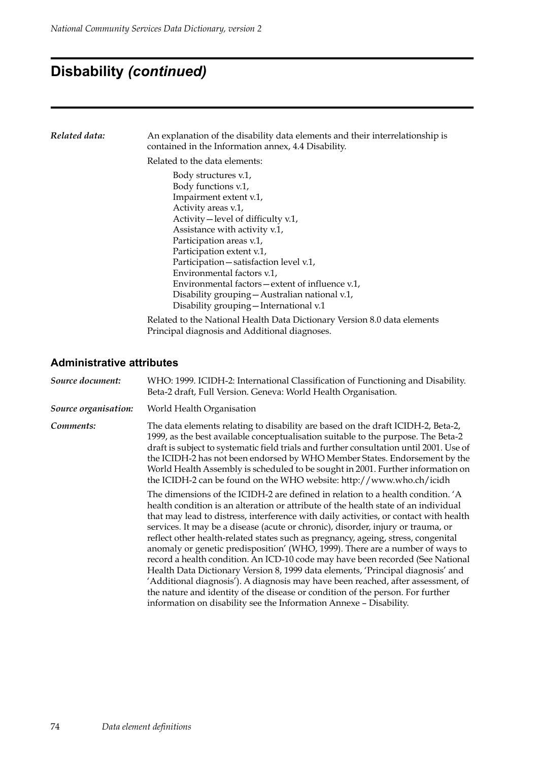# **Disbability** *(continued)*

| Related data: | An explanation of the disability data elements and their interrelationship is<br>contained in the Information annex, 4.4 Disability.                                                                                                                                                                                                                                                                                                                            |  |  |  |  |
|---------------|-----------------------------------------------------------------------------------------------------------------------------------------------------------------------------------------------------------------------------------------------------------------------------------------------------------------------------------------------------------------------------------------------------------------------------------------------------------------|--|--|--|--|
|               | Related to the data elements:                                                                                                                                                                                                                                                                                                                                                                                                                                   |  |  |  |  |
|               | Body structures v.1,<br>Body functions v.1,<br>Impairment extent v.1,<br>Activity areas v.1,<br>Activity – level of difficulty v.1,<br>Assistance with activity v.1,<br>Participation areas v.1,<br>Participation extent v.1,<br>Participation - satisfaction level v.1,<br>Environmental factors v.1,<br>Environmental factors $-\text{extent}$ of influence v.1,<br>Disability grouping - Australian national v.1,<br>Disability grouping - International v.1 |  |  |  |  |
|               | Related to the National Health Data Dictionary Version 8.0 data elements<br>Principal diagnosis and Additional diagnoses.                                                                                                                                                                                                                                                                                                                                       |  |  |  |  |

| Source document:     | WHO: 1999. ICIDH-2: International Classification of Functioning and Disability.<br>Beta-2 draft, Full Version. Geneva: World Health Organisation.                                                                                                                                                                                                                                                                                                                                                                                                                                                                                                                                                                                                                                                                                                       |
|----------------------|---------------------------------------------------------------------------------------------------------------------------------------------------------------------------------------------------------------------------------------------------------------------------------------------------------------------------------------------------------------------------------------------------------------------------------------------------------------------------------------------------------------------------------------------------------------------------------------------------------------------------------------------------------------------------------------------------------------------------------------------------------------------------------------------------------------------------------------------------------|
| Source organisation: | World Health Organisation                                                                                                                                                                                                                                                                                                                                                                                                                                                                                                                                                                                                                                                                                                                                                                                                                               |
| Comments:            | The data elements relating to disability are based on the draft ICIDH-2, Beta-2,<br>1999, as the best available conceptualisation suitable to the purpose. The Beta-2<br>draft is subject to systematic field trials and further consultation until 2001. Use of<br>the ICIDH-2 has not been endorsed by WHO Member States. Endorsement by the<br>World Health Assembly is scheduled to be sought in 2001. Further information on<br>the ICIDH-2 can be found on the WHO website: http://www.who.ch/icidh<br>The dimensions of the ICIDH-2 are defined in relation to a health condition. 'A                                                                                                                                                                                                                                                            |
|                      | health condition is an alteration or attribute of the health state of an individual<br>that may lead to distress, interference with daily activities, or contact with health<br>services. It may be a disease (acute or chronic), disorder, injury or trauma, or<br>reflect other health-related states such as pregnancy, ageing, stress, congenital<br>anomaly or genetic predisposition' (WHO, 1999). There are a number of ways to<br>record a health condition. An ICD-10 code may have been recorded (See National<br>Health Data Dictionary Version 8, 1999 data elements, 'Principal diagnosis' and<br>'Additional diagnosis'). A diagnosis may have been reached, after assessment, of<br>the nature and identity of the disease or condition of the person. For further<br>information on disability see the Information Annexe - Disability. |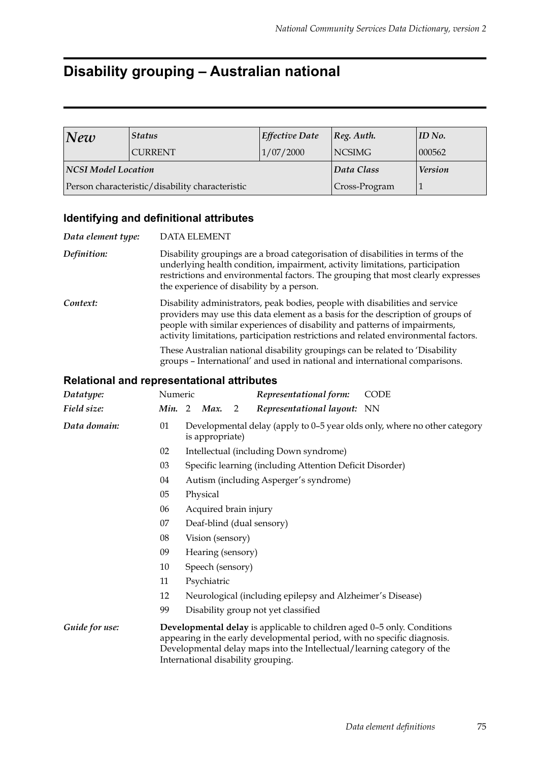## **Disability grouping – Australian national**

| New                        | <b>Status</b>                                   | <b>Effective Date</b> | Reg. Author.   | ID No. |
|----------------------------|-------------------------------------------------|-----------------------|----------------|--------|
|                            | <b>CURRENT</b>                                  | 1/07/2000             | NCSIMG         | 000562 |
| <b>NCSI Model Location</b> |                                                 | Data Class            | <b>Version</b> |        |
|                            | Person characteristic/disability characteristic | Cross-Program         |                |        |

#### **Identifying and definitional attributes**

| Data element type: | <b>DATA ELEMENT</b>                                                                                                                                                                                                                                                                                                                  |  |  |  |  |
|--------------------|--------------------------------------------------------------------------------------------------------------------------------------------------------------------------------------------------------------------------------------------------------------------------------------------------------------------------------------|--|--|--|--|
| Definition:        | Disability groupings are a broad categorisation of disabilities in terms of the<br>underlying health condition, impairment, activity limitations, participation<br>restrictions and environmental factors. The grouping that most clearly expresses<br>the experience of disability by a person.                                     |  |  |  |  |
| Context:           | Disability administrators, peak bodies, people with disabilities and service<br>providers may use this data element as a basis for the description of groups of<br>people with similar experiences of disability and patterns of impairments,<br>activity limitations, participation restrictions and related environmental factors. |  |  |  |  |
|                    | These Australian national disability groupings can be related to 'Disability<br>groups - International' and used in national and international comparisons.                                                                                                                                                                          |  |  |  |  |

| Datatype:      | Numeric |                                                                                                                                                                                                                                                                      |                       |                | Representational form:                                    | <b>CODE</b>                                                               |  |
|----------------|---------|----------------------------------------------------------------------------------------------------------------------------------------------------------------------------------------------------------------------------------------------------------------------|-----------------------|----------------|-----------------------------------------------------------|---------------------------------------------------------------------------|--|
| Field size:    | Min. 2  |                                                                                                                                                                                                                                                                      | Max.                  | $\overline{2}$ | Representational layout: NN                               |                                                                           |  |
| Data domain:   | 01      |                                                                                                                                                                                                                                                                      | is appropriate)       |                |                                                           | Developmental delay (apply to 0–5 year olds only, where no other category |  |
|                | 02      |                                                                                                                                                                                                                                                                      |                       |                | Intellectual (including Down syndrome)                    |                                                                           |  |
|                | 03      |                                                                                                                                                                                                                                                                      |                       |                | Specific learning (including Attention Deficit Disorder)  |                                                                           |  |
|                | 04      |                                                                                                                                                                                                                                                                      |                       |                | Autism (including Asperger's syndrome)                    |                                                                           |  |
|                | 05      |                                                                                                                                                                                                                                                                      | Physical              |                |                                                           |                                                                           |  |
|                | 06      |                                                                                                                                                                                                                                                                      | Acquired brain injury |                |                                                           |                                                                           |  |
|                | 07      |                                                                                                                                                                                                                                                                      |                       |                | Deaf-blind (dual sensory)                                 |                                                                           |  |
|                | 08      | Vision (sensory)                                                                                                                                                                                                                                                     |                       |                |                                                           |                                                                           |  |
|                | 09      | Hearing (sensory)                                                                                                                                                                                                                                                    |                       |                |                                                           |                                                                           |  |
|                | 10      | Speech (sensory)                                                                                                                                                                                                                                                     |                       |                |                                                           |                                                                           |  |
|                | 11      |                                                                                                                                                                                                                                                                      | Psychiatric           |                |                                                           |                                                                           |  |
|                | 12      |                                                                                                                                                                                                                                                                      |                       |                | Neurological (including epilepsy and Alzheimer's Disease) |                                                                           |  |
|                | 99      |                                                                                                                                                                                                                                                                      |                       |                | Disability group not yet classified                       |                                                                           |  |
| Guide for use: |         | Developmental delay is applicable to children aged 0-5 only. Conditions<br>appearing in the early developmental period, with no specific diagnosis.<br>Developmental delay maps into the Intellectual/learning category of the<br>International disability grouping. |                       |                |                                                           |                                                                           |  |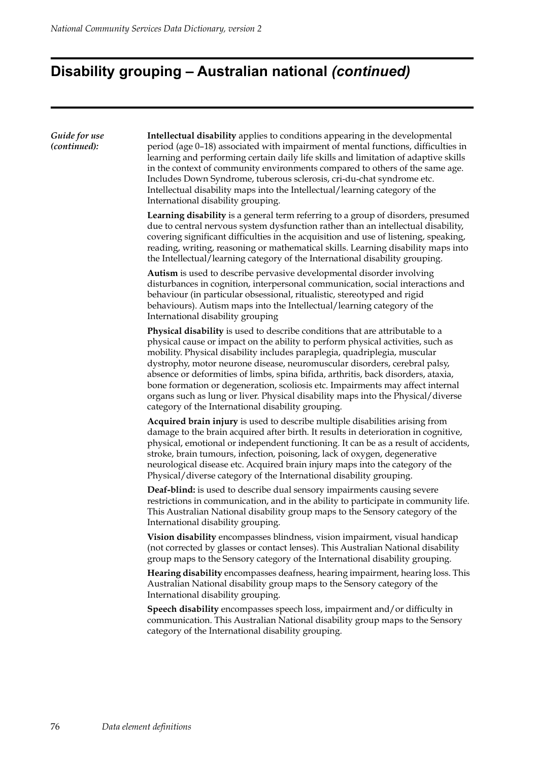# **Disability grouping – Australian national** *(continued)*

| Guide for use<br>(continued): | <b>Intellectual disability</b> applies to conditions appearing in the developmental<br>period (age 0-18) associated with impairment of mental functions, difficulties in<br>learning and performing certain daily life skills and limitation of adaptive skills<br>in the context of community environments compared to others of the same age.<br>Includes Down Syndrome, tuberous sclerosis, cri-du-chat syndrome etc.<br>Intellectual disability maps into the Intellectual/learning category of the<br>International disability grouping.                                                                                                |
|-------------------------------|----------------------------------------------------------------------------------------------------------------------------------------------------------------------------------------------------------------------------------------------------------------------------------------------------------------------------------------------------------------------------------------------------------------------------------------------------------------------------------------------------------------------------------------------------------------------------------------------------------------------------------------------|
|                               | <b>Learning disability</b> is a general term referring to a group of disorders, presumed<br>due to central nervous system dysfunction rather than an intellectual disability,<br>covering significant difficulties in the acquisition and use of listening, speaking,<br>reading, writing, reasoning or mathematical skills. Learning disability maps into<br>the Intellectual/learning category of the International disability grouping.                                                                                                                                                                                                   |
|                               | Autism is used to describe pervasive developmental disorder involving<br>disturbances in cognition, interpersonal communication, social interactions and<br>behaviour (in particular obsessional, ritualistic, stereotyped and rigid<br>behaviours). Autism maps into the Intellectual/learning category of the<br>International disability grouping                                                                                                                                                                                                                                                                                         |
|                               | Physical disability is used to describe conditions that are attributable to a<br>physical cause or impact on the ability to perform physical activities, such as<br>mobility. Physical disability includes paraplegia, quadriplegia, muscular<br>dystrophy, motor neurone disease, neuromuscular disorders, cerebral palsy,<br>absence or deformities of limbs, spina bifida, arthritis, back disorders, ataxia,<br>bone formation or degeneration, scoliosis etc. Impairments may affect internal<br>organs such as lung or liver. Physical disability maps into the Physical/diverse<br>category of the International disability grouping. |
|                               | Acquired brain injury is used to describe multiple disabilities arising from<br>damage to the brain acquired after birth. It results in deterioration in cognitive,<br>physical, emotional or independent functioning. It can be as a result of accidents,<br>stroke, brain tumours, infection, poisoning, lack of oxygen, degenerative<br>neurological disease etc. Acquired brain injury maps into the category of the<br>Physical/diverse category of the International disability grouping.                                                                                                                                              |
|                               | Deaf-blind: is used to describe dual sensory impairments causing severe<br>restrictions in communication, and in the ability to participate in community life.<br>This Australian National disability group maps to the Sensory category of the<br>International disability grouping.                                                                                                                                                                                                                                                                                                                                                        |
|                               | Vision disability encompasses blindness, vision impairment, visual handicap<br>(not corrected by glasses or contact lenses). This Australian National disability<br>group maps to the Sensory category of the International disability grouping.                                                                                                                                                                                                                                                                                                                                                                                             |
|                               | Hearing disability encompasses deafness, hearing impairment, hearing loss. This<br>Australian National disability group maps to the Sensory category of the<br>International disability grouping.                                                                                                                                                                                                                                                                                                                                                                                                                                            |
|                               | Speech disability encompasses speech loss, impairment and/or difficulty in<br>communication. This Australian National disability group maps to the Sensory<br>category of the International disability grouping.                                                                                                                                                                                                                                                                                                                                                                                                                             |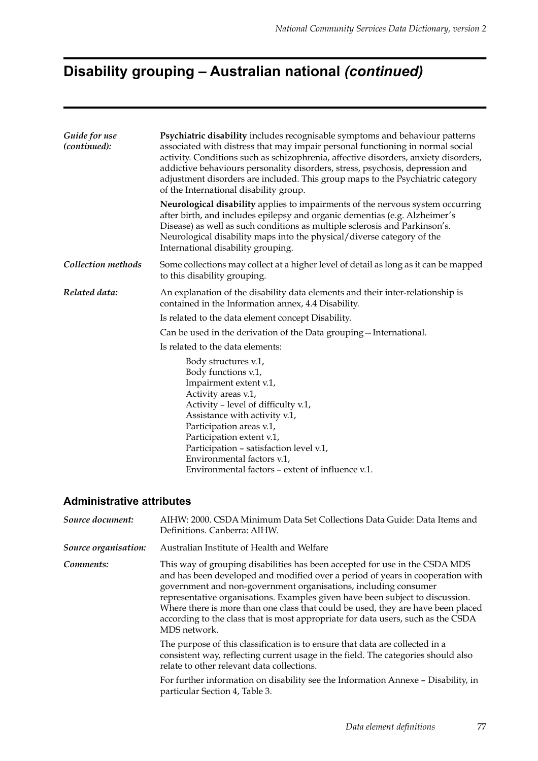# **Disability grouping – Australian national** *(continued)*

| Guide for use<br>(continued): | Psychiatric disability includes recognisable symptoms and behaviour patterns<br>associated with distress that may impair personal functioning in normal social<br>activity. Conditions such as schizophrenia, affective disorders, anxiety disorders,<br>addictive behaviours personality disorders, stress, psychosis, depression and<br>adjustment disorders are included. This group maps to the Psychiatric category<br>of the International disability group. |  |  |  |  |  |
|-------------------------------|--------------------------------------------------------------------------------------------------------------------------------------------------------------------------------------------------------------------------------------------------------------------------------------------------------------------------------------------------------------------------------------------------------------------------------------------------------------------|--|--|--|--|--|
|                               | Neurological disability applies to impairments of the nervous system occurring<br>after birth, and includes epilepsy and organic dementias (e.g. Alzheimer's<br>Disease) as well as such conditions as multiple sclerosis and Parkinson's.<br>Neurological disability maps into the physical/diverse category of the<br>International disability grouping.                                                                                                         |  |  |  |  |  |
| Collection methods            | Some collections may collect at a higher level of detail as long as it can be mapped<br>to this disability grouping.                                                                                                                                                                                                                                                                                                                                               |  |  |  |  |  |
| Related data:                 | An explanation of the disability data elements and their inter-relationship is<br>contained in the Information annex, 4.4 Disability.                                                                                                                                                                                                                                                                                                                              |  |  |  |  |  |
|                               | Is related to the data element concept Disability.                                                                                                                                                                                                                                                                                                                                                                                                                 |  |  |  |  |  |
|                               | Can be used in the derivation of the Data grouping - International.                                                                                                                                                                                                                                                                                                                                                                                                |  |  |  |  |  |
|                               | Is related to the data elements:                                                                                                                                                                                                                                                                                                                                                                                                                                   |  |  |  |  |  |
|                               | Body structures v.1,<br>Body functions v.1,<br>Impairment extent v.1,<br>Activity areas v.1,<br>Activity - level of difficulty v.1,<br>Assistance with activity v.1,<br>Participation areas v.1,<br>Participation extent v.1,<br>Participation - satisfaction level v.1,<br>Environmental factors v.1,<br>Environmental factors - extent of influence v.1.                                                                                                         |  |  |  |  |  |

| Source document:     | AIHW: 2000. CSDA Minimum Data Set Collections Data Guide: Data Items and<br>Definitions. Canberra: AIHW.                                                                                                                                                                                                                                                                                                                                                                                                  |
|----------------------|-----------------------------------------------------------------------------------------------------------------------------------------------------------------------------------------------------------------------------------------------------------------------------------------------------------------------------------------------------------------------------------------------------------------------------------------------------------------------------------------------------------|
| Source organisation: | Australian Institute of Health and Welfare                                                                                                                                                                                                                                                                                                                                                                                                                                                                |
| Comments:            | This way of grouping disabilities has been accepted for use in the CSDA MDS<br>and has been developed and modified over a period of years in cooperation with<br>government and non-government organisations, including consumer<br>representative organisations. Examples given have been subject to discussion.<br>Where there is more than one class that could be used, they are have been placed<br>according to the class that is most appropriate for data users, such as the CSDA<br>MDS network. |
|                      | The purpose of this classification is to ensure that data are collected in a<br>consistent way, reflecting current usage in the field. The categories should also<br>relate to other relevant data collections.                                                                                                                                                                                                                                                                                           |
|                      | For further information on disability see the Information Annexe - Disability, in<br>particular Section 4, Table 3.                                                                                                                                                                                                                                                                                                                                                                                       |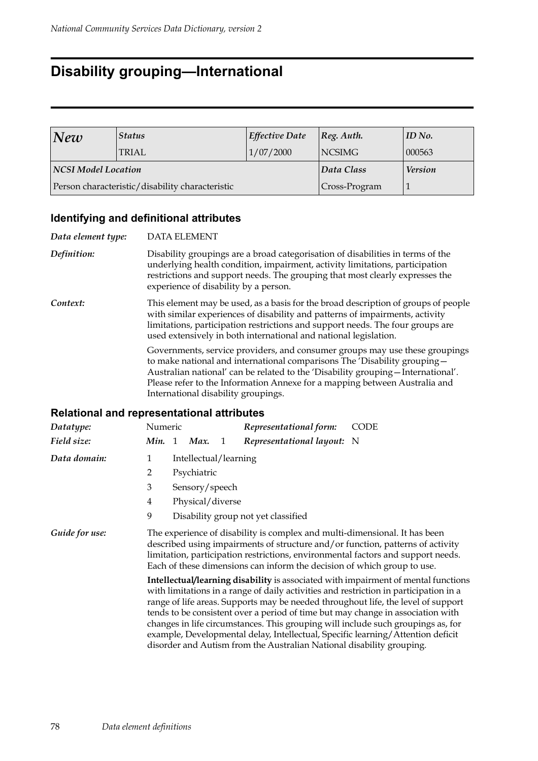### **Disability grouping—International**

| New                 | <b>Status</b>                                   | Effective Date | $ Reg.$ Auth.  | ID No. |
|---------------------|-------------------------------------------------|----------------|----------------|--------|
|                     | TRIAL                                           | 1/07/2000      | <b>NCSIMG</b>  | 000563 |
| NCSI Model Location |                                                 | Data Class     | <b>Version</b> |        |
|                     | Person characteristic/disability characteristic | Cross-Program  |                |        |

### **Identifying and definitional attributes**

| Data element type: | <b>DATA ELEMENT</b>                                                                                                                                                                                                                                                                                                                                                |
|--------------------|--------------------------------------------------------------------------------------------------------------------------------------------------------------------------------------------------------------------------------------------------------------------------------------------------------------------------------------------------------------------|
| Definition:        | Disability groupings are a broad categorisation of disabilities in terms of the<br>underlying health condition, impairment, activity limitations, participation<br>restrictions and support needs. The grouping that most clearly expresses the<br>experience of disability by a person.                                                                           |
| Context:           | This element may be used, as a basis for the broad description of groups of people<br>with similar experiences of disability and patterns of impairments, activity<br>limitations, participation restrictions and support needs. The four groups are<br>used extensively in both international and national legislation.                                           |
|                    | Governments, service providers, and consumer groups may use these groupings<br>to make national and international comparisons The 'Disability grouping -<br>Australian national' can be related to the 'Disability grouping - International'.<br>Please refer to the Information Annexe for a mapping between Australia and<br>International disability groupings. |

| Datatype:      | Numeric |                       |   | Representational form:                                                                                                                                | <b>CODE</b>                                                                                                                                                                                                                                                                                                                                                                                                                                                                                                                |
|----------------|---------|-----------------------|---|-------------------------------------------------------------------------------------------------------------------------------------------------------|----------------------------------------------------------------------------------------------------------------------------------------------------------------------------------------------------------------------------------------------------------------------------------------------------------------------------------------------------------------------------------------------------------------------------------------------------------------------------------------------------------------------------|
| Field size:    | Min. 1  | Max.                  | 1 | Representational layout: N                                                                                                                            |                                                                                                                                                                                                                                                                                                                                                                                                                                                                                                                            |
| Data domain:   | 1       | Intellectual/learning |   |                                                                                                                                                       |                                                                                                                                                                                                                                                                                                                                                                                                                                                                                                                            |
|                | 2       | Psychiatric           |   |                                                                                                                                                       |                                                                                                                                                                                                                                                                                                                                                                                                                                                                                                                            |
|                | 3       | Sensory/speech        |   |                                                                                                                                                       |                                                                                                                                                                                                                                                                                                                                                                                                                                                                                                                            |
|                | 4       | Physical/diverse      |   |                                                                                                                                                       |                                                                                                                                                                                                                                                                                                                                                                                                                                                                                                                            |
|                | 9       |                       |   | Disability group not yet classified                                                                                                                   |                                                                                                                                                                                                                                                                                                                                                                                                                                                                                                                            |
| Guide for use: |         |                       |   | The experience of disability is complex and multi-dimensional. It has been<br>Each of these dimensions can inform the decision of which group to use. | described using impairments of structure and/or function, patterns of activity<br>limitation, participation restrictions, environmental factors and support needs.                                                                                                                                                                                                                                                                                                                                                         |
|                |         |                       |   | disorder and Autism from the Australian National disability grouping.                                                                                 | Intellectual/learning disability is associated with impairment of mental functions<br>with limitations in a range of daily activities and restriction in participation in a<br>range of life areas. Supports may be needed throughout life, the level of support<br>tends to be consistent over a period of time but may change in association with<br>changes in life circumstances. This grouping will include such groupings as, for<br>example, Developmental delay, Intellectual, Specific learning/Attention deficit |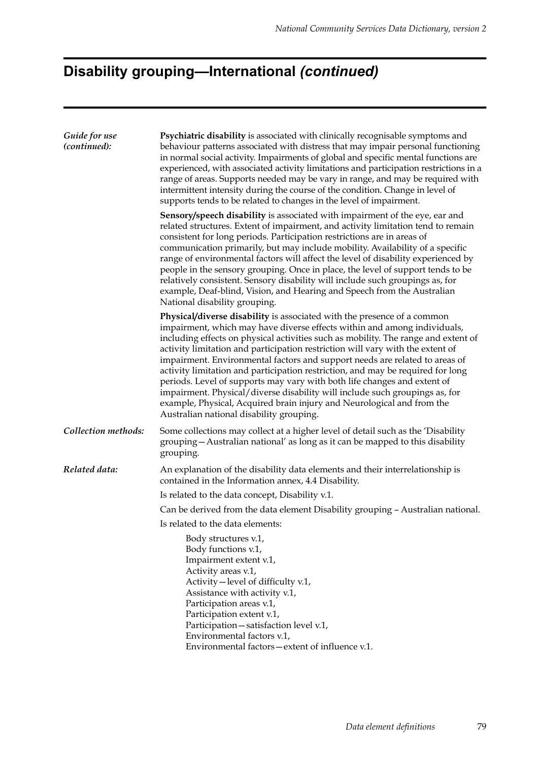# **Disability grouping—International** *(continued)*

| Guide for use<br>(continued): | Psychiatric disability is associated with clinically recognisable symptoms and<br>behaviour patterns associated with distress that may impair personal functioning<br>in normal social activity. Impairments of global and specific mental functions are<br>experienced, with associated activity limitations and participation restrictions in a<br>range of areas. Supports needed may be vary in range, and may be required with<br>intermittent intensity during the course of the condition. Change in level of<br>supports tends to be related to changes in the level of impairment.                                                                                                                                                                                    |
|-------------------------------|--------------------------------------------------------------------------------------------------------------------------------------------------------------------------------------------------------------------------------------------------------------------------------------------------------------------------------------------------------------------------------------------------------------------------------------------------------------------------------------------------------------------------------------------------------------------------------------------------------------------------------------------------------------------------------------------------------------------------------------------------------------------------------|
|                               | Sensory/speech disability is associated with impairment of the eye, ear and<br>related structures. Extent of impairment, and activity limitation tend to remain<br>consistent for long periods. Participation restrictions are in areas of<br>communication primarily, but may include mobility. Availability of a specific<br>range of environmental factors will affect the level of disability experienced by<br>people in the sensory grouping. Once in place, the level of support tends to be<br>relatively consistent. Sensory disability will include such groupings as, for<br>example, Deaf-blind, Vision, and Hearing and Speech from the Australian<br>National disability grouping.                                                                               |
|                               | Physical/diverse disability is associated with the presence of a common<br>impairment, which may have diverse effects within and among individuals,<br>including effects on physical activities such as mobility. The range and extent of<br>activity limitation and participation restriction will vary with the extent of<br>impairment. Environmental factors and support needs are related to areas of<br>activity limitation and participation restriction, and may be required for long<br>periods. Level of supports may vary with both life changes and extent of<br>impairment. Physical/diverse disability will include such groupings as, for<br>example, Physical, Acquired brain injury and Neurological and from the<br>Australian national disability grouping. |
| Collection methods:           | Some collections may collect at a higher level of detail such as the 'Disability<br>grouping - Australian national' as long as it can be mapped to this disability<br>grouping.                                                                                                                                                                                                                                                                                                                                                                                                                                                                                                                                                                                                |
| Related data:                 | An explanation of the disability data elements and their interrelationship is<br>contained in the Information annex, 4.4 Disability.                                                                                                                                                                                                                                                                                                                                                                                                                                                                                                                                                                                                                                           |
|                               | Is related to the data concept, Disability v.1.                                                                                                                                                                                                                                                                                                                                                                                                                                                                                                                                                                                                                                                                                                                                |
|                               | Can be derived from the data element Disability grouping - Australian national.                                                                                                                                                                                                                                                                                                                                                                                                                                                                                                                                                                                                                                                                                                |
|                               | Is related to the data elements:                                                                                                                                                                                                                                                                                                                                                                                                                                                                                                                                                                                                                                                                                                                                               |
|                               | Body structures v.1,<br>Body functions v.1,<br>Impairment extent v.1,<br>Activity areas v.1,<br>Activity – level of difficulty v.1,<br>Assistance with activity v.1,<br>Participation areas v.1,<br>Participation extent v.1,<br>Participation-satisfaction level v.1,<br>Environmental factors v.1,<br>Environmental factors-extent of influence v.1.                                                                                                                                                                                                                                                                                                                                                                                                                         |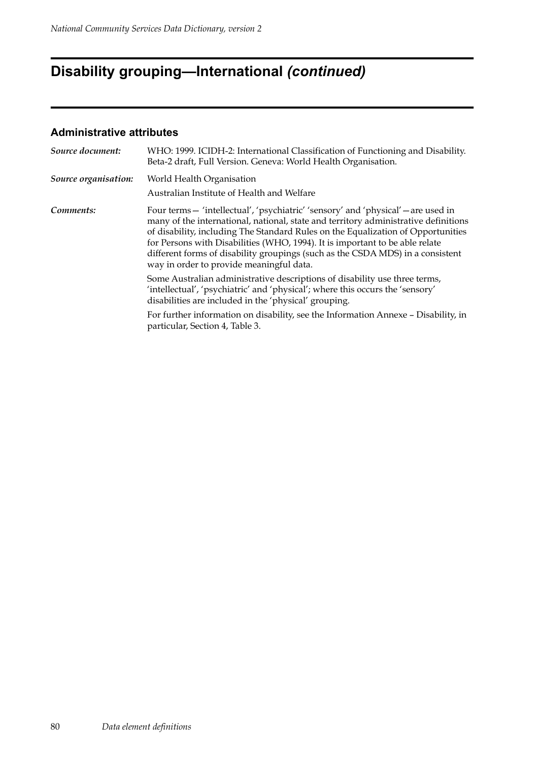# **Disability grouping—International** *(continued)*

| Source document:     | WHO: 1999. ICIDH-2: International Classification of Functioning and Disability.<br>Beta-2 draft, Full Version. Geneva: World Health Organisation.                                                                                                                                                                                                                                                                                                                          |  |  |  |
|----------------------|----------------------------------------------------------------------------------------------------------------------------------------------------------------------------------------------------------------------------------------------------------------------------------------------------------------------------------------------------------------------------------------------------------------------------------------------------------------------------|--|--|--|
| Source organisation: | World Health Organisation<br>Australian Institute of Health and Welfare                                                                                                                                                                                                                                                                                                                                                                                                    |  |  |  |
| Comments:            | Four terms - 'intellectual', 'psychiatric' 'sensory' and 'physical' - are used in<br>many of the international, national, state and territory administrative definitions<br>of disability, including The Standard Rules on the Equalization of Opportunities<br>for Persons with Disabilities (WHO, 1994). It is important to be able relate<br>different forms of disability groupings (such as the CSDA MDS) in a consistent<br>way in order to provide meaningful data. |  |  |  |
|                      | Some Australian administrative descriptions of disability use three terms,<br>'intellectual', 'psychiatric' and 'physical'; where this occurs the 'sensory'<br>disabilities are included in the 'physical' grouping.                                                                                                                                                                                                                                                       |  |  |  |
|                      | For further information on disability, see the Information Annexe - Disability, in<br>particular, Section 4, Table 3.                                                                                                                                                                                                                                                                                                                                                      |  |  |  |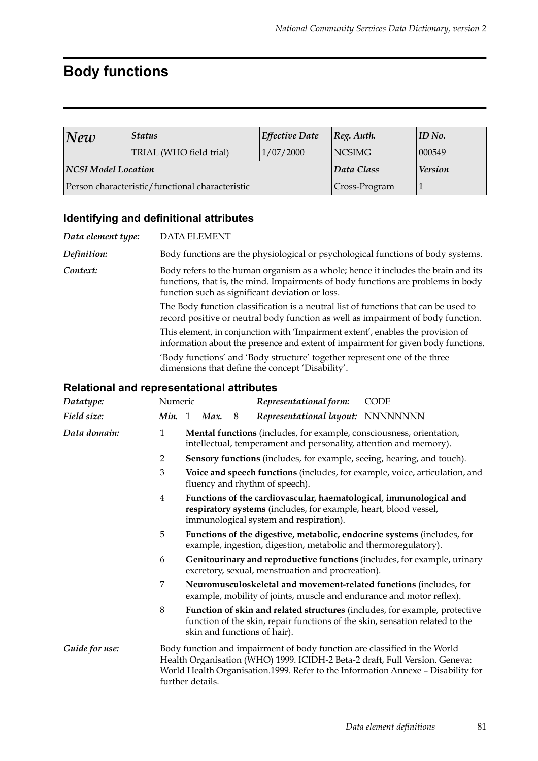# **Body functions**

| New                 | <b>Status</b>                                   | <b>Effective Date</b> | $ Reg.$ Auth.  | ID No. |
|---------------------|-------------------------------------------------|-----------------------|----------------|--------|
|                     | TRIAL (WHO field trial)                         | 1/07/2000             | <b>NCSIMG</b>  | 000549 |
| NCSI Model Location |                                                 | Data Class            | <b>Version</b> |        |
|                     | Person characteristic/functional characteristic |                       | Cross-Program  |        |

### **Identifying and definitional attributes**

| Data element type: | DATA ELEMENT                                                                                                                                                                                                             |
|--------------------|--------------------------------------------------------------------------------------------------------------------------------------------------------------------------------------------------------------------------|
| Definition:        | Body functions are the physiological or psychological functions of body systems.                                                                                                                                         |
| Context:           | Body refers to the human organism as a whole; hence it includes the brain and its<br>functions, that is, the mind. Impairments of body functions are problems in body<br>function such as significant deviation or loss. |
|                    | The Body function classification is a neutral list of functions that can be used to<br>record positive or neutral body function as well as impairment of body function.                                                  |
|                    | This element, in conjunction with 'Impairment extent', enables the provision of<br>information about the presence and extent of impairment for given body functions.                                                     |
|                    | 'Body functions' and 'Body structure' together represent one of the three<br>dimensions that define the concept 'Disability'.                                                                                            |
|                    | <b>Relational and representational attributes</b>                                                                                                                                                                        |

| Datatype:      | Numeric        |                                                                                                                                                                                                                                                                  |      |   | Representational form:                                                                                                                    | CODE                                                                                                                                                       |  |  |  |
|----------------|----------------|------------------------------------------------------------------------------------------------------------------------------------------------------------------------------------------------------------------------------------------------------------------|------|---|-------------------------------------------------------------------------------------------------------------------------------------------|------------------------------------------------------------------------------------------------------------------------------------------------------------|--|--|--|
| Field size:    | Min.           | 1                                                                                                                                                                                                                                                                | Max. | 8 | Representational layout: NNNNNNNN                                                                                                         |                                                                                                                                                            |  |  |  |
| Data domain:   | $\mathbf{1}$   |                                                                                                                                                                                                                                                                  |      |   | Mental functions (includes, for example, consciousness, orientation,<br>intellectual, temperament and personality, attention and memory). |                                                                                                                                                            |  |  |  |
|                | $\overline{2}$ |                                                                                                                                                                                                                                                                  |      |   | Sensory functions (includes, for example, seeing, hearing, and touch).                                                                    |                                                                                                                                                            |  |  |  |
|                | 3              |                                                                                                                                                                                                                                                                  |      |   | fluency and rhythm of speech).                                                                                                            | Voice and speech functions (includes, for example, voice, articulation, and                                                                                |  |  |  |
|                | 4              | Functions of the cardiovascular, haematological, immunological and<br>respiratory systems (includes, for example, heart, blood vessel,<br>immunological system and respiration).                                                                                 |      |   |                                                                                                                                           |                                                                                                                                                            |  |  |  |
|                | 5              | Functions of the digestive, metabolic, endocrine systems (includes, for<br>example, ingestion, digestion, metabolic and thermoregulatory).                                                                                                                       |      |   |                                                                                                                                           |                                                                                                                                                            |  |  |  |
|                | 6              | Genitourinary and reproductive functions (includes, for example, urinary<br>excretory, sexual, menstruation and procreation).                                                                                                                                    |      |   |                                                                                                                                           |                                                                                                                                                            |  |  |  |
|                | 7              |                                                                                                                                                                                                                                                                  |      |   | example, mobility of joints, muscle and endurance and motor reflex).                                                                      | Neuromusculoskeletal and movement-related functions (includes, for                                                                                         |  |  |  |
|                | $\,8\,$        |                                                                                                                                                                                                                                                                  |      |   | skin and functions of hair).                                                                                                              | Function of skin and related structures (includes, for example, protective<br>function of the skin, repair functions of the skin, sensation related to the |  |  |  |
| Guide for use: |                | Body function and impairment of body function are classified in the World<br>Health Organisation (WHO) 1999. ICIDH-2 Beta-2 draft, Full Version. Geneva:<br>World Health Organisation.1999. Refer to the Information Annexe - Disability for<br>further details. |      |   |                                                                                                                                           |                                                                                                                                                            |  |  |  |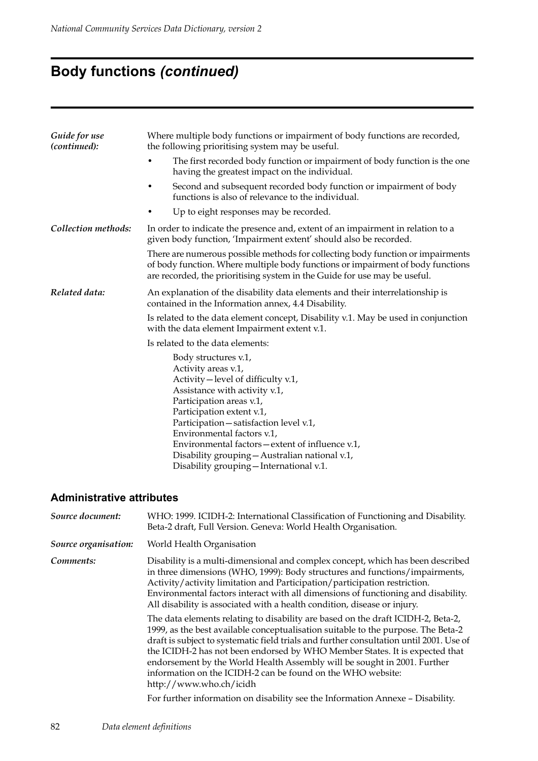# **Body functions** *(continued)*

| Where multiple body functions or impairment of body functions are recorded,<br>the following prioritising system may be useful.                                                                                                                                                                                                                                                                       |  |  |  |  |  |
|-------------------------------------------------------------------------------------------------------------------------------------------------------------------------------------------------------------------------------------------------------------------------------------------------------------------------------------------------------------------------------------------------------|--|--|--|--|--|
| The first recorded body function or impairment of body function is the one<br>having the greatest impact on the individual.                                                                                                                                                                                                                                                                           |  |  |  |  |  |
| Second and subsequent recorded body function or impairment of body<br>٠<br>functions is also of relevance to the individual.                                                                                                                                                                                                                                                                          |  |  |  |  |  |
| Up to eight responses may be recorded.                                                                                                                                                                                                                                                                                                                                                                |  |  |  |  |  |
| In order to indicate the presence and, extent of an impairment in relation to a<br>given body function, 'Impairment extent' should also be recorded.                                                                                                                                                                                                                                                  |  |  |  |  |  |
| There are numerous possible methods for collecting body function or impairments<br>of body function. Where multiple body functions or impairment of body functions<br>are recorded, the prioritising system in the Guide for use may be useful.                                                                                                                                                       |  |  |  |  |  |
| An explanation of the disability data elements and their interrelationship is<br>contained in the Information annex, 4.4 Disability.                                                                                                                                                                                                                                                                  |  |  |  |  |  |
| Is related to the data element concept, Disability v.1. May be used in conjunction<br>with the data element Impairment extent v.1.                                                                                                                                                                                                                                                                    |  |  |  |  |  |
| Is related to the data elements:                                                                                                                                                                                                                                                                                                                                                                      |  |  |  |  |  |
| Body structures v.1,<br>Activity areas v.1,<br>Activity-level of difficulty v.1,<br>Assistance with activity v.1,<br>Participation areas v.1,<br>Participation extent v.1,<br>Participation - satisfaction level v.1,<br>Environmental factors v.1,<br>Environmental factors – extent of influence v.1,<br>Disability grouping - Australian national v.1,<br>Disability grouping - International v.1. |  |  |  |  |  |
|                                                                                                                                                                                                                                                                                                                                                                                                       |  |  |  |  |  |

| Source document:     | WHO: 1999. ICIDH-2: International Classification of Functioning and Disability.<br>Beta-2 draft, Full Version. Geneva: World Health Organisation.                                                                                                                                                                                                                                                                                                                                                                     |
|----------------------|-----------------------------------------------------------------------------------------------------------------------------------------------------------------------------------------------------------------------------------------------------------------------------------------------------------------------------------------------------------------------------------------------------------------------------------------------------------------------------------------------------------------------|
| Source organisation: | World Health Organisation                                                                                                                                                                                                                                                                                                                                                                                                                                                                                             |
| Comments:            | Disability is a multi-dimensional and complex concept, which has been described<br>in three dimensions (WHO, 1999): Body structures and functions/impairments,<br>Activity/activity limitation and Participation/participation restriction.<br>Environmental factors interact with all dimensions of functioning and disability.<br>All disability is associated with a health condition, disease or injury.                                                                                                          |
|                      | The data elements relating to disability are based on the draft ICIDH-2, Beta-2,<br>1999, as the best available conceptualisation suitable to the purpose. The Beta-2<br>draft is subject to systematic field trials and further consultation until 2001. Use of<br>the ICIDH-2 has not been endorsed by WHO Member States. It is expected that<br>endorsement by the World Health Assembly will be sought in 2001. Further<br>information on the ICIDH-2 can be found on the WHO website:<br>http://www.who.ch/icidh |
|                      | For further information on disability see the Information Annexe - Disability.                                                                                                                                                                                                                                                                                                                                                                                                                                        |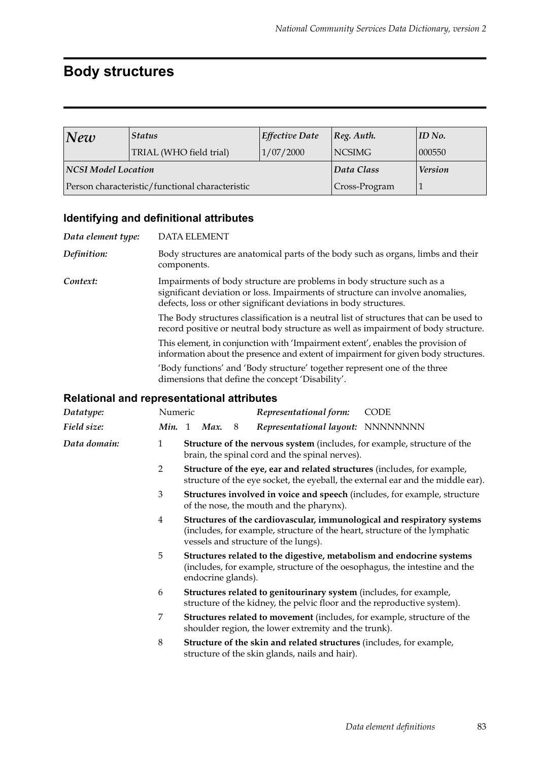### **Body structures**

| New                 | <b>Status</b>                                   | <b>Effective Date</b> | $ Reg.$ Auth.  | $ID$ No. |
|---------------------|-------------------------------------------------|-----------------------|----------------|----------|
|                     | TRIAL (WHO field trial)                         | 1/07/2000             | 000550         |          |
| NCSI Model Location |                                                 | Data Class            | <b>Version</b> |          |
|                     | Person characteristic/functional characteristic | Cross-Program         |                |          |

#### **Identifying and definitional attributes**

| Data element type:                                |                | <b>DATA ELEMENT</b>                                                                                                               |                                                                                                                                                                                               |   |  |                                                                   |  |                                                                                                                                                                              |
|---------------------------------------------------|----------------|-----------------------------------------------------------------------------------------------------------------------------------|-----------------------------------------------------------------------------------------------------------------------------------------------------------------------------------------------|---|--|-------------------------------------------------------------------|--|------------------------------------------------------------------------------------------------------------------------------------------------------------------------------|
| Definition:                                       |                |                                                                                                                                   | Body structures are anatomical parts of the body such as organs, limbs and their<br>components.                                                                                               |   |  |                                                                   |  |                                                                                                                                                                              |
| Context:                                          |                |                                                                                                                                   |                                                                                                                                                                                               |   |  | defects, loss or other significant deviations in body structures. |  | Impairments of body structure are problems in body structure such as a<br>significant deviation or loss. Impairments of structure can involve anomalies,                     |
|                                                   |                |                                                                                                                                   |                                                                                                                                                                                               |   |  |                                                                   |  | The Body structures classification is a neutral list of structures that can be used to<br>record positive or neutral body structure as well as impairment of body structure. |
|                                                   |                |                                                                                                                                   |                                                                                                                                                                                               |   |  |                                                                   |  | This element, in conjunction with 'Impairment extent', enables the provision of<br>information about the presence and extent of impairment for given body structures.        |
|                                                   |                |                                                                                                                                   |                                                                                                                                                                                               |   |  | dimensions that define the concept 'Disability'.                  |  | 'Body functions' and 'Body structure' together represent one of the three                                                                                                    |
| <b>Relational and representational attributes</b> |                |                                                                                                                                   |                                                                                                                                                                                               |   |  |                                                                   |  |                                                                                                                                                                              |
| Datatype:                                         | Numeric        |                                                                                                                                   |                                                                                                                                                                                               |   |  | Representational form:                                            |  | <b>CODE</b>                                                                                                                                                                  |
| Field size:                                       | <b>Min.</b> 1  |                                                                                                                                   | Max.                                                                                                                                                                                          | 8 |  |                                                                   |  | Representational layout: NNNNNNNN                                                                                                                                            |
| Data domain:                                      | $\mathbf{1}$   | <b>Structure of the nervous system</b> (includes, for example, structure of the<br>brain, the spinal cord and the spinal nerves). |                                                                                                                                                                                               |   |  |                                                                   |  |                                                                                                                                                                              |
|                                                   | $\overline{2}$ |                                                                                                                                   | Structure of the eye, ear and related structures (includes, for example,<br>structure of the eye socket, the eyeball, the external ear and the middle ear).                                   |   |  |                                                                   |  |                                                                                                                                                                              |
|                                                   | 3              |                                                                                                                                   | <b>Structures involved in voice and speech</b> (includes, for example, structure<br>of the nose, the mouth and the pharynx).                                                                  |   |  |                                                                   |  |                                                                                                                                                                              |
|                                                   | $\overline{4}$ |                                                                                                                                   | Structures of the cardiovascular, immunological and respiratory systems<br>(includes, for example, structure of the heart, structure of the lymphatic<br>vessels and structure of the lungs). |   |  |                                                                   |  |                                                                                                                                                                              |
|                                                   | 5              |                                                                                                                                   | Structures related to the digestive, metabolism and endocrine systems<br>(includes, for example, structure of the oesophagus, the intestine and the<br>endocrine glands).                     |   |  |                                                                   |  |                                                                                                                                                                              |
|                                                   | 6              |                                                                                                                                   |                                                                                                                                                                                               |   |  |                                                                   |  | Structures related to genitourinary system (includes, for example,<br>structure of the kidney, the pelvic floor and the reproductive system).                                |
|                                                   | 7              |                                                                                                                                   |                                                                                                                                                                                               |   |  |                                                                   |  | Structures related to movement (includes, for example, structure of the                                                                                                      |

- shoulder region, the lower extremity and the trunk). 8 **Structure of the skin and related structures** (includes, for example,
- structure of the skin glands, nails and hair).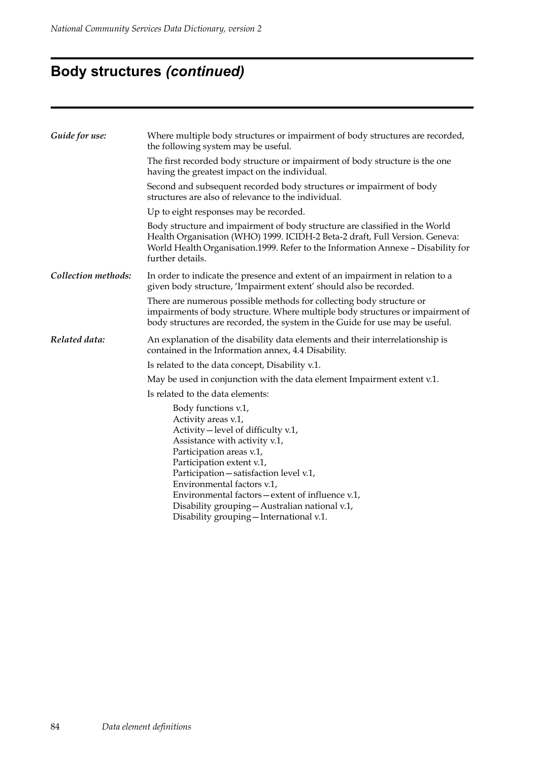# **Body structures** *(continued)*

| Guide for use:      | Where multiple body structures or impairment of body structures are recorded,<br>the following system may be useful.                                                                                                                                                                                                                                                                                   |  |  |  |  |  |
|---------------------|--------------------------------------------------------------------------------------------------------------------------------------------------------------------------------------------------------------------------------------------------------------------------------------------------------------------------------------------------------------------------------------------------------|--|--|--|--|--|
|                     | The first recorded body structure or impairment of body structure is the one<br>having the greatest impact on the individual.                                                                                                                                                                                                                                                                          |  |  |  |  |  |
|                     | Second and subsequent recorded body structures or impairment of body<br>structures are also of relevance to the individual.                                                                                                                                                                                                                                                                            |  |  |  |  |  |
|                     | Up to eight responses may be recorded.                                                                                                                                                                                                                                                                                                                                                                 |  |  |  |  |  |
|                     | Body structure and impairment of body structure are classified in the World<br>Health Organisation (WHO) 1999. ICIDH-2 Beta-2 draft, Full Version. Geneva:<br>World Health Organisation.1999. Refer to the Information Annexe - Disability for<br>further details.                                                                                                                                     |  |  |  |  |  |
| Collection methods: | In order to indicate the presence and extent of an impairment in relation to a<br>given body structure, 'Impairment extent' should also be recorded.                                                                                                                                                                                                                                                   |  |  |  |  |  |
|                     | There are numerous possible methods for collecting body structure or<br>impairments of body structure. Where multiple body structures or impairment of<br>body structures are recorded, the system in the Guide for use may be useful.                                                                                                                                                                 |  |  |  |  |  |
| Related data:       | An explanation of the disability data elements and their interrelationship is<br>contained in the Information annex, 4.4 Disability.                                                                                                                                                                                                                                                                   |  |  |  |  |  |
|                     | Is related to the data concept, Disability v.1.                                                                                                                                                                                                                                                                                                                                                        |  |  |  |  |  |
|                     | May be used in conjunction with the data element Impairment extent v.1.                                                                                                                                                                                                                                                                                                                                |  |  |  |  |  |
|                     | Is related to the data elements:                                                                                                                                                                                                                                                                                                                                                                       |  |  |  |  |  |
|                     | Body functions v.1,<br>Activity areas v.1,<br>Activity – level of difficulty v.1,<br>Assistance with activity v.1,<br>Participation areas v.1,<br>Participation extent v.1,<br>Participation - satisfaction level v.1,<br>Environmental factors v.1,<br>Environmental factors – extent of influence v.1,<br>Disability grouping - Australian national v.1,<br>Disability grouping - International v.1. |  |  |  |  |  |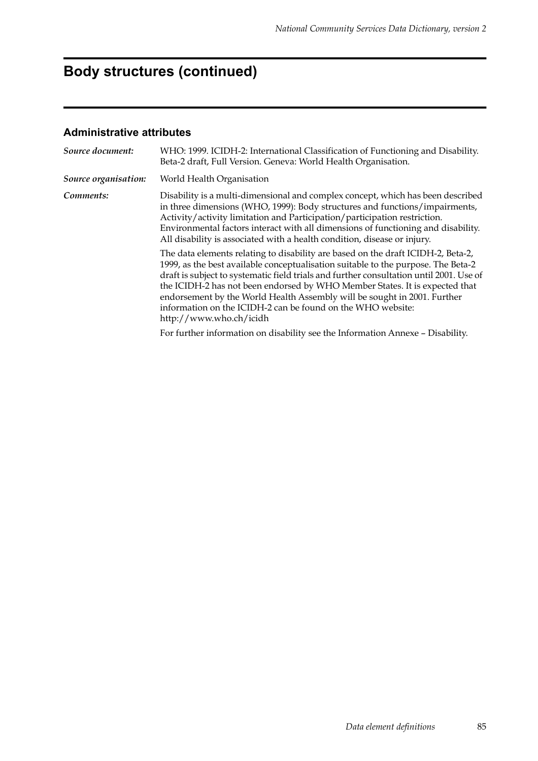# **Body structures (continued)**

| Source document:     | WHO: 1999. ICIDH-2: International Classification of Functioning and Disability.<br>Beta-2 draft, Full Version. Geneva: World Health Organisation.                                                                                                                                                                                                                                                                                                                                                                     |  |  |  |
|----------------------|-----------------------------------------------------------------------------------------------------------------------------------------------------------------------------------------------------------------------------------------------------------------------------------------------------------------------------------------------------------------------------------------------------------------------------------------------------------------------------------------------------------------------|--|--|--|
| Source organisation: | World Health Organisation                                                                                                                                                                                                                                                                                                                                                                                                                                                                                             |  |  |  |
| Comments:            | Disability is a multi-dimensional and complex concept, which has been described<br>in three dimensions (WHO, 1999): Body structures and functions/impairments,<br>Activity/activity limitation and Participation/participation restriction.<br>Environmental factors interact with all dimensions of functioning and disability.<br>All disability is associated with a health condition, disease or injury.                                                                                                          |  |  |  |
|                      | The data elements relating to disability are based on the draft ICIDH-2, Beta-2,<br>1999, as the best available conceptualisation suitable to the purpose. The Beta-2<br>draft is subject to systematic field trials and further consultation until 2001. Use of<br>the ICIDH-2 has not been endorsed by WHO Member States. It is expected that<br>endorsement by the World Health Assembly will be sought in 2001. Further<br>information on the ICIDH-2 can be found on the WHO website:<br>http://www.who.ch/icidh |  |  |  |
|                      | For further information on disability see the Information Annexe - Disability.                                                                                                                                                                                                                                                                                                                                                                                                                                        |  |  |  |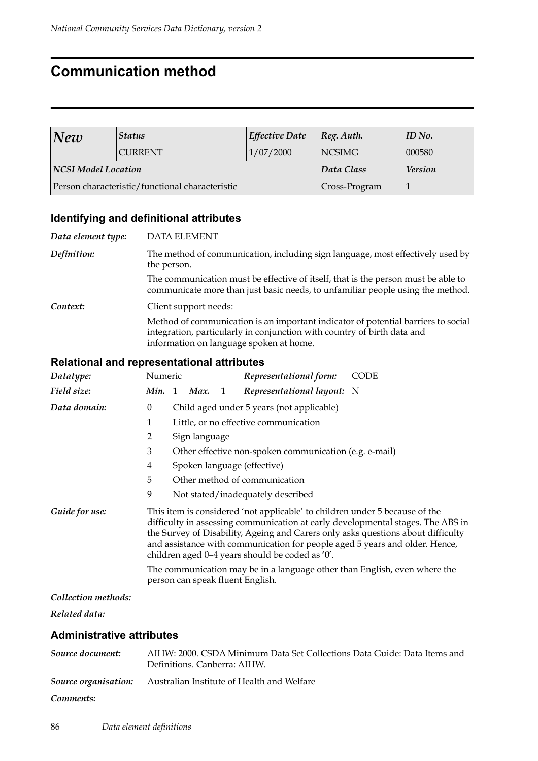### **Communication method**

| New                 | <b>Status</b>                                   | <b>Effective Date</b> | $ Reg.$ Auth.  | ID No. |
|---------------------|-------------------------------------------------|-----------------------|----------------|--------|
|                     | <b>CURRENT</b>                                  | 1/07/2000             | <b>NCSIMG</b>  | 000580 |
| NCSI Model Location |                                                 | Data Class            | <b>Version</b> |        |
|                     | Person characteristic/functional characteristic | Cross-Program         |                |        |

#### **Identifying and definitional attributes**

*Data element type:* DATA ELEMENT *Definition:* The method of communication, including sign language, most effectively used by the person. The communication must be effective of itself, that is the person must be able to communicate more than just basic needs, to unfamiliar people using the method. *Context:* Client support needs: Method of communication is an important indicator of potential barriers to social integration, particularly in conjunction with country of birth data and information on language spoken at home.

#### **Relational and representational attributes**

| Datatype:           | Numeric                                                                                                                                                                                                                                                                                                                                                                              |                               |             |                | Representational form:                                 | <b>CODE</b> |  |
|---------------------|--------------------------------------------------------------------------------------------------------------------------------------------------------------------------------------------------------------------------------------------------------------------------------------------------------------------------------------------------------------------------------------|-------------------------------|-------------|----------------|--------------------------------------------------------|-------------|--|
| Field size:         |                                                                                                                                                                                                                                                                                                                                                                                      |                               | Min. 1 Max. | $\overline{1}$ | Representational layout: N                             |             |  |
| Data domain:        | $\theta$                                                                                                                                                                                                                                                                                                                                                                             |                               |             |                | Child aged under 5 years (not applicable)              |             |  |
|                     | 1                                                                                                                                                                                                                                                                                                                                                                                    |                               |             |                | Little, or no effective communication                  |             |  |
|                     | 2<br>Sign language                                                                                                                                                                                                                                                                                                                                                                   |                               |             |                |                                                        |             |  |
|                     | 3                                                                                                                                                                                                                                                                                                                                                                                    |                               |             |                | Other effective non-spoken communication (e.g. e-mail) |             |  |
|                     | 4                                                                                                                                                                                                                                                                                                                                                                                    |                               |             |                | Spoken language (effective)                            |             |  |
|                     | 5                                                                                                                                                                                                                                                                                                                                                                                    | Other method of communication |             |                |                                                        |             |  |
|                     | 9                                                                                                                                                                                                                                                                                                                                                                                    |                               |             |                | Not stated/inadequately described                      |             |  |
| Guide for use:      | This item is considered 'not applicable' to children under 5 because of the<br>difficulty in assessing communication at early developmental stages. The ABS in<br>the Survey of Disability, Ageing and Carers only asks questions about difficulty<br>and assistance with communication for people aged 5 years and older. Hence,<br>children aged 0-4 years should be coded as '0'. |                               |             |                |                                                        |             |  |
|                     | The communication may be in a language other than English, even where the<br>person can speak fluent English.                                                                                                                                                                                                                                                                        |                               |             |                |                                                        |             |  |
| Collection methods: |                                                                                                                                                                                                                                                                                                                                                                                      |                               |             |                |                                                        |             |  |

*Related data:*

| Source document: | AIHW: 2000. CSDA Minimum Data Set Collections Data Guide: Data Items and<br>Definitions. Canberra: AIHW. |
|------------------|----------------------------------------------------------------------------------------------------------|
|                  | <b>Source organisation:</b> Australian Institute of Health and Welfare                                   |
| Comments:        |                                                                                                          |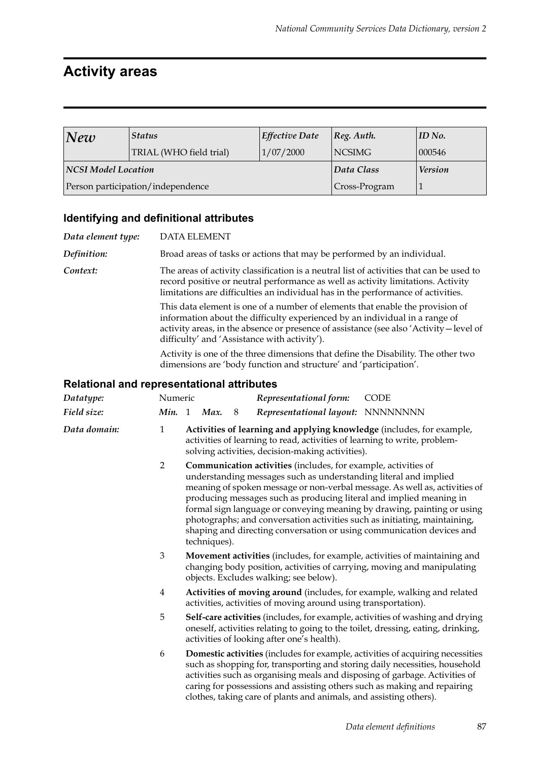### **Activity areas**

| $N$ ew              | <b>Status</b>                     | <b>Effective Date</b> | $ Reg.$ Auth.  | $ID$ No. |
|---------------------|-----------------------------------|-----------------------|----------------|----------|
|                     | TRIAL (WHO field trial)           | 1/07/2000             | <b>NCSIMG</b>  | 000546   |
| NCSI Model Location |                                   | Data Class            | <b>Version</b> |          |
|                     | Person participation/independence | Cross-Program         |                |          |

#### **Identifying and definitional attributes**

| Data element type: | DATA ELEMENT                                                                                                                                                                                                                                                                                            |
|--------------------|---------------------------------------------------------------------------------------------------------------------------------------------------------------------------------------------------------------------------------------------------------------------------------------------------------|
| Definition:        | Broad areas of tasks or actions that may be performed by an individual.                                                                                                                                                                                                                                 |
| Context:           | The areas of activity classification is a neutral list of activities that can be used to<br>record positive or neutral performance as well as activity limitations. Activity<br>limitations are difficulties an individual has in the performance of activities.                                        |
|                    | This data element is one of a number of elements that enable the provision of<br>information about the difficulty experienced by an individual in a range of<br>activity areas, in the absence or presence of assistance (see also 'Activity - level of<br>difficulty' and 'Assistance with activity'). |
|                    | Activity is one of the three dimensions that define the Disability. The other two<br>dimensions are 'body function and structure' and 'participation'.                                                                                                                                                  |
|                    | <b>Relational and representational attributes</b>                                                                                                                                                                                                                                                       |

#### *Datatype:* Numeric *Representational form:* CODE *Field size: Min.* 1 *Max.* 8 *Representational layout:* NNNNNNNN *Data domain:* 1 **Activities of learning and applying knowledge** (includes, for example, activities of learning to read, activities of learning to write, problemsolving activities, decision-making activities). 2 **Communication activities** (includes, for example, activities of understanding messages such as understanding literal and implied meaning of spoken message or non-verbal message. As well as, activities of producing messages such as producing literal and implied meaning in formal sign language or conveying meaning by drawing, painting or using photographs; and conversation activities such as initiating, maintaining, shaping and directing conversation or using communication devices and techniques). 3 **Movement activities** (includes, for example, activities of maintaining and changing body position, activities of carrying, moving and manipulating objects. Excludes walking; see below). 4 **Activities of moving around** (includes, for example, walking and related activities, activities of moving around using transportation). 5 **Self-care activities** (includes, for example, activities of washing and drying oneself, activities relating to going to the toilet, dressing, eating, drinking, activities of looking after one's health). 6 **Domestic activities** (includes for example, activities of acquiring necessities such as shopping for, transporting and storing daily necessities, household activities such as organising meals and disposing of garbage. Activities of caring for possessions and assisting others such as making and repairing clothes, taking care of plants and animals, and assisting others).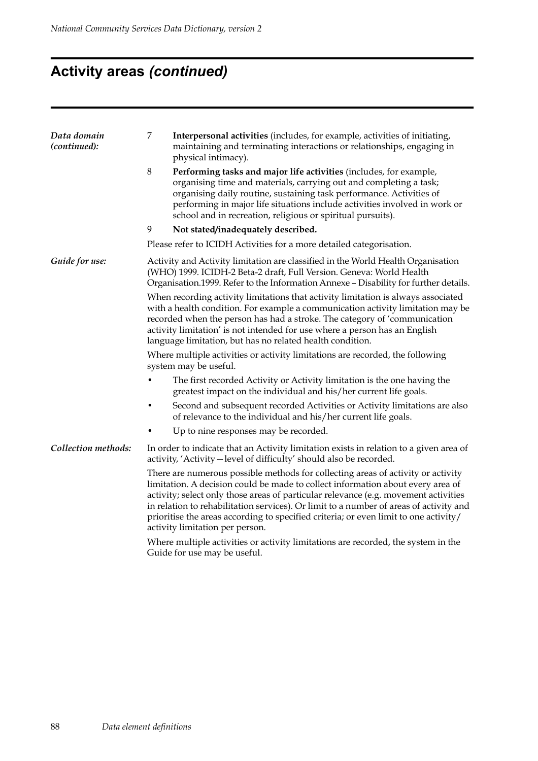# **Activity areas** *(continued)*

| Data domain<br>(continued): | 7<br>Interpersonal activities (includes, for example, activities of initiating,<br>maintaining and terminating interactions or relationships, engaging in<br>physical intimacy).                                                                                                                                                                                                                                                                                                |  |  |  |  |  |  |
|-----------------------------|---------------------------------------------------------------------------------------------------------------------------------------------------------------------------------------------------------------------------------------------------------------------------------------------------------------------------------------------------------------------------------------------------------------------------------------------------------------------------------|--|--|--|--|--|--|
|                             | $8\,$<br>Performing tasks and major life activities (includes, for example,<br>organising time and materials, carrying out and completing a task;<br>organising daily routine, sustaining task performance. Activities of<br>performing in major life situations include activities involved in work or<br>school and in recreation, religious or spiritual pursuits).                                                                                                          |  |  |  |  |  |  |
|                             | 9<br>Not stated/inadequately described.                                                                                                                                                                                                                                                                                                                                                                                                                                         |  |  |  |  |  |  |
|                             | Please refer to ICIDH Activities for a more detailed categorisation.                                                                                                                                                                                                                                                                                                                                                                                                            |  |  |  |  |  |  |
| Guide for use:              | Activity and Activity limitation are classified in the World Health Organisation<br>(WHO) 1999. ICIDH-2 Beta-2 draft, Full Version. Geneva: World Health<br>Organisation.1999. Refer to the Information Annexe - Disability for further details.                                                                                                                                                                                                                                |  |  |  |  |  |  |
|                             | When recording activity limitations that activity limitation is always associated<br>with a health condition. For example a communication activity limitation may be<br>recorded when the person has had a stroke. The category of 'communication<br>activity limitation' is not intended for use where a person has an English<br>language limitation, but has no related health condition.                                                                                    |  |  |  |  |  |  |
|                             | Where multiple activities or activity limitations are recorded, the following<br>system may be useful.                                                                                                                                                                                                                                                                                                                                                                          |  |  |  |  |  |  |
|                             | The first recorded Activity or Activity limitation is the one having the<br>greatest impact on the individual and his/her current life goals.                                                                                                                                                                                                                                                                                                                                   |  |  |  |  |  |  |
|                             | Second and subsequent recorded Activities or Activity limitations are also<br>of relevance to the individual and his/her current life goals.                                                                                                                                                                                                                                                                                                                                    |  |  |  |  |  |  |
|                             | Up to nine responses may be recorded.                                                                                                                                                                                                                                                                                                                                                                                                                                           |  |  |  |  |  |  |
| Collection methods:         | In order to indicate that an Activity limitation exists in relation to a given area of<br>activity, 'Activity - level of difficulty' should also be recorded.                                                                                                                                                                                                                                                                                                                   |  |  |  |  |  |  |
|                             | There are numerous possible methods for collecting areas of activity or activity<br>limitation. A decision could be made to collect information about every area of<br>activity; select only those areas of particular relevance (e.g. movement activities<br>in relation to rehabilitation services). Or limit to a number of areas of activity and<br>prioritise the areas according to specified criteria; or even limit to one activity/<br>activity limitation per person. |  |  |  |  |  |  |
|                             | Where multiple activities or activity limitations are recorded, the system in the                                                                                                                                                                                                                                                                                                                                                                                               |  |  |  |  |  |  |

Guide for use may be useful.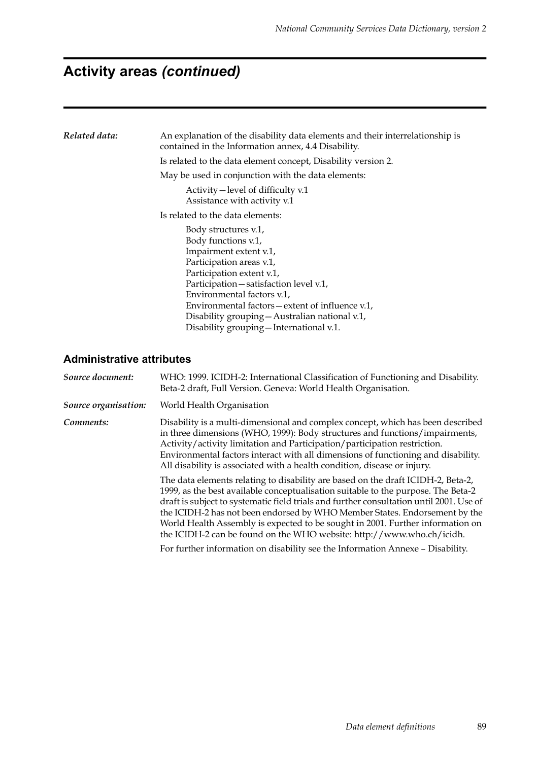# **Activity areas** *(continued)*

| Related data: | An explanation of the disability data elements and their interrelationship is<br>contained in the Information annex, 4.4 Disability. |  |  |  |  |  |
|---------------|--------------------------------------------------------------------------------------------------------------------------------------|--|--|--|--|--|
|               | Is related to the data element concept, Disability version 2.                                                                        |  |  |  |  |  |
|               | May be used in conjunction with the data elements:                                                                                   |  |  |  |  |  |
|               | Activity – level of difficulty v.1<br>Assistance with activity v.1                                                                   |  |  |  |  |  |
|               | Is related to the data elements:                                                                                                     |  |  |  |  |  |
|               | Body structures v.1,<br>Body functions v.1,                                                                                          |  |  |  |  |  |
|               | Impairment extent v.1,<br>Participation areas v.1,                                                                                   |  |  |  |  |  |
|               | Participation extent v.1,<br>Participation-satisfaction level v.1,                                                                   |  |  |  |  |  |
|               | Environmental factors v.1,                                                                                                           |  |  |  |  |  |
|               | Environmental factors – extent of influence v.1,<br>Disability grouping - Australian national v.1,                                   |  |  |  |  |  |
|               | Disability grouping - International v.1.                                                                                             |  |  |  |  |  |

| Source document:     | WHO: 1999. ICIDH-2: International Classification of Functioning and Disability.<br>Beta-2 draft, Full Version. Geneva: World Health Organisation.                                                                                                                                                                                                                                                                                                                                                         |
|----------------------|-----------------------------------------------------------------------------------------------------------------------------------------------------------------------------------------------------------------------------------------------------------------------------------------------------------------------------------------------------------------------------------------------------------------------------------------------------------------------------------------------------------|
| Source organisation: | World Health Organisation                                                                                                                                                                                                                                                                                                                                                                                                                                                                                 |
| Comments:            | Disability is a multi-dimensional and complex concept, which has been described<br>in three dimensions (WHO, 1999): Body structures and functions/impairments,<br>Activity/activity limitation and Participation/participation restriction.<br>Environmental factors interact with all dimensions of functioning and disability.<br>All disability is associated with a health condition, disease or injury.                                                                                              |
|                      | The data elements relating to disability are based on the draft ICIDH-2, Beta-2,<br>1999, as the best available conceptualisation suitable to the purpose. The Beta-2<br>draft is subject to systematic field trials and further consultation until 2001. Use of<br>the ICIDH-2 has not been endorsed by WHO Member States. Endorsement by the<br>World Health Assembly is expected to be sought in 2001. Further information on<br>the ICIDH-2 can be found on the WHO website: http://www.who.ch/icidh. |
|                      | For further information on disability see the Information Annexe - Disability.                                                                                                                                                                                                                                                                                                                                                                                                                            |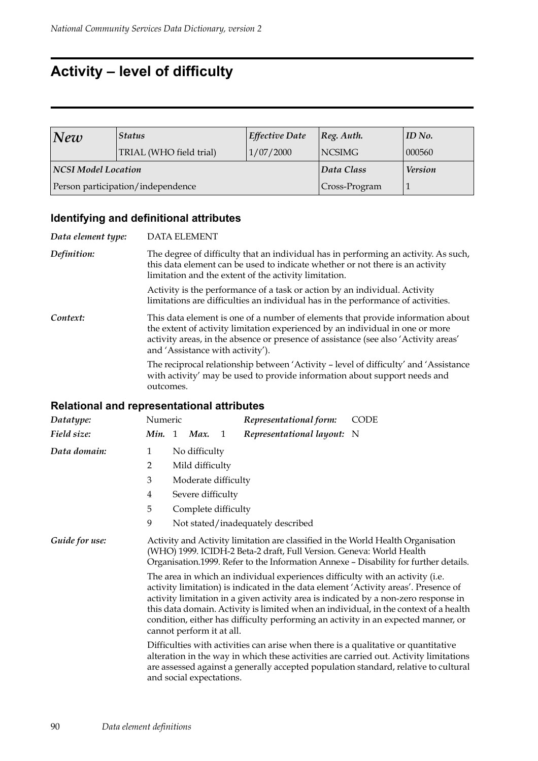## **Activity – level of difficulty**

| $N$ ew              | <b>Status</b>                     | <b>Effective Date</b> | $ Reg.$ Auth.  | ID No. |
|---------------------|-----------------------------------|-----------------------|----------------|--------|
|                     | TRIAL (WHO field trial)           | 1/07/2000             | <b>NCSIMG</b>  | 000560 |
| NCSI Model Location |                                   | Data Class            | <b>Version</b> |        |
|                     | Person participation/independence | Cross-Program         |                |        |

### **Identifying and definitional attributes**

| Data element type: | <b>DATA ELEMENT</b>                                                                                                                                                                                                                                                                         |  |  |  |
|--------------------|---------------------------------------------------------------------------------------------------------------------------------------------------------------------------------------------------------------------------------------------------------------------------------------------|--|--|--|
| Definition:        | The degree of difficulty that an individual has in performing an activity. As such,<br>this data element can be used to indicate whether or not there is an activity<br>limitation and the extent of the activity limitation.                                                               |  |  |  |
|                    | Activity is the performance of a task or action by an individual. Activity<br>limitations are difficulties an individual has in the performance of activities.                                                                                                                              |  |  |  |
| Context:           | This data element is one of a number of elements that provide information about<br>the extent of activity limitation experienced by an individual in one or more<br>activity areas, in the absence or presence of assistance (see also 'Activity areas'<br>and 'Assistance with activity'). |  |  |  |
|                    | The reciprocal relationship between 'Activity – level of difficulty' and 'Assistance<br>with activity' may be used to provide information about support needs and<br>outcomes.                                                                                                              |  |  |  |

| Datatype:      | Numeric                                                                                                                                                                                                                                                                                                                                                                                                                                                               |                     |                     |   | Representational form:                                               | <b>CODE</b>                                                                                                                                                              |  |  |
|----------------|-----------------------------------------------------------------------------------------------------------------------------------------------------------------------------------------------------------------------------------------------------------------------------------------------------------------------------------------------------------------------------------------------------------------------------------------------------------------------|---------------------|---------------------|---|----------------------------------------------------------------------|--------------------------------------------------------------------------------------------------------------------------------------------------------------------------|--|--|
| Field size:    | Min. 1                                                                                                                                                                                                                                                                                                                                                                                                                                                                |                     | Max.                | 1 | Representational layout: N                                           |                                                                                                                                                                          |  |  |
| Data domain:   | 1                                                                                                                                                                                                                                                                                                                                                                                                                                                                     |                     | No difficulty       |   |                                                                      |                                                                                                                                                                          |  |  |
|                | 2                                                                                                                                                                                                                                                                                                                                                                                                                                                                     |                     | Mild difficulty     |   |                                                                      |                                                                                                                                                                          |  |  |
|                | 3                                                                                                                                                                                                                                                                                                                                                                                                                                                                     | Moderate difficulty |                     |   |                                                                      |                                                                                                                                                                          |  |  |
|                | 4                                                                                                                                                                                                                                                                                                                                                                                                                                                                     | Severe difficulty   |                     |   |                                                                      |                                                                                                                                                                          |  |  |
|                | 5                                                                                                                                                                                                                                                                                                                                                                                                                                                                     |                     | Complete difficulty |   |                                                                      |                                                                                                                                                                          |  |  |
|                | 9                                                                                                                                                                                                                                                                                                                                                                                                                                                                     |                     |                     |   | Not stated/inadequately described                                    |                                                                                                                                                                          |  |  |
| Guide for use: |                                                                                                                                                                                                                                                                                                                                                                                                                                                                       |                     |                     |   | (WHO) 1999. ICIDH-2 Beta-2 draft, Full Version. Geneva: World Health | Activity and Activity limitation are classified in the World Health Organisation<br>Organisation.1999. Refer to the Information Annexe - Disability for further details. |  |  |
|                | The area in which an individual experiences difficulty with an activity (i.e.<br>activity limitation) is indicated in the data element 'Activity areas'. Presence of<br>activity limitation in a given activity area is indicated by a non-zero response in<br>this data domain. Activity is limited when an individual, in the context of a health<br>condition, either has difficulty performing an activity in an expected manner, or<br>cannot perform it at all. |                     |                     |   |                                                                      |                                                                                                                                                                          |  |  |
|                | Difficulties with activities can arise when there is a qualitative or quantitative<br>alteration in the way in which these activities are carried out. Activity limitations<br>are assessed against a generally accepted population standard, relative to cultural<br>and social expectations.                                                                                                                                                                        |                     |                     |   |                                                                      |                                                                                                                                                                          |  |  |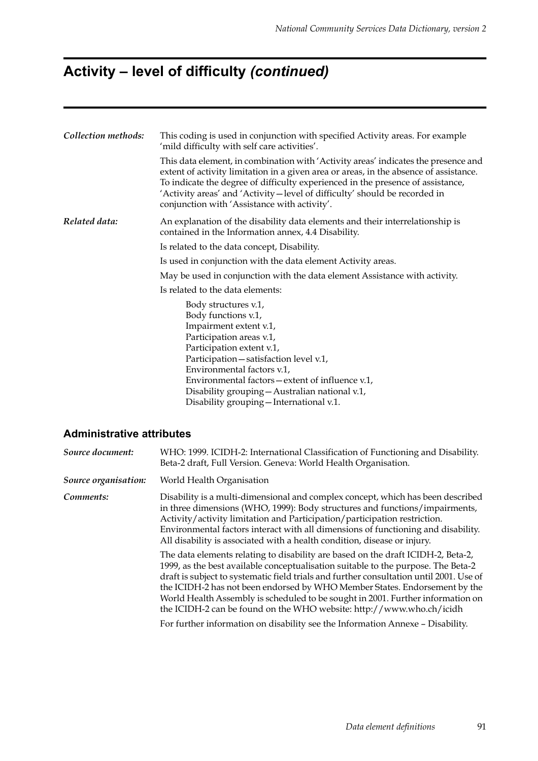# **Activity – level of difficulty** *(continued)*

| Collection methods: | This coding is used in conjunction with specified Activity areas. For example<br>'mild difficulty with self care activities'.                                                                                                                                                                                                                                                                 |  |  |  |  |  |  |
|---------------------|-----------------------------------------------------------------------------------------------------------------------------------------------------------------------------------------------------------------------------------------------------------------------------------------------------------------------------------------------------------------------------------------------|--|--|--|--|--|--|
|                     | This data element, in combination with 'Activity areas' indicates the presence and<br>extent of activity limitation in a given area or areas, in the absence of assistance.<br>To indicate the degree of difficulty experienced in the presence of assistance,<br>'Activity areas' and 'Activity - level of difficulty' should be recorded in<br>conjunction with 'Assistance with activity'. |  |  |  |  |  |  |
| Related data:       | An explanation of the disability data elements and their interrelationship is<br>contained in the Information annex, 4.4 Disability.                                                                                                                                                                                                                                                          |  |  |  |  |  |  |
|                     | Is related to the data concept, Disability.                                                                                                                                                                                                                                                                                                                                                   |  |  |  |  |  |  |
|                     | Is used in conjunction with the data element Activity areas.                                                                                                                                                                                                                                                                                                                                  |  |  |  |  |  |  |
|                     | May be used in conjunction with the data element Assistance with activity.                                                                                                                                                                                                                                                                                                                    |  |  |  |  |  |  |
|                     | Is related to the data elements:                                                                                                                                                                                                                                                                                                                                                              |  |  |  |  |  |  |
|                     | Body structures v.1,<br>Body functions v.1,<br>Impairment extent v.1,<br>Participation areas v.1,<br>Participation extent v.1,<br>Participation - satisfaction level v.1,<br>Environmental factors v.1,<br>Environmental factors – extent of influence v.1,<br>Disability grouping - Australian national v.1,<br>Disability grouping - International v.1.                                     |  |  |  |  |  |  |

| Source document:     | WHO: 1999. ICIDH-2: International Classification of Functioning and Disability.<br>Beta-2 draft, Full Version. Geneva: World Health Organisation.                                                                                                                                                                                                                                                                                                                                                         |
|----------------------|-----------------------------------------------------------------------------------------------------------------------------------------------------------------------------------------------------------------------------------------------------------------------------------------------------------------------------------------------------------------------------------------------------------------------------------------------------------------------------------------------------------|
| Source organisation: | World Health Organisation                                                                                                                                                                                                                                                                                                                                                                                                                                                                                 |
| Comments:            | Disability is a multi-dimensional and complex concept, which has been described<br>in three dimensions (WHO, 1999): Body structures and functions/impairments,<br>Activity/activity limitation and Participation/participation restriction.<br>Environmental factors interact with all dimensions of functioning and disability.<br>All disability is associated with a health condition, disease or injury.                                                                                              |
|                      | The data elements relating to disability are based on the draft ICIDH-2, Beta-2,<br>1999, as the best available conceptualisation suitable to the purpose. The Beta-2<br>draft is subject to systematic field trials and further consultation until 2001. Use of<br>the ICIDH-2 has not been endorsed by WHO Member States. Endorsement by the<br>World Health Assembly is scheduled to be sought in 2001. Further information on<br>the ICIDH-2 can be found on the WHO website: http://www.who.ch/icidh |
|                      | For further information on disability see the Information Annexe - Disability.                                                                                                                                                                                                                                                                                                                                                                                                                            |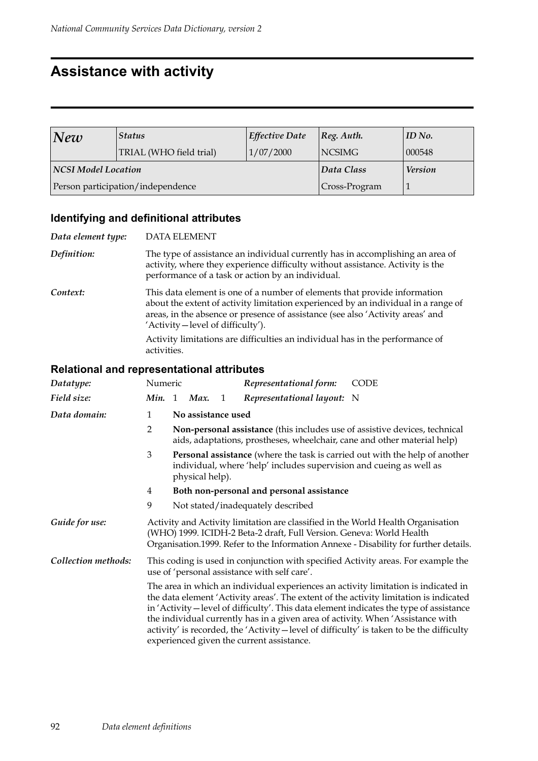### **Assistance with activity**

| New                        | Status                            | <b>Effective Date</b> | $ Reg.$ Auth.  | ID No. |
|----------------------------|-----------------------------------|-----------------------|----------------|--------|
|                            | TRIAL (WHO field trial)           | 1/07/2000             | <b>NCSIMG</b>  | 000548 |
| <b>NCSI Model Location</b> |                                   | Data Class            | <b>Version</b> |        |
|                            | Person participation/independence | Cross-Program         |                |        |

### **Identifying and definitional attributes**

| Data element type: | <b>DATA ELEMENT</b>                                                                                                                                                                                                                                                                   |  |  |  |
|--------------------|---------------------------------------------------------------------------------------------------------------------------------------------------------------------------------------------------------------------------------------------------------------------------------------|--|--|--|
| Definition:        | The type of assistance an individual currently has in accomplishing an area of<br>activity, where they experience difficulty without assistance. Activity is the<br>performance of a task or action by an individual.                                                                 |  |  |  |
| Context:           | This data element is one of a number of elements that provide information<br>about the extent of activity limitation experienced by an individual in a range of<br>areas, in the absence or presence of assistance (see also 'Activity areas' and<br>'Activity-level of difficulty'). |  |  |  |
|                    | Activity limitations are difficulties an individual has in the performance of<br>activities.                                                                                                                                                                                          |  |  |  |

| Datatype:           | Numeric                                                                                                                                                                                                                                                                                                                                                                                                                                                                                         |                                                                                                                                                        |                                                                                                                                                                              |   | Representational form:                    | <b>CODE</b> |  |  |
|---------------------|-------------------------------------------------------------------------------------------------------------------------------------------------------------------------------------------------------------------------------------------------------------------------------------------------------------------------------------------------------------------------------------------------------------------------------------------------------------------------------------------------|--------------------------------------------------------------------------------------------------------------------------------------------------------|------------------------------------------------------------------------------------------------------------------------------------------------------------------------------|---|-------------------------------------------|-------------|--|--|
| Field size:         | <b>Min.</b> 1                                                                                                                                                                                                                                                                                                                                                                                                                                                                                   |                                                                                                                                                        | Max.                                                                                                                                                                         | 1 | Representational layout: N                |             |  |  |
| Data domain:        | 1                                                                                                                                                                                                                                                                                                                                                                                                                                                                                               | No assistance used                                                                                                                                     |                                                                                                                                                                              |   |                                           |             |  |  |
|                     | $\overline{2}$                                                                                                                                                                                                                                                                                                                                                                                                                                                                                  | Non-personal assistance (this includes use of assistive devices, technical<br>aids, adaptations, prostheses, wheelchair, cane and other material help) |                                                                                                                                                                              |   |                                           |             |  |  |
|                     | 3                                                                                                                                                                                                                                                                                                                                                                                                                                                                                               |                                                                                                                                                        | <b>Personal assistance</b> (where the task is carried out with the help of another<br>individual, where 'help' includes supervision and cueing as well as<br>physical help). |   |                                           |             |  |  |
|                     | 4                                                                                                                                                                                                                                                                                                                                                                                                                                                                                               |                                                                                                                                                        |                                                                                                                                                                              |   | Both non-personal and personal assistance |             |  |  |
|                     | 9                                                                                                                                                                                                                                                                                                                                                                                                                                                                                               |                                                                                                                                                        |                                                                                                                                                                              |   | Not stated/inadequately described         |             |  |  |
| Guide for use:      | Activity and Activity limitation are classified in the World Health Organisation<br>(WHO) 1999. ICIDH-2 Beta-2 draft, Full Version. Geneva: World Health<br>Organisation.1999. Refer to the Information Annexe - Disability for further details.                                                                                                                                                                                                                                                |                                                                                                                                                        |                                                                                                                                                                              |   |                                           |             |  |  |
| Collection methods: | This coding is used in conjunction with specified Activity areas. For example the<br>use of 'personal assistance with self care'.                                                                                                                                                                                                                                                                                                                                                               |                                                                                                                                                        |                                                                                                                                                                              |   |                                           |             |  |  |
|                     | The area in which an individual experiences an activity limitation is indicated in<br>the data element 'Activity areas'. The extent of the activity limitation is indicated<br>in 'Activity-level of difficulty'. This data element indicates the type of assistance<br>the individual currently has in a given area of activity. When 'Assistance with<br>activity' is recorded, the 'Activity-level of difficulty' is taken to be the difficulty<br>experienced given the current assistance. |                                                                                                                                                        |                                                                                                                                                                              |   |                                           |             |  |  |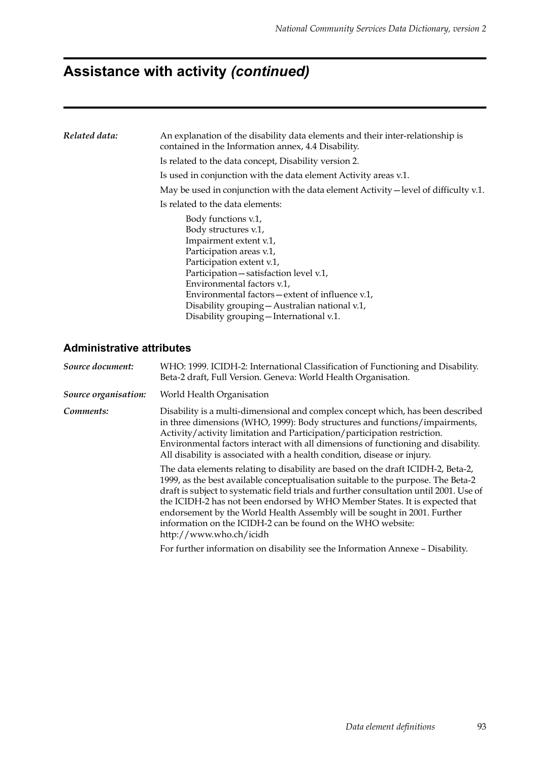# **Assistance with activity** *(continued)*

| Related data: | An explanation of the disability data elements and their inter-relationship is<br>contained in the Information annex, 4.4 Disability.                                                                                                                                                                                                                     |  |  |  |  |
|---------------|-----------------------------------------------------------------------------------------------------------------------------------------------------------------------------------------------------------------------------------------------------------------------------------------------------------------------------------------------------------|--|--|--|--|
|               | Is related to the data concept, Disability version 2.                                                                                                                                                                                                                                                                                                     |  |  |  |  |
|               | Is used in conjunction with the data element Activity areas v.1.                                                                                                                                                                                                                                                                                          |  |  |  |  |
|               | May be used in conjunction with the data element Activity – level of difficulty v.1.                                                                                                                                                                                                                                                                      |  |  |  |  |
|               | Is related to the data elements:                                                                                                                                                                                                                                                                                                                          |  |  |  |  |
|               | Body functions v.1,<br>Body structures v.1,<br>Impairment extent v.1,<br>Participation areas v.1,<br>Participation extent v.1,<br>Participation - satisfaction level v.1,<br>Environmental factors v.1,<br>Environmental factors – extent of influence v.1,<br>Disability grouping - Australian national v.1,<br>Disability grouping - International v.1. |  |  |  |  |

| Source document:     | WHO: 1999. ICIDH-2: International Classification of Functioning and Disability.<br>Beta-2 draft, Full Version. Geneva: World Health Organisation.                                                                                                                                                                                                                                                                                                                                                                     |
|----------------------|-----------------------------------------------------------------------------------------------------------------------------------------------------------------------------------------------------------------------------------------------------------------------------------------------------------------------------------------------------------------------------------------------------------------------------------------------------------------------------------------------------------------------|
| Source organisation: | World Health Organisation                                                                                                                                                                                                                                                                                                                                                                                                                                                                                             |
| Comments:            | Disability is a multi-dimensional and complex concept which, has been described<br>in three dimensions (WHO, 1999): Body structures and functions/impairments,<br>Activity/activity limitation and Participation/participation restriction.<br>Environmental factors interact with all dimensions of functioning and disability.<br>All disability is associated with a health condition, disease or injury.                                                                                                          |
|                      | The data elements relating to disability are based on the draft ICIDH-2, Beta-2,<br>1999, as the best available conceptualisation suitable to the purpose. The Beta-2<br>draft is subject to systematic field trials and further consultation until 2001. Use of<br>the ICIDH-2 has not been endorsed by WHO Member States. It is expected that<br>endorsement by the World Health Assembly will be sought in 2001. Further<br>information on the ICIDH-2 can be found on the WHO website:<br>http://www.who.ch/icidh |
|                      | For further information on disability see the Information Annexe - Disability.                                                                                                                                                                                                                                                                                                                                                                                                                                        |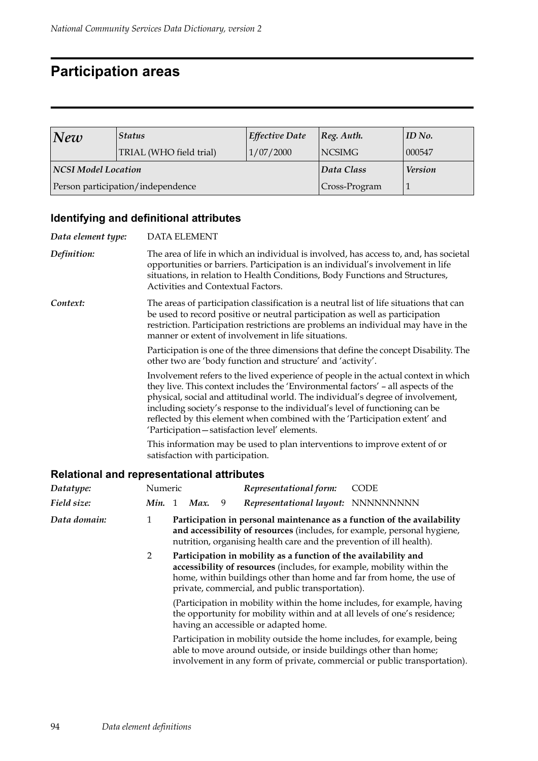### **Participation areas**

| New                        | <b>Status</b>                     | Effective Date | $ Reg.$ Auth.  | ID No. |
|----------------------------|-----------------------------------|----------------|----------------|--------|
|                            | TRIAL (WHO field trial)           | 1/07/2000      | <b>NCSIMG</b>  | 000547 |
| <b>NCSI Model Location</b> |                                   | Data Class     | <b>Version</b> |        |
|                            | Person participation/independence | Cross-Program  |                |        |

### **Identifying and definitional attributes**

| Data element type:                                |                |                                                                                                                                                                                                                                                                                                                      | <b>DATA ELEMENT</b> |   |                                                                                                                                                                                                                                                                                                                                                                                                                                                                   |                                                                                      |  |
|---------------------------------------------------|----------------|----------------------------------------------------------------------------------------------------------------------------------------------------------------------------------------------------------------------------------------------------------------------------------------------------------------------|---------------------|---|-------------------------------------------------------------------------------------------------------------------------------------------------------------------------------------------------------------------------------------------------------------------------------------------------------------------------------------------------------------------------------------------------------------------------------------------------------------------|--------------------------------------------------------------------------------------|--|
| Definition:                                       |                | The area of life in which an individual is involved, has access to, and, has societal<br>opportunities or barriers. Participation is an individual's involvement in life<br>situations, in relation to Health Conditions, Body Functions and Structures,<br>Activities and Contextual Factors.                       |                     |   |                                                                                                                                                                                                                                                                                                                                                                                                                                                                   |                                                                                      |  |
| Context:                                          |                | The areas of participation classification is a neutral list of life situations that can<br>be used to record positive or neutral participation as well as participation<br>restriction. Participation restrictions are problems an individual may have in the<br>manner or extent of involvement in life situations. |                     |   |                                                                                                                                                                                                                                                                                                                                                                                                                                                                   |                                                                                      |  |
|                                                   |                |                                                                                                                                                                                                                                                                                                                      |                     |   | other two are 'body function and structure' and 'activity'.                                                                                                                                                                                                                                                                                                                                                                                                       | Participation is one of the three dimensions that define the concept Disability. The |  |
|                                                   |                |                                                                                                                                                                                                                                                                                                                      |                     |   | they live. This context includes the 'Environmental factors' – all aspects of the<br>physical, social and attitudinal world. The individual's degree of involvement,<br>including society's response to the individual's level of functioning can be<br>reflected by this element when combined with the 'Participation extent' and<br>'Participation-satisfaction level' elements.<br>This information may be used to plan interventions to improve extent of or | Involvement refers to the lived experience of people in the actual context in which  |  |
|                                                   |                |                                                                                                                                                                                                                                                                                                                      |                     |   | satisfaction with participation.                                                                                                                                                                                                                                                                                                                                                                                                                                  |                                                                                      |  |
| <b>Relational and representational attributes</b> |                |                                                                                                                                                                                                                                                                                                                      |                     |   |                                                                                                                                                                                                                                                                                                                                                                                                                                                                   |                                                                                      |  |
| Datatype:                                         | Numeric        |                                                                                                                                                                                                                                                                                                                      |                     |   | Representational form:                                                                                                                                                                                                                                                                                                                                                                                                                                            | <b>CODE</b>                                                                          |  |
| Field size:                                       | Min. 1         |                                                                                                                                                                                                                                                                                                                      | Max.                | 9 | Representational layout: NNNNNNNNN                                                                                                                                                                                                                                                                                                                                                                                                                                |                                                                                      |  |
| Data domain:                                      | $\mathbf{1}$   |                                                                                                                                                                                                                                                                                                                      |                     |   | and accessibility of resources (includes, for example, personal hygiene,<br>nutrition, organising health care and the prevention of ill health).                                                                                                                                                                                                                                                                                                                  | Participation in personal maintenance as a function of the availability              |  |
|                                                   | $\overline{2}$ |                                                                                                                                                                                                                                                                                                                      |                     |   | Participation in mobility as a function of the availability and<br>accessibility of resources (includes, for example, mobility within the<br>home, within buildings other than home and far from home, the use of<br>private, commercial, and public transportation).                                                                                                                                                                                             |                                                                                      |  |
|                                                   |                |                                                                                                                                                                                                                                                                                                                      |                     |   | the opportunity for mobility within and at all levels of one's residence;<br>having an accessible or adapted home.                                                                                                                                                                                                                                                                                                                                                | (Participation in mobility within the home includes, for example, having             |  |
|                                                   |                |                                                                                                                                                                                                                                                                                                                      |                     |   | Participation in mobility outside the home includes, for example, being<br>able to move around outside, or inside buildings other than home;                                                                                                                                                                                                                                                                                                                      | involvement in any form of private, commercial or public transportation).            |  |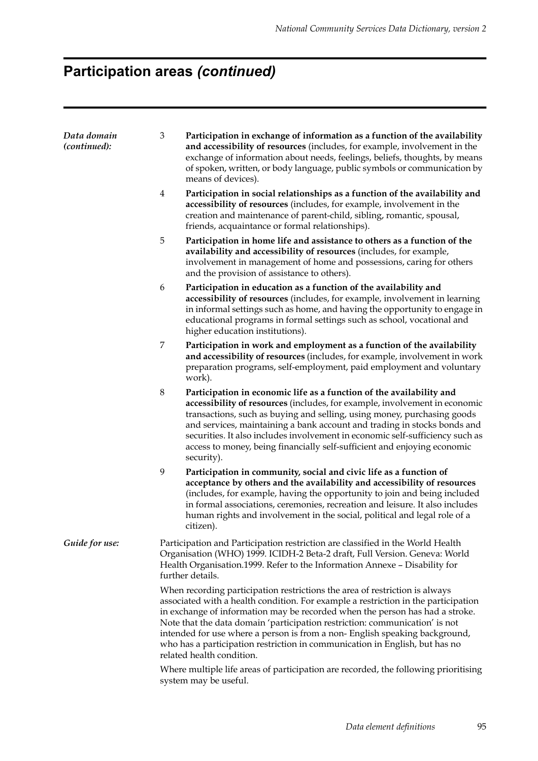# **Participation areas** *(continued)*

| Data domain<br>(continued): | $\mathfrak{B}$                                                                                               | Participation in exchange of information as a function of the availability<br>and accessibility of resources (includes, for example, involvement in the<br>exchange of information about needs, feelings, beliefs, thoughts, by means<br>of spoken, written, or body language, public symbols or communication by<br>means of devices).                                                                                                                                                                                    |  |  |  |  |
|-----------------------------|--------------------------------------------------------------------------------------------------------------|----------------------------------------------------------------------------------------------------------------------------------------------------------------------------------------------------------------------------------------------------------------------------------------------------------------------------------------------------------------------------------------------------------------------------------------------------------------------------------------------------------------------------|--|--|--|--|
|                             | 4                                                                                                            | Participation in social relationships as a function of the availability and<br>accessibility of resources (includes, for example, involvement in the<br>creation and maintenance of parent-child, sibling, romantic, spousal,<br>friends, acquaintance or formal relationships).                                                                                                                                                                                                                                           |  |  |  |  |
|                             | 5                                                                                                            | Participation in home life and assistance to others as a function of the<br>availability and accessibility of resources (includes, for example,<br>involvement in management of home and possessions, caring for others<br>and the provision of assistance to others).                                                                                                                                                                                                                                                     |  |  |  |  |
|                             | 6                                                                                                            | Participation in education as a function of the availability and<br>accessibility of resources (includes, for example, involvement in learning<br>in informal settings such as home, and having the opportunity to engage in<br>educational programs in formal settings such as school, vocational and<br>higher education institutions).                                                                                                                                                                                  |  |  |  |  |
|                             | 7                                                                                                            | Participation in work and employment as a function of the availability<br>and accessibility of resources (includes, for example, involvement in work<br>preparation programs, self-employment, paid employment and voluntary<br>work).                                                                                                                                                                                                                                                                                     |  |  |  |  |
|                             | $\,8\,$                                                                                                      | Participation in economic life as a function of the availability and<br>accessibility of resources (includes, for example, involvement in economic<br>transactions, such as buying and selling, using money, purchasing goods<br>and services, maintaining a bank account and trading in stocks bonds and<br>securities. It also includes involvement in economic self-sufficiency such as<br>access to money, being financially self-sufficient and enjoying economic<br>security).                                       |  |  |  |  |
|                             | 9                                                                                                            | Participation in community, social and civic life as a function of<br>acceptance by others and the availability and accessibility of resources<br>(includes, for example, having the opportunity to join and being included<br>in formal associations, ceremonies, recreation and leisure. It also includes<br>human rights and involvement in the social, political and legal role of a<br>citizen).                                                                                                                      |  |  |  |  |
| Guide for use:              |                                                                                                              | Participation and Participation restriction are classified in the World Health<br>Organisation (WHO) 1999. ICIDH-2 Beta-2 draft, Full Version. Geneva: World<br>Health Organisation.1999. Refer to the Information Annexe - Disability for<br>further details.                                                                                                                                                                                                                                                             |  |  |  |  |
|                             |                                                                                                              | When recording participation restrictions the area of restriction is always<br>associated with a health condition. For example a restriction in the participation<br>in exchange of information may be recorded when the person has had a stroke.<br>Note that the data domain 'participation restriction: communication' is not<br>intended for use where a person is from a non-English speaking background,<br>who has a participation restriction in communication in English, but has no<br>related health condition. |  |  |  |  |
|                             | Where multiple life areas of participation are recorded, the following prioritising<br>system may be useful. |                                                                                                                                                                                                                                                                                                                                                                                                                                                                                                                            |  |  |  |  |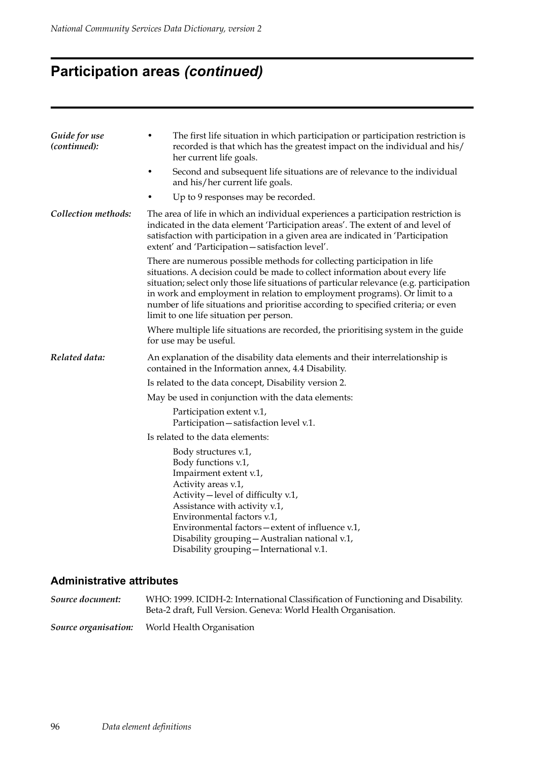# **Participation areas** *(continued)*

| Guide for use<br>(continued): | The first life situation in which participation or participation restriction is<br>٠<br>recorded is that which has the greatest impact on the individual and his/<br>her current life goals.                                                                                                                                                                                                                                                                      |  |  |  |  |  |  |
|-------------------------------|-------------------------------------------------------------------------------------------------------------------------------------------------------------------------------------------------------------------------------------------------------------------------------------------------------------------------------------------------------------------------------------------------------------------------------------------------------------------|--|--|--|--|--|--|
|                               | Second and subsequent life situations are of relevance to the individual<br>$\bullet$<br>and his/her current life goals.                                                                                                                                                                                                                                                                                                                                          |  |  |  |  |  |  |
|                               | Up to 9 responses may be recorded.                                                                                                                                                                                                                                                                                                                                                                                                                                |  |  |  |  |  |  |
| Collection methods:           | The area of life in which an individual experiences a participation restriction is<br>indicated in the data element 'Participation areas'. The extent of and level of<br>satisfaction with participation in a given area are indicated in 'Participation<br>extent' and 'Participation-satisfaction level'.                                                                                                                                                       |  |  |  |  |  |  |
|                               | There are numerous possible methods for collecting participation in life<br>situations. A decision could be made to collect information about every life<br>situation; select only those life situations of particular relevance (e.g. participation<br>in work and employment in relation to employment programs). Or limit to a<br>number of life situations and prioritise according to specified criteria; or even<br>limit to one life situation per person. |  |  |  |  |  |  |
|                               | Where multiple life situations are recorded, the prioritising system in the guide<br>for use may be useful.                                                                                                                                                                                                                                                                                                                                                       |  |  |  |  |  |  |
| Related data:                 | An explanation of the disability data elements and their interrelationship is<br>contained in the Information annex, 4.4 Disability.                                                                                                                                                                                                                                                                                                                              |  |  |  |  |  |  |
|                               | Is related to the data concept, Disability version 2.                                                                                                                                                                                                                                                                                                                                                                                                             |  |  |  |  |  |  |
|                               | May be used in conjunction with the data elements:                                                                                                                                                                                                                                                                                                                                                                                                                |  |  |  |  |  |  |
|                               | Participation extent v.1,<br>Participation - satisfaction level v.1.                                                                                                                                                                                                                                                                                                                                                                                              |  |  |  |  |  |  |
|                               | Is related to the data elements:                                                                                                                                                                                                                                                                                                                                                                                                                                  |  |  |  |  |  |  |
|                               | Body structures v.1,<br>Body functions v.1,<br>Impairment extent v.1,<br>Activity areas v.1,<br>Activity – level of difficulty v.1,<br>Assistance with activity v.1,<br>Environmental factors v.1,<br>Environmental factors - extent of influence v.1,<br>Disability grouping - Australian national v.1,<br>Disability grouping - International v.1.                                                                                                              |  |  |  |  |  |  |

| Source document:     | WHO: 1999. ICIDH-2: International Classification of Functioning and Disability.<br>Beta-2 draft, Full Version. Geneva: World Health Organisation. |
|----------------------|---------------------------------------------------------------------------------------------------------------------------------------------------|
| Source organisation: | World Health Organisation                                                                                                                         |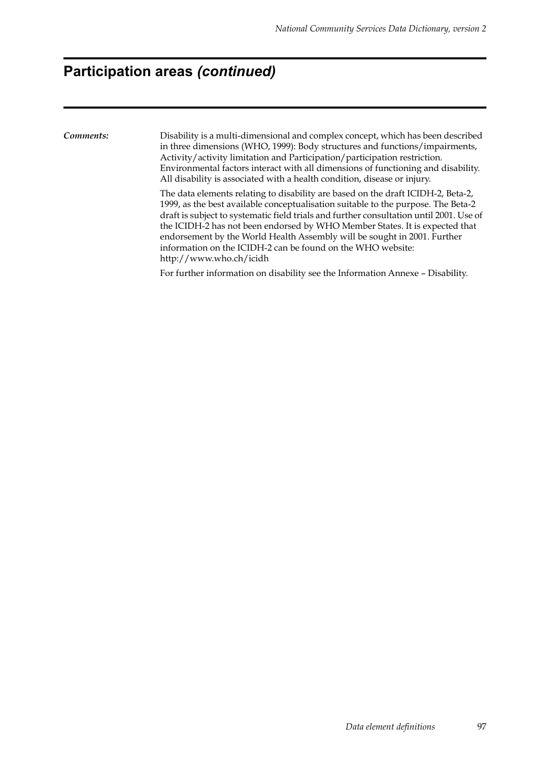### **Participation areas** *(continued)*

*Comments:* Disability is a multi-dimensional and complex concept, which has been described in three dimensions (WHO, 1999): Body structures and functions/impairments, Activity/activity limitation and Participation/participation restriction. Environmental factors interact with all dimensions of functioning and disability. All disability is associated with a health condition, disease or injury.

The data elements relating to disability are based on the draft ICIDH-2, Beta-2, 1999, as the best available conceptualisation suitable to the purpose. The Beta-2 draft is subject to systematic field trials and further consultation until 2001. Use of the ICIDH-2 has not been endorsed by WHO Member States. It is expected that endorsement by the World Health Assembly will be sought in 2001. Further information on the ICIDH-2 can be found on the WHO website: http://www.who.ch/icidh

For further information on disability see the Information Annexe – Disability.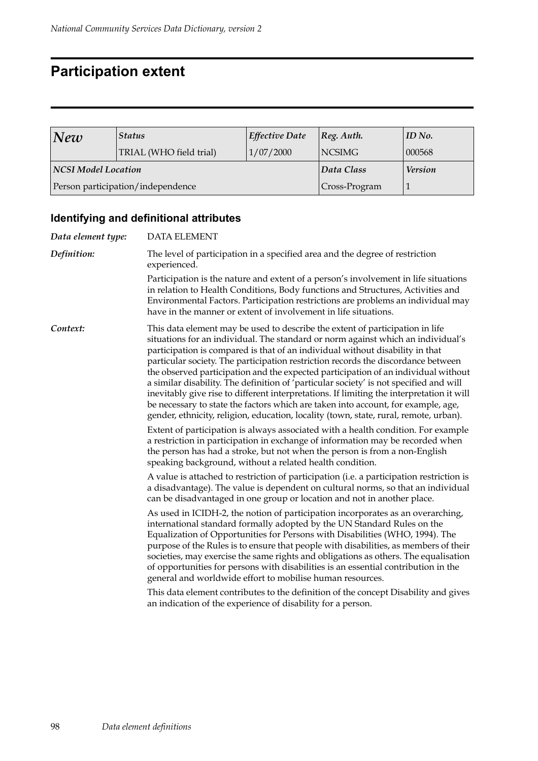# **Participation extent**

| New                        | <b>Status</b>                     | <b>Effective Date</b> | $\log$ . Auth. | ID No. |
|----------------------------|-----------------------------------|-----------------------|----------------|--------|
|                            | TRIAL (WHO field trial)           | 1/07/2000             | <b>NCSIMG</b>  | 000568 |
| <b>NCSI Model Location</b> |                                   | Data Class            | <b>Version</b> |        |
|                            | Person participation/independence | Cross-Program         |                |        |

### **Identifying and definitional attributes**

| <b>DATA ELEMENT</b>                                                                                                                                                                                                                                                                                                                                                                                                                                                                                                                                                                                                                                                                                                                                                                                                                                                                                                                                                                                                                                                                                                 |  |  |  |
|---------------------------------------------------------------------------------------------------------------------------------------------------------------------------------------------------------------------------------------------------------------------------------------------------------------------------------------------------------------------------------------------------------------------------------------------------------------------------------------------------------------------------------------------------------------------------------------------------------------------------------------------------------------------------------------------------------------------------------------------------------------------------------------------------------------------------------------------------------------------------------------------------------------------------------------------------------------------------------------------------------------------------------------------------------------------------------------------------------------------|--|--|--|
| The level of participation in a specified area and the degree of restriction<br>experienced.                                                                                                                                                                                                                                                                                                                                                                                                                                                                                                                                                                                                                                                                                                                                                                                                                                                                                                                                                                                                                        |  |  |  |
| Participation is the nature and extent of a person's involvement in life situations<br>in relation to Health Conditions, Body functions and Structures, Activities and<br>Environmental Factors. Participation restrictions are problems an individual may<br>have in the manner or extent of involvement in life situations.                                                                                                                                                                                                                                                                                                                                                                                                                                                                                                                                                                                                                                                                                                                                                                                       |  |  |  |
| This data element may be used to describe the extent of participation in life<br>situations for an individual. The standard or norm against which an individual's<br>participation is compared is that of an individual without disability in that<br>particular society. The participation restriction records the discordance between<br>the observed participation and the expected participation of an individual without<br>a similar disability. The definition of 'particular society' is not specified and will<br>inevitably give rise to different interpretations. If limiting the interpretation it will<br>be necessary to state the factors which are taken into account, for example, age,<br>gender, ethnicity, religion, education, locality (town, state, rural, remote, urban).<br>Extent of participation is always associated with a health condition. For example<br>a restriction in participation in exchange of information may be recorded when<br>the person has had a stroke, but not when the person is from a non-English<br>speaking background, without a related health condition. |  |  |  |
| A value is attached to restriction of participation (i.e. a participation restriction is<br>a disadvantage). The value is dependent on cultural norms, so that an individual<br>can be disadvantaged in one group or location and not in another place.                                                                                                                                                                                                                                                                                                                                                                                                                                                                                                                                                                                                                                                                                                                                                                                                                                                             |  |  |  |
| As used in ICIDH-2, the notion of participation incorporates as an overarching,<br>international standard formally adopted by the UN Standard Rules on the<br>Equalization of Opportunities for Persons with Disabilities (WHO, 1994). The<br>purpose of the Rules is to ensure that people with disabilities, as members of their<br>societies, may exercise the same rights and obligations as others. The equalisation<br>of opportunities for persons with disabilities is an essential contribution in the<br>general and worldwide effort to mobilise human resources.<br>This data element contributes to the definition of the concept Disability and gives<br>an indication of the experience of disability for a person.                                                                                                                                                                                                                                                                                                                                                                                  |  |  |  |
|                                                                                                                                                                                                                                                                                                                                                                                                                                                                                                                                                                                                                                                                                                                                                                                                                                                                                                                                                                                                                                                                                                                     |  |  |  |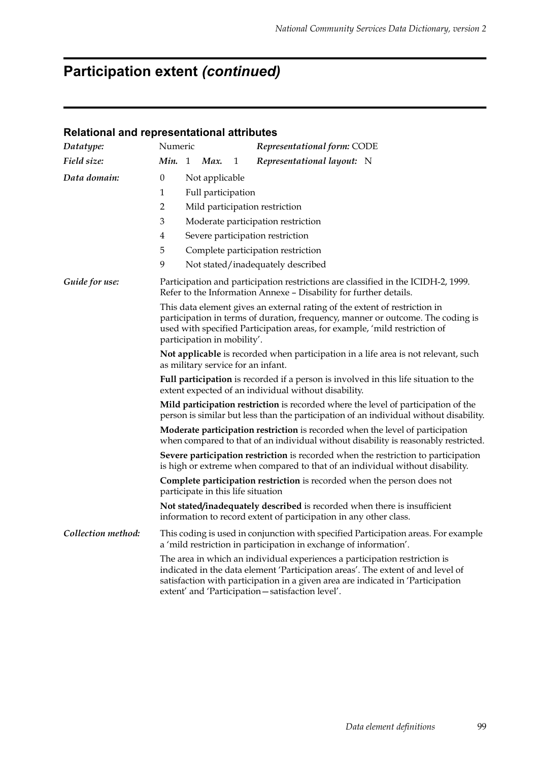# **Participation extent** *(continued)*

| Datatype:                                                                                                                                                                                                                                                                            | Numeric                                                                                                                                                                                                                                                                                                                      |                                                                                                                                                                                                                                                                            |   | Representational form: CODE                                                                                                                                                                                                                                                                         |  |  |
|--------------------------------------------------------------------------------------------------------------------------------------------------------------------------------------------------------------------------------------------------------------------------------------|------------------------------------------------------------------------------------------------------------------------------------------------------------------------------------------------------------------------------------------------------------------------------------------------------------------------------|----------------------------------------------------------------------------------------------------------------------------------------------------------------------------------------------------------------------------------------------------------------------------|---|-----------------------------------------------------------------------------------------------------------------------------------------------------------------------------------------------------------------------------------------------------------------------------------------------------|--|--|
| Field size:                                                                                                                                                                                                                                                                          | Min. 1                                                                                                                                                                                                                                                                                                                       | Max.                                                                                                                                                                                                                                                                       | 1 | Representational layout: N                                                                                                                                                                                                                                                                          |  |  |
| Data domain:                                                                                                                                                                                                                                                                         | $\boldsymbol{0}$                                                                                                                                                                                                                                                                                                             | Not applicable                                                                                                                                                                                                                                                             |   |                                                                                                                                                                                                                                                                                                     |  |  |
|                                                                                                                                                                                                                                                                                      | 1                                                                                                                                                                                                                                                                                                                            | Full participation                                                                                                                                                                                                                                                         |   |                                                                                                                                                                                                                                                                                                     |  |  |
|                                                                                                                                                                                                                                                                                      | $\overline{2}$                                                                                                                                                                                                                                                                                                               |                                                                                                                                                                                                                                                                            |   | Mild participation restriction                                                                                                                                                                                                                                                                      |  |  |
|                                                                                                                                                                                                                                                                                      | 3                                                                                                                                                                                                                                                                                                                            |                                                                                                                                                                                                                                                                            |   | Moderate participation restriction                                                                                                                                                                                                                                                                  |  |  |
|                                                                                                                                                                                                                                                                                      | 4<br>Severe participation restriction                                                                                                                                                                                                                                                                                        |                                                                                                                                                                                                                                                                            |   |                                                                                                                                                                                                                                                                                                     |  |  |
|                                                                                                                                                                                                                                                                                      | 5<br>Complete participation restriction                                                                                                                                                                                                                                                                                      |                                                                                                                                                                                                                                                                            |   |                                                                                                                                                                                                                                                                                                     |  |  |
|                                                                                                                                                                                                                                                                                      | 9                                                                                                                                                                                                                                                                                                                            |                                                                                                                                                                                                                                                                            |   | Not stated/inadequately described                                                                                                                                                                                                                                                                   |  |  |
| Guide for use:                                                                                                                                                                                                                                                                       |                                                                                                                                                                                                                                                                                                                              |                                                                                                                                                                                                                                                                            |   | Participation and participation restrictions are classified in the ICIDH-2, 1999.<br>Refer to the Information Annexe - Disability for further details.                                                                                                                                              |  |  |
|                                                                                                                                                                                                                                                                                      |                                                                                                                                                                                                                                                                                                                              | This data element gives an external rating of the extent of restriction in<br>participation in terms of duration, frequency, manner or outcome. The coding is<br>used with specified Participation areas, for example, 'mild restriction of<br>participation in mobility'. |   |                                                                                                                                                                                                                                                                                                     |  |  |
|                                                                                                                                                                                                                                                                                      | Not applicable is recorded when participation in a life area is not relevant, such<br>as military service for an infant.                                                                                                                                                                                                     |                                                                                                                                                                                                                                                                            |   |                                                                                                                                                                                                                                                                                                     |  |  |
|                                                                                                                                                                                                                                                                                      | Full participation is recorded if a person is involved in this life situation to the<br>extent expected of an individual without disability.<br>Mild participation restriction is recorded where the level of participation of the<br>person is similar but less than the participation of an individual without disability. |                                                                                                                                                                                                                                                                            |   |                                                                                                                                                                                                                                                                                                     |  |  |
|                                                                                                                                                                                                                                                                                      |                                                                                                                                                                                                                                                                                                                              |                                                                                                                                                                                                                                                                            |   |                                                                                                                                                                                                                                                                                                     |  |  |
|                                                                                                                                                                                                                                                                                      | Moderate participation restriction is recorded when the level of participation<br>when compared to that of an individual without disability is reasonably restricted.                                                                                                                                                        |                                                                                                                                                                                                                                                                            |   |                                                                                                                                                                                                                                                                                                     |  |  |
| Severe participation restriction is recorded when the restriction to participation<br>is high or extreme when compared to that of an individual without disability.<br>Complete participation restriction is recorded when the person does not<br>participate in this life situation |                                                                                                                                                                                                                                                                                                                              |                                                                                                                                                                                                                                                                            |   |                                                                                                                                                                                                                                                                                                     |  |  |
|                                                                                                                                                                                                                                                                                      |                                                                                                                                                                                                                                                                                                                              |                                                                                                                                                                                                                                                                            |   |                                                                                                                                                                                                                                                                                                     |  |  |
|                                                                                                                                                                                                                                                                                      |                                                                                                                                                                                                                                                                                                                              |                                                                                                                                                                                                                                                                            |   | Not stated/inadequately described is recorded when there is insufficient<br>information to record extent of participation in any other class.                                                                                                                                                       |  |  |
| Collection method:                                                                                                                                                                                                                                                                   |                                                                                                                                                                                                                                                                                                                              |                                                                                                                                                                                                                                                                            |   | This coding is used in conjunction with specified Participation areas. For example<br>a 'mild restriction in participation in exchange of information'.                                                                                                                                             |  |  |
|                                                                                                                                                                                                                                                                                      |                                                                                                                                                                                                                                                                                                                              |                                                                                                                                                                                                                                                                            |   | The area in which an individual experiences a participation restriction is<br>indicated in the data element 'Participation areas'. The extent of and level of<br>satisfaction with participation in a given area are indicated in 'Participation<br>extent' and 'Participation-satisfaction level'. |  |  |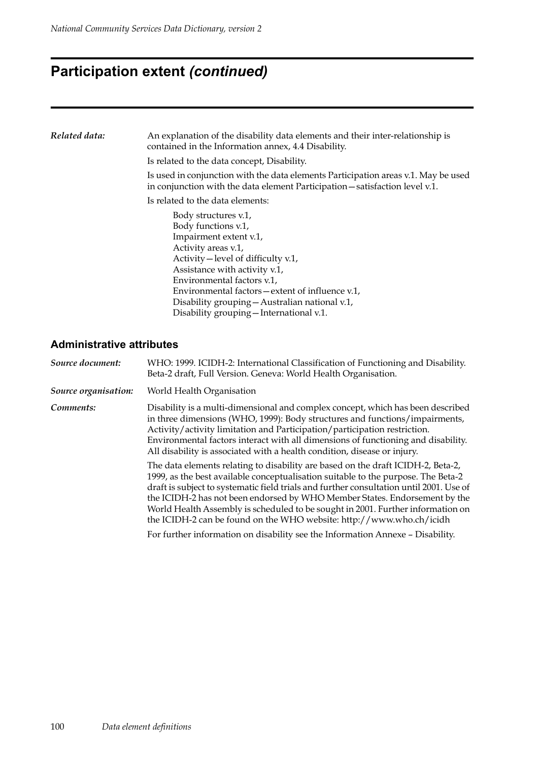### **Participation extent** *(continued)*

| Related data: | An explanation of the disability data elements and their inter-relationship is<br>contained in the Information annex, 4.4 Disability.                                        |  |  |  |
|---------------|------------------------------------------------------------------------------------------------------------------------------------------------------------------------------|--|--|--|
|               | Is related to the data concept, Disability.                                                                                                                                  |  |  |  |
|               | Is used in conjunction with the data elements Participation areas v.1. May be used<br>in conjunction with the data element Participation - satisfaction level v.1.           |  |  |  |
|               | Is related to the data elements:                                                                                                                                             |  |  |  |
|               | Body structures v.1,<br>Body functions v.1,<br>Impairment extent v.1,<br>Activity areas v.1,<br>Activity – level of difficulty v.1,<br>Assistance with activity v.1,         |  |  |  |
|               | Environmental factors v.1,<br>Environmental factors – extent of influence v.1,<br>Disability grouping – Australian national v.1,<br>Disability grouping - International v.1. |  |  |  |

#### **Administrative attributes**

| Source document:     | WHO: 1999. ICIDH-2: International Classification of Functioning and Disability.<br>Beta-2 draft, Full Version. Geneva: World Health Organisation.                                                                                                                                                                                                                                                                                                                                                                                                                                                                                                                          |
|----------------------|----------------------------------------------------------------------------------------------------------------------------------------------------------------------------------------------------------------------------------------------------------------------------------------------------------------------------------------------------------------------------------------------------------------------------------------------------------------------------------------------------------------------------------------------------------------------------------------------------------------------------------------------------------------------------|
| Source organisation: | World Health Organisation                                                                                                                                                                                                                                                                                                                                                                                                                                                                                                                                                                                                                                                  |
| Comments:            | Disability is a multi-dimensional and complex concept, which has been described<br>in three dimensions (WHO, 1999): Body structures and functions/impairments,<br>Activity/activity limitation and Participation/participation restriction.<br>Environmental factors interact with all dimensions of functioning and disability.<br>All disability is associated with a health condition, disease or injury.                                                                                                                                                                                                                                                               |
|                      | The data elements relating to disability are based on the draft ICIDH-2, Beta-2,<br>1999, as the best available conceptualisation suitable to the purpose. The Beta-2<br>draft is subject to systematic field trials and further consultation until 2001. Use of<br>the ICIDH-2 has not been endorsed by WHO Member States. Endorsement by the<br>World Health Assembly is scheduled to be sought in 2001. Further information on<br>the ICIDH-2 can be found on the WHO website: http://www.who.ch/icidh<br>$\mathcal{L}$ and $\mathcal{L}$ and $\mathcal{L}$ and $\mathcal{L}$ and $\mathcal{L}$ and $\mathcal{L}$ and $\mathcal{L}$ and $\mathcal{L}$ and $\mathcal{L}$ |

For further information on disability see the Information Annexe – Disability.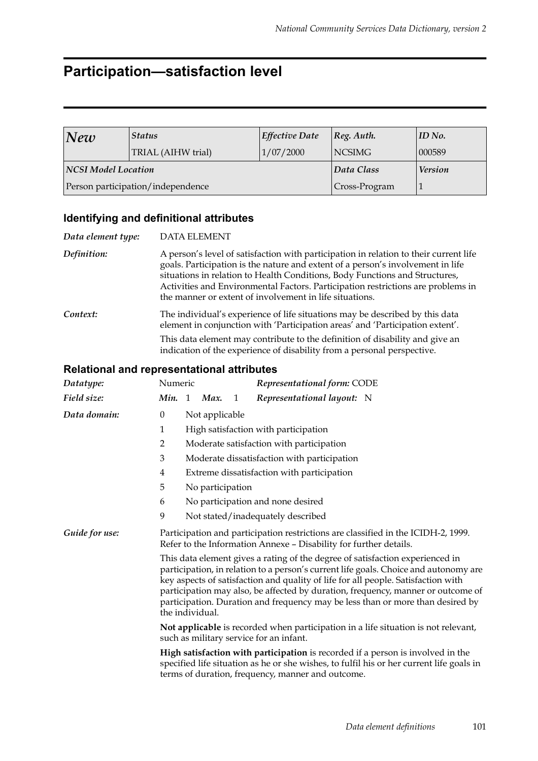### **Participation—satisfaction level**

| New                 | <b>Status</b>                     | <b>Effective Date</b> | $\lvert \text{Reg. } \text{Auth.}$ | ID No. |
|---------------------|-----------------------------------|-----------------------|------------------------------------|--------|
|                     | TRIAL (AIHW trial)                | 1/07/2000             | NCSIMG                             | 000589 |
| NCSI Model Location |                                   | Data Class            | <b>Version</b>                     |        |
|                     | Person participation/independence | Cross-Program         |                                    |        |

#### **Identifying and definitional attributes**

| Data element type: | <b>DATA ELEMENT</b>                                                                                                                                                                                                                                                                                                                                                                                    |
|--------------------|--------------------------------------------------------------------------------------------------------------------------------------------------------------------------------------------------------------------------------------------------------------------------------------------------------------------------------------------------------------------------------------------------------|
| Definition:        | A person's level of satisfaction with participation in relation to their current life<br>goals. Participation is the nature and extent of a person's involvement in life<br>situations in relation to Health Conditions, Body Functions and Structures,<br>Activities and Environmental Factors. Participation restrictions are problems in<br>the manner or extent of involvement in life situations. |
| Context:           | The individual's experience of life situations may be described by this data<br>element in conjunction with 'Participation areas' and 'Participation extent'.                                                                                                                                                                                                                                          |
|                    | This data element may contribute to the definition of disability and give an<br>indication of the experience of disability from a personal perspective.                                                                                                                                                                                                                                                |

| Datatype:      | Numeric                                                                                                                                                                                                                                                                                                                                                                                                                                                                                                                                                                                                       |  |                  |              | Representational form: CODE                                                                                                          |                                                                                          |
|----------------|---------------------------------------------------------------------------------------------------------------------------------------------------------------------------------------------------------------------------------------------------------------------------------------------------------------------------------------------------------------------------------------------------------------------------------------------------------------------------------------------------------------------------------------------------------------------------------------------------------------|--|------------------|--------------|--------------------------------------------------------------------------------------------------------------------------------------|------------------------------------------------------------------------------------------|
| Field size:    | Min. 1                                                                                                                                                                                                                                                                                                                                                                                                                                                                                                                                                                                                        |  | Max.             | $\mathbf{1}$ | Representational layout: N                                                                                                           |                                                                                          |
| Data domain:   | $\theta$                                                                                                                                                                                                                                                                                                                                                                                                                                                                                                                                                                                                      |  | Not applicable   |              |                                                                                                                                      |                                                                                          |
|                | 1                                                                                                                                                                                                                                                                                                                                                                                                                                                                                                                                                                                                             |  |                  |              | High satisfaction with participation                                                                                                 |                                                                                          |
|                | 2                                                                                                                                                                                                                                                                                                                                                                                                                                                                                                                                                                                                             |  |                  |              | Moderate satisfaction with participation                                                                                             |                                                                                          |
|                | 3                                                                                                                                                                                                                                                                                                                                                                                                                                                                                                                                                                                                             |  |                  |              | Moderate dissatisfaction with participation                                                                                          |                                                                                          |
|                | 4                                                                                                                                                                                                                                                                                                                                                                                                                                                                                                                                                                                                             |  |                  |              | Extreme dissatisfaction with participation                                                                                           |                                                                                          |
|                | 5                                                                                                                                                                                                                                                                                                                                                                                                                                                                                                                                                                                                             |  | No participation |              |                                                                                                                                      |                                                                                          |
|                | 6                                                                                                                                                                                                                                                                                                                                                                                                                                                                                                                                                                                                             |  |                  |              | No participation and none desired                                                                                                    |                                                                                          |
|                | 9                                                                                                                                                                                                                                                                                                                                                                                                                                                                                                                                                                                                             |  |                  |              | Not stated/inadequately described                                                                                                    |                                                                                          |
| Guide for use: | Participation and participation restrictions are classified in the ICIDH-2, 1999.<br>Refer to the Information Annexe - Disability for further details.<br>This data element gives a rating of the degree of satisfaction experienced in<br>participation, in relation to a person's current life goals. Choice and autonomy are<br>key aspects of satisfaction and quality of life for all people. Satisfaction with<br>participation may also, be affected by duration, frequency, manner or outcome of<br>participation. Duration and frequency may be less than or more than desired by<br>the individual. |  |                  |              |                                                                                                                                      |                                                                                          |
|                |                                                                                                                                                                                                                                                                                                                                                                                                                                                                                                                                                                                                               |  |                  |              |                                                                                                                                      |                                                                                          |
|                | Not applicable is recorded when participation in a life situation is not relevant,<br>such as military service for an infant.                                                                                                                                                                                                                                                                                                                                                                                                                                                                                 |  |                  |              |                                                                                                                                      |                                                                                          |
|                |                                                                                                                                                                                                                                                                                                                                                                                                                                                                                                                                                                                                               |  |                  |              | High satisfaction with participation is recorded if a person is involved in the<br>terms of duration, frequency, manner and outcome. | specified life situation as he or she wishes, to fulfil his or her current life goals in |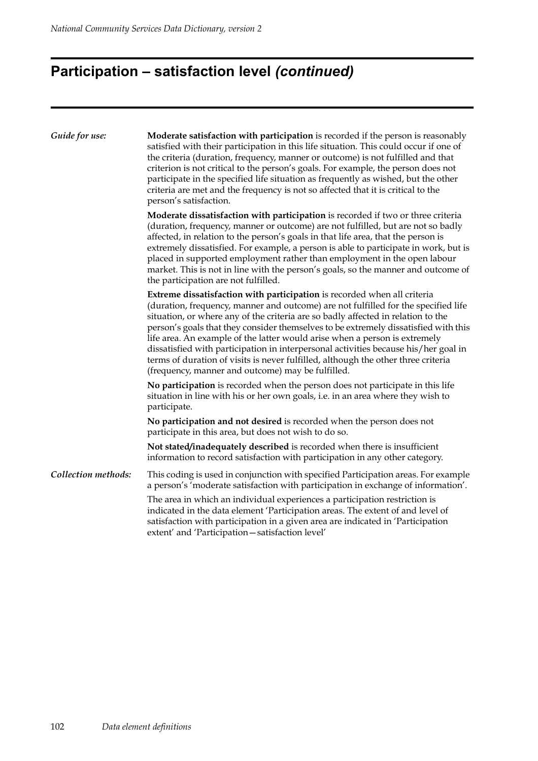# **Participation – satisfaction level** *(continued)*

| Guide for use:      | Moderate satisfaction with participation is recorded if the person is reasonably<br>satisfied with their participation in this life situation. This could occur if one of<br>the criteria (duration, frequency, manner or outcome) is not fulfilled and that<br>criterion is not critical to the person's goals. For example, the person does not<br>participate in the specified life situation as frequently as wished, but the other<br>criteria are met and the frequency is not so affected that it is critical to the<br>person's satisfaction.                                                                                                    |  |  |  |  |
|---------------------|----------------------------------------------------------------------------------------------------------------------------------------------------------------------------------------------------------------------------------------------------------------------------------------------------------------------------------------------------------------------------------------------------------------------------------------------------------------------------------------------------------------------------------------------------------------------------------------------------------------------------------------------------------|--|--|--|--|
|                     | Moderate dissatisfaction with participation is recorded if two or three criteria<br>(duration, frequency, manner or outcome) are not fulfilled, but are not so badly<br>affected, in relation to the person's goals in that life area, that the person is<br>extremely dissatisfied. For example, a person is able to participate in work, but is<br>placed in supported employment rather than employment in the open labour<br>market. This is not in line with the person's goals, so the manner and outcome of<br>the participation are not fulfilled.                                                                                               |  |  |  |  |
|                     | Extreme dissatisfaction with participation is recorded when all criteria<br>(duration, frequency, manner and outcome) are not fulfilled for the specified life<br>situation, or where any of the criteria are so badly affected in relation to the<br>person's goals that they consider themselves to be extremely dissatisfied with this<br>life area. An example of the latter would arise when a person is extremely<br>dissatisfied with participation in interpersonal activities because his/her goal in<br>terms of duration of visits is never fulfilled, although the other three criteria<br>(frequency, manner and outcome) may be fulfilled. |  |  |  |  |
|                     | No participation is recorded when the person does not participate in this life<br>situation in line with his or her own goals, i.e. in an area where they wish to<br>participate.                                                                                                                                                                                                                                                                                                                                                                                                                                                                        |  |  |  |  |
|                     | No participation and not desired is recorded when the person does not<br>participate in this area, but does not wish to do so.                                                                                                                                                                                                                                                                                                                                                                                                                                                                                                                           |  |  |  |  |
|                     | Not stated/inadequately described is recorded when there is insufficient<br>information to record satisfaction with participation in any other category.                                                                                                                                                                                                                                                                                                                                                                                                                                                                                                 |  |  |  |  |
| Collection methods: | This coding is used in conjunction with specified Participation areas. For example<br>a person's 'moderate satisfaction with participation in exchange of information'.                                                                                                                                                                                                                                                                                                                                                                                                                                                                                  |  |  |  |  |
|                     | The area in which an individual experiences a participation restriction is<br>indicated in the data element 'Participation areas. The extent of and level of<br>satisfaction with participation in a given area are indicated in 'Participation<br>extent' and 'Participation-satisfaction level'                                                                                                                                                                                                                                                                                                                                                        |  |  |  |  |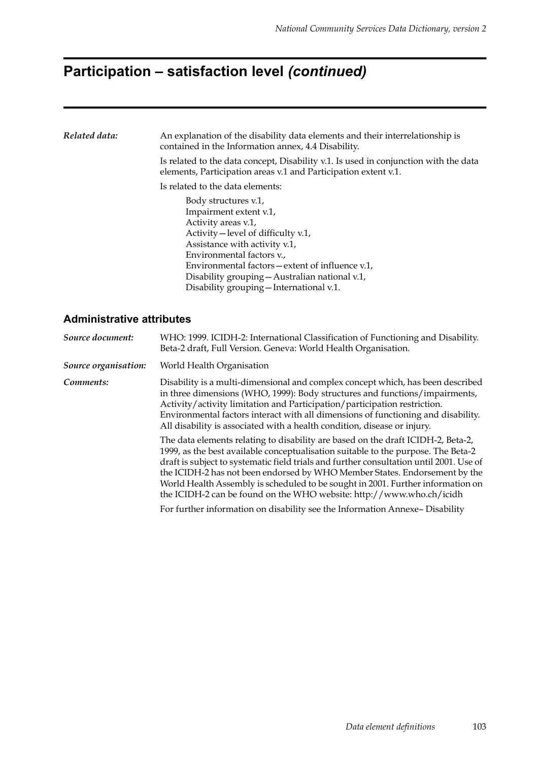### **Participation – satisfaction level** *(continued)*

#### **Administrative attributes**  *Related data:* An explanation of the disability data elements and their interrelationship is contained in the Information annex, 4.4 Disability. Is related to the data concept, Disability v.1. Is used in conjunction with the data elements, Participation areas v.1 and Participation extent v.1. Is related to the data elements: Body structures v.1, Impairment extent v.1, Activity areas v.1, Activity—level of difficulty v.1, Assistance with activity v.1, Environmental factors v., Environmental factors—extent of influence v.1, Disability grouping—Australian national v.1, Disability grouping—International v.1. *Source document:* WHO: 1999. ICIDH-2: International Classification of Functioning and Disability. Beta-2 draft, Full Version. Geneva: World Health Organisation. *Source organisation:* World Health Organisation *Comments:* Disability is a multi-dimensional and complex concept which, has been described in three dimensions (WHO, 1999): Body structures and functions/impairments, Activity/activity limitation and Participation/participation restriction. Environmental factors interact with all dimensions of functioning and disability. All disability is associated with a health condition, disease or injury.

The data elements relating to disability are based on the draft ICIDH-2, Beta-2, 1999, as the best available conceptualisation suitable to the purpose. The Beta-2 draft is subject to systematic field trials and further consultation until 2001. Use of the ICIDH-2 has not been endorsed by WHO Member States. Endorsement by the World Health Assembly is scheduled to be sought in 2001. Further information on the ICIDH-2 can be found on the WHO website: http://www.who.ch/icidh

For further information on disability see the Information Annexe– Disability